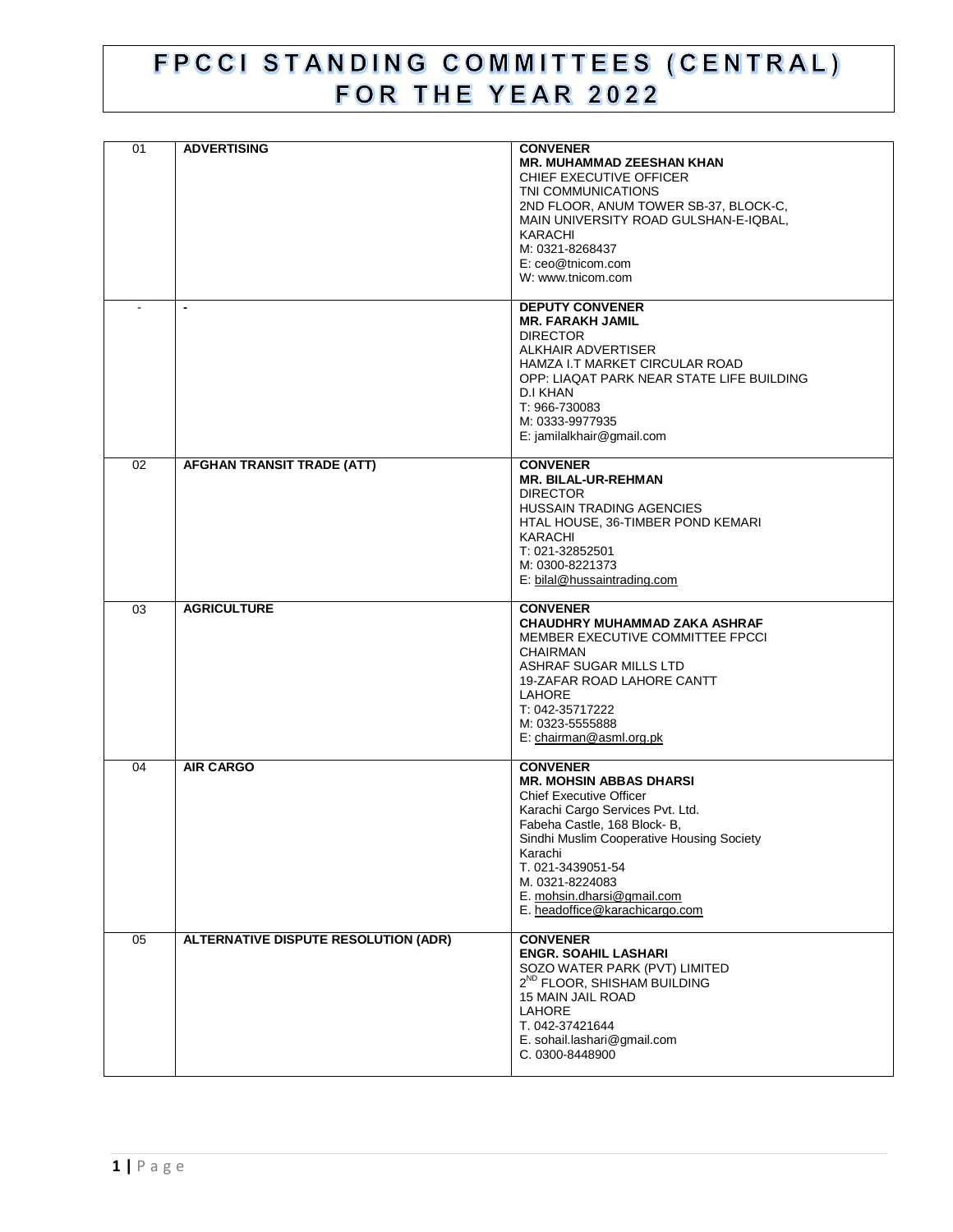## FPCCI STANDING COMMITTEES (CENTRAL) FOR THE YEAR 2022

| 01             | <b>ADVERTISING</b>                   | <b>CONVENER</b><br><b>MR. MUHAMMAD ZEESHAN KHAN</b><br>CHIEF EXECUTIVE OFFICER<br>TNI COMMUNICATIONS<br>2ND FLOOR, ANUM TOWER SB-37, BLOCK-C,<br>MAIN UNIVERSITY ROAD GULSHAN-E-IQBAL,<br>KARACHI<br>M: 0321-8268437<br>E: ceo@tnicom.com<br>W: www.tnicom.com                                                          |
|----------------|--------------------------------------|-------------------------------------------------------------------------------------------------------------------------------------------------------------------------------------------------------------------------------------------------------------------------------------------------------------------------|
| $\blacksquare$ | $\blacksquare$                       | <b>DEPUTY CONVENER</b><br><b>MR. FARAKH JAMIL</b><br><b>DIRECTOR</b><br>ALKHAIR ADVERTISER<br>HAMZA I.T MARKET CIRCULAR ROAD<br>OPP: LIAQAT PARK NEAR STATE LIFE BUILDING<br>D.I KHAN<br>T: 966-730083<br>M: 0333-9977935<br>E: jamilalkhair@gmail.com                                                                  |
| 02             | AFGHAN TRANSIT TRADE (ATT)           | <b>CONVENER</b><br><b>MR. BILAL-UR-REHMAN</b><br><b>DIRECTOR</b><br><b>HUSSAIN TRADING AGENCIES</b><br>HTAL HOUSE, 36-TIMBER POND KEMARI<br>KARACHI<br>T: 021-32852501<br>M: 0300-8221373<br>E: bilal@hussaintrading.com                                                                                                |
| 03             | <b>AGRICULTURE</b>                   | <b>CONVENER</b><br>CHAUDHRY MUHAMMAD ZAKA ASHRAF<br>MEMBER EXECUTIVE COMMITTEE FPCCI<br><b>CHAIRMAN</b><br>ASHRAF SUGAR MILLS LTD<br>19-ZAFAR ROAD LAHORE CANTT<br>LAHORE<br>T: 042-35717222<br>M: 0323-5555888<br>E: chairman@asml.org.pk                                                                              |
| 04             | <b>AIR CARGO</b>                     | <b>CONVENER</b><br><b>MR. MOHSIN ABBAS DHARSI</b><br><b>Chief Executive Officer</b><br>Karachi Cargo Services Pvt. Ltd.<br>Fabeha Castle, 168 Block- B,<br>Sindhi Muslim Cooperative Housing Society<br>Karachi<br>T. 021-3439051-54<br>M. 0321-8224083<br>E. mohsin.dharsi@gmail.com<br>E. headoffice@karachicargo.com |
| 05             | ALTERNATIVE DISPUTE RESOLUTION (ADR) | <b>CONVENER</b><br><b>ENGR. SOAHIL LASHARI</b><br>SOZO WATER PARK (PVT) LIMITED<br>2 <sup>ND</sup> FLOOR, SHISHAM BUILDING<br>15 MAIN JAIL ROAD<br><b>LAHORE</b><br>T. 042-37421644<br>E. sohail.lashari@gmail.com<br>C. 0300-8448900                                                                                   |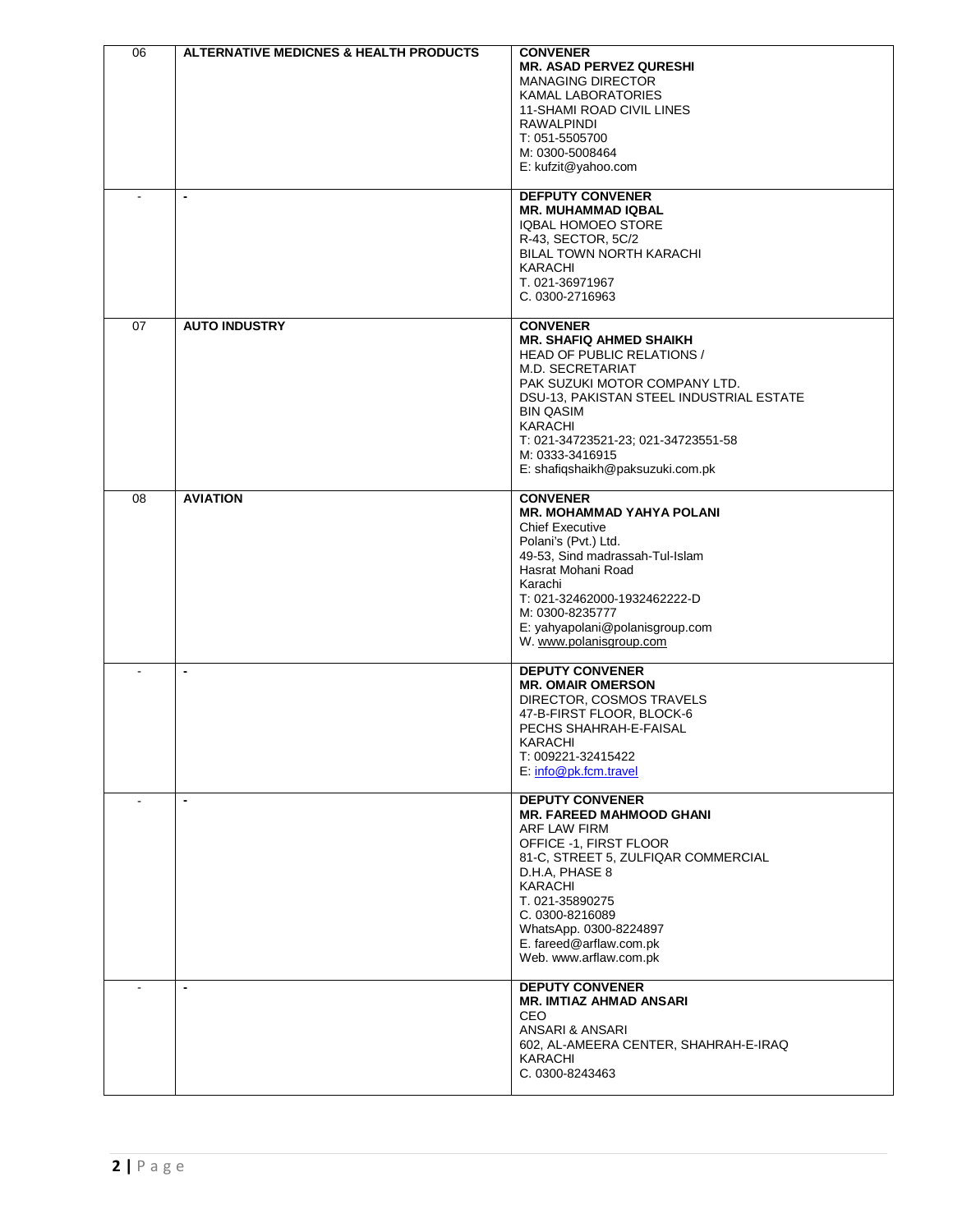| 06 | <b>ALTERNATIVE MEDICNES &amp; HEALTH PRODUCTS</b> | <b>CONVENER</b>                                            |
|----|---------------------------------------------------|------------------------------------------------------------|
|    |                                                   | <b>MR. ASAD PERVEZ QURESHI</b>                             |
|    |                                                   | <b>MANAGING DIRECTOR</b>                                   |
|    |                                                   | <b>KAMAL LABORATORIES</b>                                  |
|    |                                                   | 11-SHAMI ROAD CIVIL LINES<br>RAWALPINDI                    |
|    |                                                   | T: 051-5505700                                             |
|    |                                                   | M: 0300-5008464                                            |
|    |                                                   | E: kufzit@yahoo.com                                        |
|    |                                                   |                                                            |
|    | $\overline{\phantom{a}}$                          | <b>DEFPUTY CONVENER</b>                                    |
|    |                                                   | <b>MR. MUHAMMAD IQBAL</b>                                  |
|    |                                                   | <b>IQBAL HOMOEO STORE</b><br>R-43, SECTOR, 5C/2            |
|    |                                                   | BILAL TOWN NORTH KARACHI                                   |
|    |                                                   | KARACHI                                                    |
|    |                                                   | T. 021-36971967                                            |
|    |                                                   | C. 0300-2716963                                            |
|    | <b>AUTO INDUSTRY</b>                              |                                                            |
| 07 |                                                   | <b>CONVENER</b><br><b>MR. SHAFIQ AHMED SHAIKH</b>          |
|    |                                                   | <b>HEAD OF PUBLIC RELATIONS /</b>                          |
|    |                                                   | M.D. SECRETARIAT                                           |
|    |                                                   | PAK SUZUKI MOTOR COMPANY LTD.                              |
|    |                                                   | DSU-13, PAKISTAN STEEL INDUSTRIAL ESTATE                   |
|    |                                                   | <b>BIN QASIM</b>                                           |
|    |                                                   | <b>KARACHI</b><br>T: 021-34723521-23; 021-34723551-58      |
|    |                                                   | M: 0333-3416915                                            |
|    |                                                   | E: shafiqshaikh@paksuzuki.com.pk                           |
|    |                                                   |                                                            |
| 08 | <b>AVIATION</b>                                   | <b>CONVENER</b>                                            |
|    |                                                   | <b>MR. MOHAMMAD YAHYA POLANI</b><br><b>Chief Executive</b> |
|    |                                                   | Polani's (Pvt.) Ltd.                                       |
|    |                                                   | 49-53, Sind madrassah-Tul-Islam                            |
|    |                                                   | Hasrat Mohani Road                                         |
|    |                                                   | Karachi                                                    |
|    |                                                   | T: 021-32462000-1932462222-D                               |
|    |                                                   | M: 0300-8235777                                            |
|    |                                                   | E: yahyapolani@polanisgroup.com<br>W. www.polanisgroup.com |
|    |                                                   |                                                            |
|    | $\blacksquare$                                    | <b>DEPUTY CONVENER</b>                                     |
|    |                                                   | <b>MR. OMAIR OMERSON</b>                                   |
|    |                                                   | DIRECTOR, COSMOS TRAVELS                                   |
|    |                                                   | 47-B-FIRST FLOOR, BLOCK-6<br>PECHS SHAHRAH-E-FAISAL        |
|    |                                                   | <b>KARACHI</b>                                             |
|    |                                                   | T: 009221-32415422                                         |
|    |                                                   | E: info@pk.fcm.travel                                      |
|    |                                                   |                                                            |
|    | $\blacksquare$                                    | <b>DEPUTY CONVENER</b>                                     |
|    |                                                   | <b>MR. FAREED MAHMOOD GHANI</b><br>ARF LAW FIRM            |
|    |                                                   | OFFICE -1, FIRST FLOOR                                     |
|    |                                                   | 81-C, STREET 5, ZULFIQAR COMMERCIAL                        |
|    |                                                   | D.H.A, PHASE 8                                             |
|    |                                                   | KARACHI                                                    |
|    |                                                   | T. 021-35890275                                            |
|    |                                                   | C. 0300-8216089                                            |
|    |                                                   | WhatsApp. 0300-8224897<br>E. fareed@arflaw.com.pk          |
|    |                                                   | Web. www.arflaw.com.pk                                     |
|    |                                                   |                                                            |
|    | $\blacksquare$                                    | <b>DEPUTY CONVENER</b>                                     |
|    |                                                   | <b>MR. IMTIAZ AHMAD ANSARI</b>                             |
|    |                                                   | CEO<br>ANSARI & ANSARI                                     |
|    |                                                   | 602, AL-AMEERA CENTER, SHAHRAH-E-IRAQ                      |
|    |                                                   | KARACHI                                                    |
|    |                                                   | C. 0300-8243463                                            |
|    |                                                   |                                                            |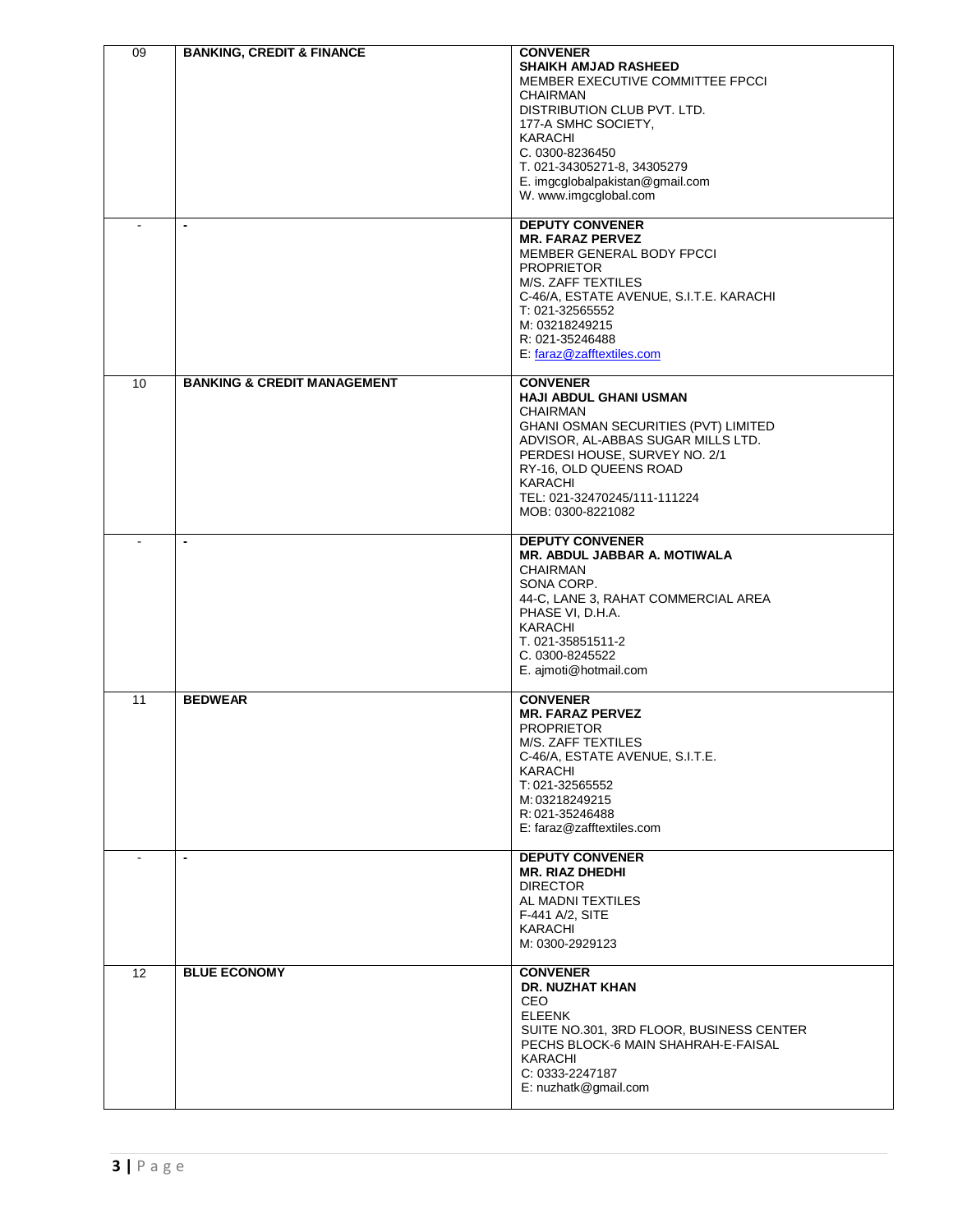| 09 | <b>BANKING, CREDIT &amp; FINANCE</b><br>$\overline{\phantom{a}}$ | <b>CONVENER</b><br><b>SHAIKH AMJAD RASHEED</b><br>MEMBER EXECUTIVE COMMITTEE FPCCI<br><b>CHAIRMAN</b><br>DISTRIBUTION CLUB PVT. LTD.<br>177-A SMHC SOCIETY,<br><b>KARACHI</b><br>C. 0300-8236450<br>T. 021-34305271-8, 34305279<br>E. imgcglobalpakistan@gmail.com<br>W. www.imgcglobal.com<br><b>DEPUTY CONVENER</b><br><b>MR. FARAZ PERVEZ</b><br>MEMBER GENERAL BODY FPCCI<br><b>PROPRIETOR</b><br>M/S. ZAFF TEXTILES<br>C-46/A, ESTATE AVENUE, S.I.T.E. KARACHI<br>T: 021-32565552<br>M: 03218249215<br>R: 021-35246488 |
|----|------------------------------------------------------------------|-----------------------------------------------------------------------------------------------------------------------------------------------------------------------------------------------------------------------------------------------------------------------------------------------------------------------------------------------------------------------------------------------------------------------------------------------------------------------------------------------------------------------------|
| 10 | <b>BANKING &amp; CREDIT MANAGEMENT</b>                           | E: faraz@zafftextiles.com<br><b>CONVENER</b><br><b>HAJI ABDUL GHANI USMAN</b>                                                                                                                                                                                                                                                                                                                                                                                                                                               |
|    |                                                                  | <b>CHAIRMAN</b><br>GHANI OSMAN SECURITIES (PVT) LIMITED<br>ADVISOR, AL-ABBAS SUGAR MILLS LTD.<br>PERDESI HOUSE, SURVEY NO. 2/1<br>RY-16, OLD QUEENS ROAD<br><b>KARACHI</b><br>TEL: 021-32470245/111-111224<br>MOB: 0300-8221082                                                                                                                                                                                                                                                                                             |
|    | $\blacksquare$                                                   | <b>DEPUTY CONVENER</b><br>MR. ABDUL JABBAR A. MOTIWALA<br><b>CHAIRMAN</b><br>SONA CORP.<br>44-C, LANE 3, RAHAT COMMERCIAL AREA<br>PHASE VI, D.H.A.<br><b>KARACHI</b><br>T. 021-35851511-2<br>C. 0300-8245522<br>E. ajmoti@hotmail.com                                                                                                                                                                                                                                                                                       |
| 11 | <b>BEDWEAR</b>                                                   | <b>CONVENER</b><br><b>MR. FARAZ PERVEZ</b><br><b>PROPRIETOR</b><br>M/S. ZAFF TEXTILES<br>C-46/A, ESTATE AVENUE, S.I.T.E.<br><b>KARACHI</b><br>T: 021-32565552<br>M: 03218249215<br>R: 021-35246488<br>E: faraz@zafftextiles.com                                                                                                                                                                                                                                                                                             |
|    | ٠                                                                | <b>DEPUTY CONVENER</b><br><b>MR. RIAZ DHEDHI</b><br><b>DIRECTOR</b><br>AL MADNI TEXTILES<br>F-441 A/2, SITE<br>KARACHI<br>M: 0300-2929123                                                                                                                                                                                                                                                                                                                                                                                   |
| 12 | <b>BLUE ECONOMY</b>                                              | <b>CONVENER</b><br><b>DR. NUZHAT KHAN</b><br><b>CEO</b><br><b>ELEENK</b><br>SUITE NO.301, 3RD FLOOR, BUSINESS CENTER<br>PECHS BLOCK-6 MAIN SHAHRAH-E-FAISAL<br>KARACHI<br>C: 0333-2247187<br>E: nuzhatk@gmail.com                                                                                                                                                                                                                                                                                                           |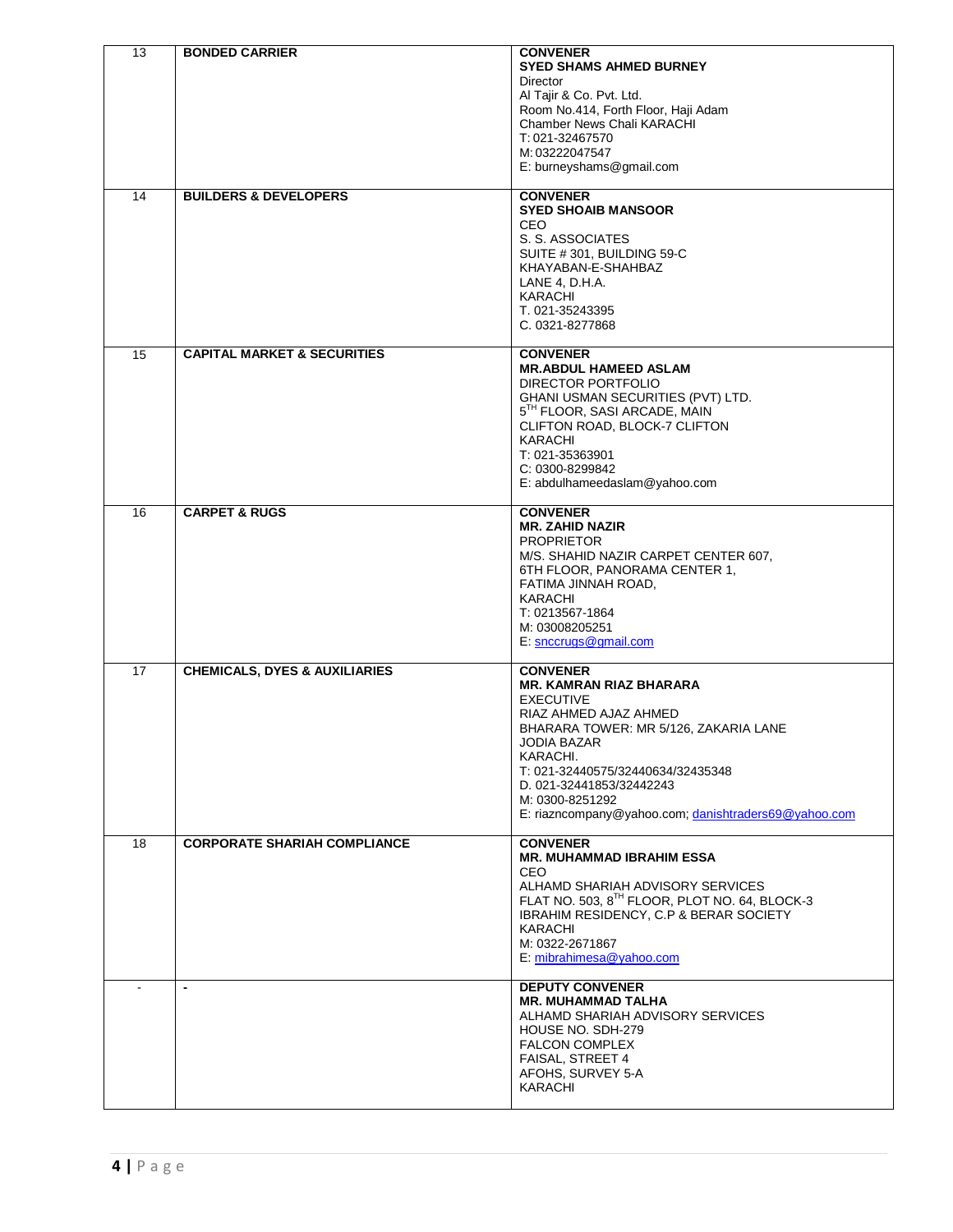| 13 | <b>BONDED CARRIER</b>                    | <b>CONVENER</b>                                               |
|----|------------------------------------------|---------------------------------------------------------------|
|    |                                          | <b>SYED SHAMS AHMED BURNEY</b><br><b>Director</b>             |
|    |                                          | Al Tajir & Co. Pvt. Ltd.                                      |
|    |                                          | Room No.414, Forth Floor, Haji Adam                           |
|    |                                          | Chamber News Chali KARACHI                                    |
|    |                                          | T: 021-32467570<br>M: 03222047547                             |
|    |                                          | E: burneyshams@gmail.com                                      |
|    |                                          |                                                               |
| 14 | <b>BUILDERS &amp; DEVELOPERS</b>         | <b>CONVENER</b><br><b>SYED SHOAIB MANSOOR</b>                 |
|    |                                          | <b>CEO</b>                                                    |
|    |                                          | S. S. ASSOCIATES                                              |
|    |                                          | SUITE #301, BUILDING 59-C                                     |
|    |                                          | KHAYABAN-E-SHAHBAZ                                            |
|    |                                          | LANE 4, D.H.A.<br>KARACHI                                     |
|    |                                          | T. 021-35243395                                               |
|    |                                          | C. 0321-8277868                                               |
| 15 | <b>CAPITAL MARKET &amp; SECURITIES</b>   | <b>CONVENER</b>                                               |
|    |                                          | <b>MR.ABDUL HAMEED ASLAM</b>                                  |
|    |                                          | DIRECTOR PORTFOLIO                                            |
|    |                                          | GHANI USMAN SECURITIES (PVT) LTD.                             |
|    |                                          | 5TH FLOOR, SASI ARCADE, MAIN<br>CLIFTON ROAD, BLOCK-7 CLIFTON |
|    |                                          | <b>KARACHI</b>                                                |
|    |                                          | T: 021-35363901                                               |
|    |                                          | C: 0300-8299842                                               |
|    |                                          | E: abdulhameedaslam@yahoo.com                                 |
| 16 | <b>CARPET &amp; RUGS</b>                 | <b>CONVENER</b>                                               |
|    |                                          | <b>MR. ZAHID NAZIR</b>                                        |
|    |                                          | <b>PROPRIETOR</b><br>M/S. SHAHID NAZIR CARPET CENTER 607,     |
|    |                                          | 6TH FLOOR, PANORAMA CENTER 1,                                 |
|    |                                          | FATIMA JINNAH ROAD,                                           |
|    |                                          | KARACHI                                                       |
|    |                                          | T: 0213567-1864<br>M: 03008205251                             |
|    |                                          | E: snccrugs@gmail.com                                         |
|    |                                          |                                                               |
| 17 | <b>CHEMICALS, DYES &amp; AUXILIARIES</b> | <b>CONVENER</b><br><b>MR. KAMRAN RIAZ BHARARA</b>             |
|    |                                          | <b>EXECUTIVE</b>                                              |
|    |                                          | RIAZ AHMED AJAZ AHMED                                         |
|    |                                          | BHARARA TOWER: MR 5/126, ZAKARIA LANE                         |
|    |                                          | <b>JODIA BAZAR</b><br>KARACHI.                                |
|    |                                          | T: 021-32440575/32440634/32435348                             |
|    |                                          | D. 021-32441853/32442243                                      |
|    |                                          | M: 0300-8251292                                               |
|    |                                          | E: riazncompany@yahoo.com; danishtraders69@yahoo.com          |
| 18 | <b>CORPORATE SHARIAH COMPLIANCE</b>      | <b>CONVENER</b>                                               |
|    |                                          | <b>MR. MUHAMMAD IBRAHIM ESSA</b><br>CEO                       |
|    |                                          | ALHAMD SHARIAH ADVISORY SERVICES                              |
|    |                                          | FLAT NO. 503, 8TH FLOOR, PLOT NO. 64, BLOCK-3                 |
|    |                                          | IBRAHIM RESIDENCY, C.P & BERAR SOCIETY                        |
|    |                                          | KARACHI                                                       |
|    |                                          | M: 0322-2671867<br>E: mibrahimesa@yahoo.com                   |
|    |                                          |                                                               |
|    | $\overline{\phantom{a}}$                 | <b>DEPUTY CONVENER</b><br><b>MR. MUHAMMAD TALHA</b>           |
|    |                                          | ALHAMD SHARIAH ADVISORY SERVICES                              |
|    |                                          | HOUSE NO. SDH-279                                             |
|    |                                          | <b>FALCON COMPLEX</b>                                         |
|    |                                          | FAISAL, STREET 4<br>AFOHS, SURVEY 5-A                         |
|    |                                          | KARACHI                                                       |
|    |                                          |                                                               |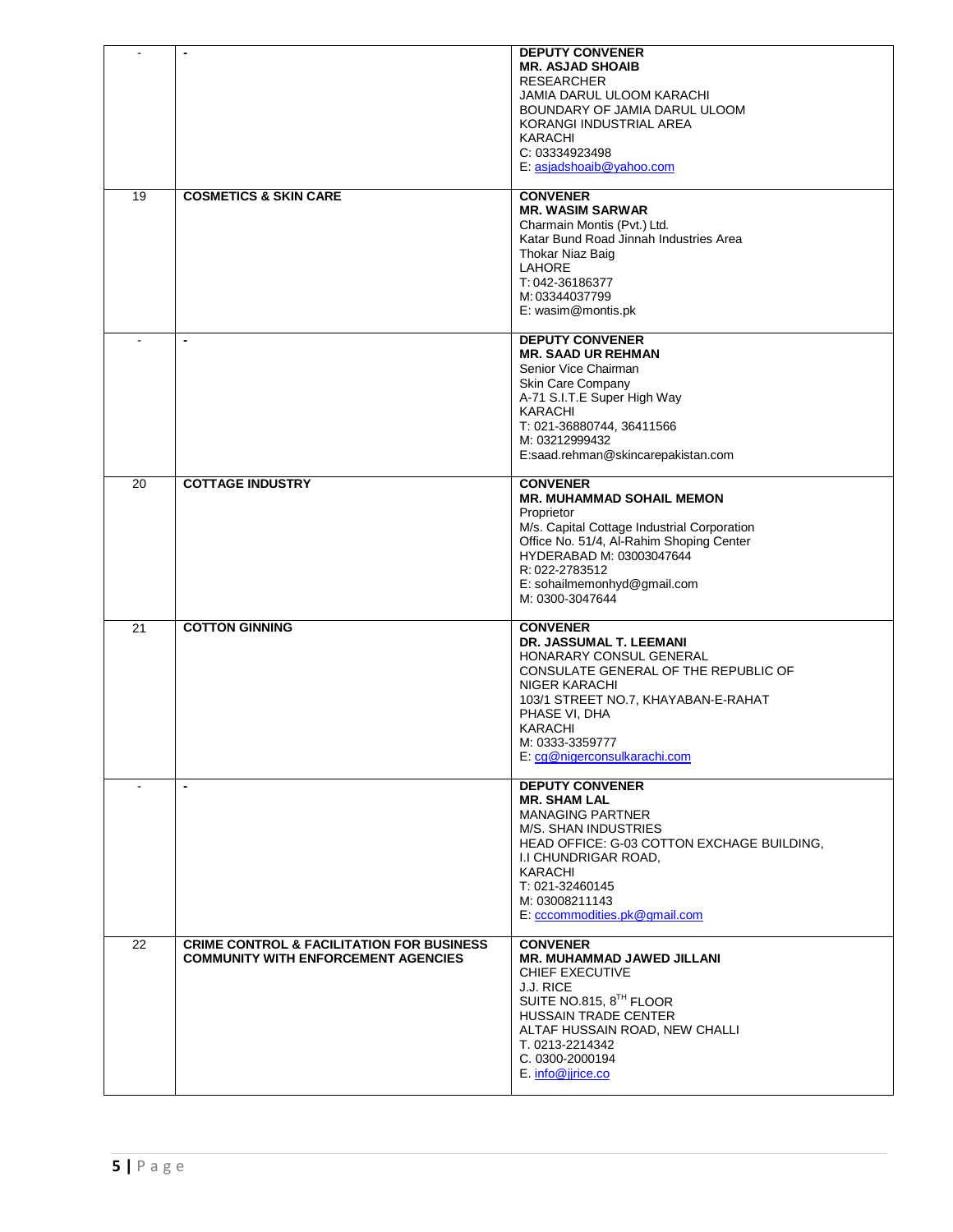|                 | $\blacksquare$                                                                                     | <b>DEPUTY CONVENER</b><br><b>MR. ASJAD SHOAIB</b><br><b>RESEARCHER</b><br>JAMIA DARUL ULOOM KARACHI<br>BOUNDARY OF JAMIA DARUL ULOOM<br>KORANGI INDUSTRIAL AREA<br><b>KARACHI</b><br>C: 03334923498<br>E: asjadshoaib@yahoo.com                                |
|-----------------|----------------------------------------------------------------------------------------------------|----------------------------------------------------------------------------------------------------------------------------------------------------------------------------------------------------------------------------------------------------------------|
| 19              | <b>COSMETICS &amp; SKIN CARE</b>                                                                   | <b>CONVENER</b><br><b>MR. WASIM SARWAR</b><br>Charmain Montis (Pvt.) Ltd.<br>Katar Bund Road Jinnah Industries Area<br>Thokar Niaz Baig<br>LAHORE<br>T: 042-36186377<br>M: 03344037799<br>E: wasim@montis.pk                                                   |
|                 |                                                                                                    | <b>DEPUTY CONVENER</b><br><b>MR. SAAD UR REHMAN</b><br>Senior Vice Chairman<br>Skin Care Company<br>A-71 S.I.T.E Super High Way<br>KARACHI<br>T: 021-36880744, 36411566<br>M: 03212999432<br>E:saad.rehman@skincarepakistan.com                                |
| 20              | <b>COTTAGE INDUSTRY</b>                                                                            | <b>CONVENER</b><br><b>MR. MUHAMMAD SOHAIL MEMON</b><br>Proprietor<br>M/s. Capital Cottage Industrial Corporation<br>Office No. 51/4, Al-Rahim Shoping Center<br>HYDERABAD M: 03003047644<br>R: 022-2783512<br>E: sohailmemonhyd@gmail.com<br>M: 0300-3047644   |
| $\overline{21}$ | <b>COTTON GINNING</b>                                                                              | <b>CONVENER</b><br>DR. JASSUMAL T. LEEMANI<br>HONARARY CONSUL GENERAL<br>CONSULATE GENERAL OF THE REPUBLIC OF<br>NIGER KARACHI<br>103/1 STREET NO.7, KHAYABAN-E-RAHAT<br>PHASE VI, DHA<br>KARACHI<br>M: 0333-3359777<br>E: cg@nigerconsulkarachi.com           |
|                 | $\overline{\phantom{a}}$                                                                           | <b>DEPUTY CONVENER</b><br><b>MR. SHAM LAL</b><br><b>MANAGING PARTNER</b><br>M/S. SHAN INDUSTRIES<br>HEAD OFFICE: G-03 COTTON EXCHAGE BUILDING,<br>I.I CHUNDRIGAR ROAD,<br>KARACHI<br>T: 021-32460145<br>M: 03008211143<br>E: cccommodities.pk@gmail.com        |
| 22              | <b>CRIME CONTROL &amp; FACILITATION FOR BUSINESS</b><br><b>COMMUNITY WITH ENFORCEMENT AGENCIES</b> | <b>CONVENER</b><br>MR. MUHAMMAD JAWED JILLANI<br><b>CHIEF EXECUTIVE</b><br><b>J.J. RICE</b><br>SUITE NO.815, 8 <sup>TH</sup> FLOOR<br><b>HUSSAIN TRADE CENTER</b><br>ALTAF HUSSAIN ROAD, NEW CHALLI<br>T. 0213-2214342<br>C. 0300-2000194<br>E. info@jjrice.co |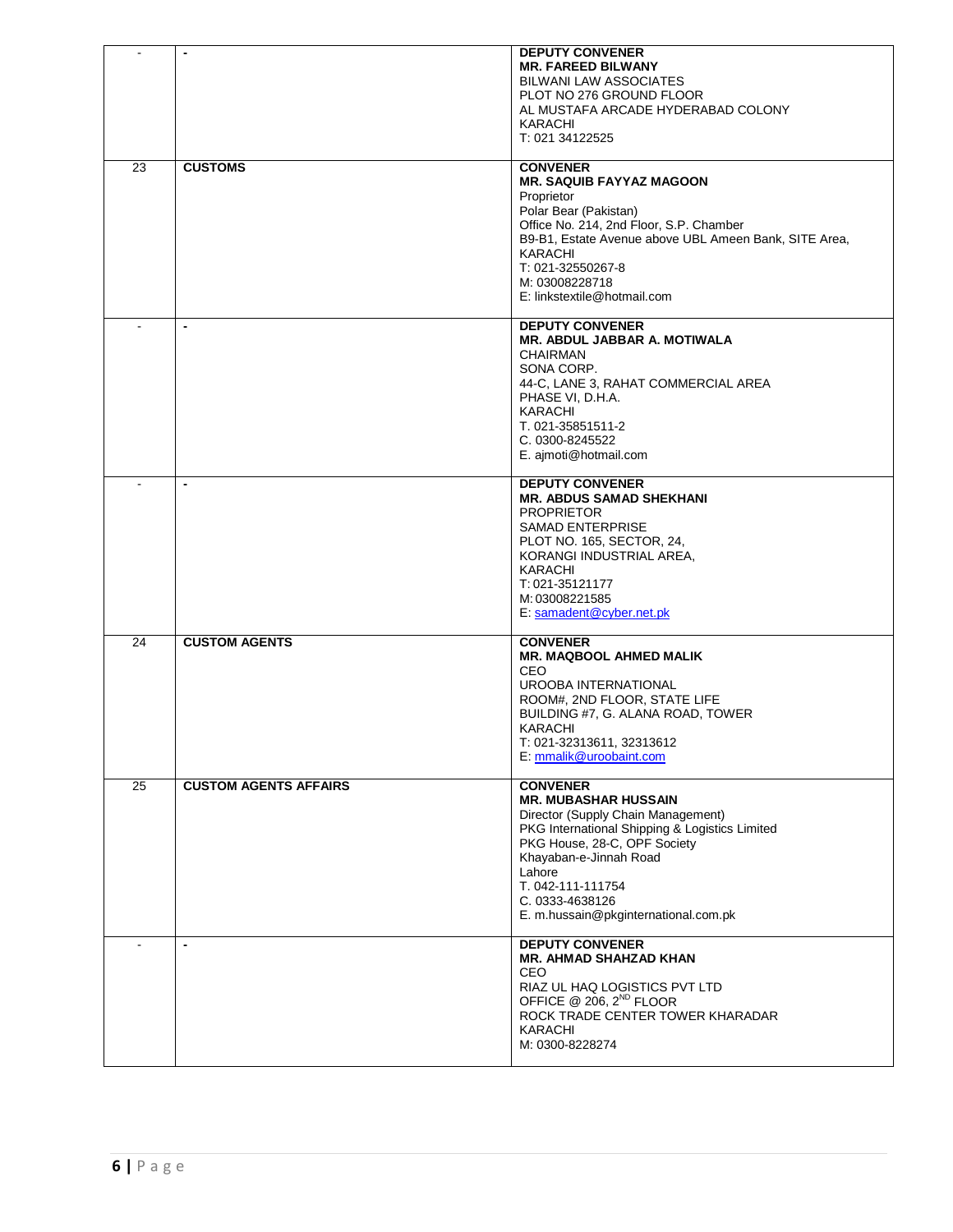| $\sim$         | $\blacksquare$               | <b>DEPUTY CONVENER</b><br><b>MR. FAREED BILWANY</b><br><b>BILWANI LAW ASSOCIATES</b><br>PLOT NO 276 GROUND FLOOR<br>AL MUSTAFA ARCADE HYDERABAD COLONY<br><b>KARACHI</b><br>T: 021 34122525                                                                                                |
|----------------|------------------------------|--------------------------------------------------------------------------------------------------------------------------------------------------------------------------------------------------------------------------------------------------------------------------------------------|
| 23             | <b>CUSTOMS</b>               | <b>CONVENER</b><br><b>MR. SAQUIB FAYYAZ MAGOON</b><br>Proprietor<br>Polar Bear (Pakistan)<br>Office No. 214, 2nd Floor, S.P. Chamber<br>B9-B1, Estate Avenue above UBL Ameen Bank, SITE Area,<br><b>KARACHI</b><br>T: 021-32550267-8<br>M: 03008228718<br>E: linkstextile@hotmail.com      |
| $\overline{a}$ | $\blacksquare$               | <b>DEPUTY CONVENER</b><br><b>MR. ABDUL JABBAR A. MOTIWALA</b><br><b>CHAIRMAN</b><br>SONA CORP.<br>44-C, LANE 3, RAHAT COMMERCIAL AREA<br>PHASE VI, D.H.A.<br><b>KARACHI</b><br>T. 021-35851511-2<br>C. 0300-8245522<br>E. ajmoti@hotmail.com                                               |
|                | $\blacksquare$               | <b>DEPUTY CONVENER</b><br><b>MR. ABDUS SAMAD SHEKHANI</b><br><b>PROPRIETOR</b><br><b>SAMAD ENTERPRISE</b><br>PLOT NO. 165, SECTOR, 24,<br>KORANGI INDUSTRIAL AREA,<br><b>KARACHI</b><br>T: 021-35121177<br>M: 03008221585<br>E: samadent@cyber.net.pk                                      |
| 24             | <b>CUSTOM AGENTS</b>         | <b>CONVENER</b><br><b>MR. MAQBOOL AHMED MALIK</b><br>CEO<br><b>UROOBA INTERNATIONAL</b><br>ROOM#, 2ND FLOOR, STATE LIFE<br>BUILDING #7, G. ALANA ROAD, TOWER<br>KARACHI<br>T: 021-32313611, 32313612<br>E: mmalik@uroobaint.com                                                            |
| 25             | <b>CUSTOM AGENTS AFFAIRS</b> | <b>CONVENER</b><br><b>MR. MUBASHAR HUSSAIN</b><br>Director (Supply Chain Management)<br>PKG International Shipping & Logistics Limited<br>PKG House, 28-C, OPF Society<br>Khayaban-e-Jinnah Road<br>Lahore<br>T. 042-111-111754<br>C. 0333-4638126<br>E. m.hussain@pkginternational.com.pk |
| $\overline{a}$ | $\blacksquare$               | <b>DEPUTY CONVENER</b><br><b>MR. AHMAD SHAHZAD KHAN</b><br><b>CEO</b><br>RIAZ UL HAQ LOGISTICS PVT LTD<br>OFFICE @ 206, 2 <sup>ND</sup> FLOOR<br>ROCK TRADE CENTER TOWER KHARADAR<br>KARACHI<br>M: 0300-8228274                                                                            |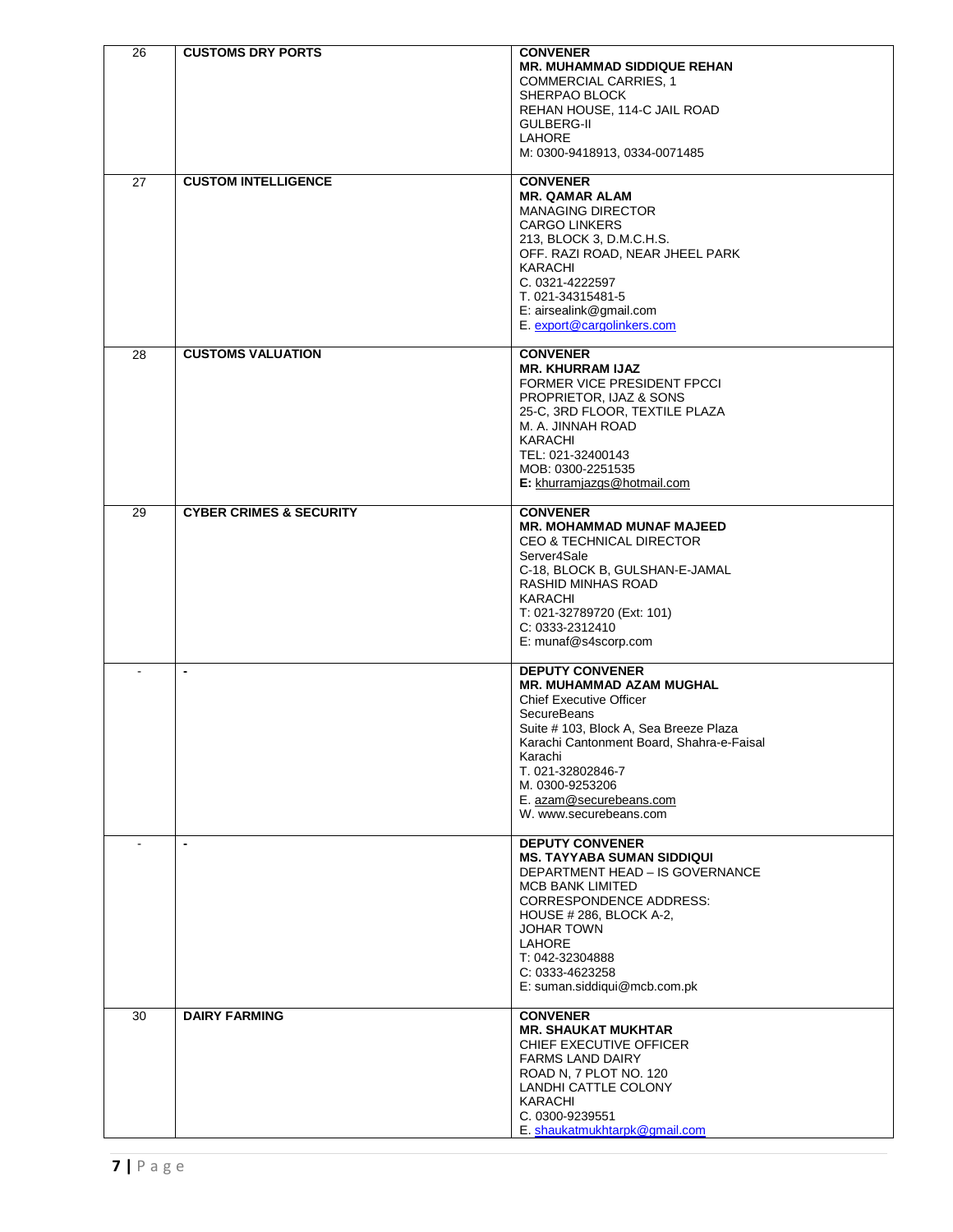| 26 | <b>CUSTOMS DRY PORTS</b>           | <b>CONVENER</b><br><b>MR. MUHAMMAD SIDDIQUE REHAN</b><br><b>COMMERCIAL CARRIES, 1</b>       |
|----|------------------------------------|---------------------------------------------------------------------------------------------|
|    |                                    | SHERPAO BLOCK<br>REHAN HOUSE, 114-C JAIL ROAD                                               |
|    |                                    | <b>GULBERG-II</b><br><b>LAHORE</b><br>M: 0300-9418913, 0334-0071485                         |
| 27 | <b>CUSTOM INTELLIGENCE</b>         | <b>CONVENER</b><br><b>MR. QAMAR ALAM</b>                                                    |
|    |                                    | <b>MANAGING DIRECTOR</b><br><b>CARGO LINKERS</b><br>213, BLOCK 3, D.M.C.H.S.                |
|    |                                    | OFF. RAZI ROAD, NEAR JHEEL PARK<br>KARACHI                                                  |
|    |                                    | C. 0321-4222597<br>T. 021-34315481-5<br>E: airsealink@gmail.com                             |
|    |                                    | E. export@cargolinkers.com                                                                  |
| 28 | <b>CUSTOMS VALUATION</b>           | <b>CONVENER</b><br><b>MR. KHURRAM IJAZ</b><br>FORMER VICE PRESIDENT FPCCI                   |
|    |                                    | PROPRIETOR, IJAZ & SONS<br>25-C, 3RD FLOOR, TEXTILE PLAZA                                   |
|    |                                    | M. A. JINNAH ROAD<br><b>KARACHI</b><br>TEL: 021-32400143                                    |
|    |                                    | MOB: 0300-2251535<br>E: khurramjazgs@hotmail.com                                            |
| 29 | <b>CYBER CRIMES &amp; SECURITY</b> | <b>CONVENER</b><br><b>MR. MOHAMMAD MUNAF MAJEED</b>                                         |
|    |                                    | <b>CEO &amp; TECHNICAL DIRECTOR</b><br>Server4Sale                                          |
|    |                                    | C-18, BLOCK B, GULSHAN-E-JAMAL<br>RASHID MINHAS ROAD<br>KARACHI                             |
|    |                                    | T: 021-32789720 (Ext: 101)<br>C: 0333-2312410                                               |
|    | $\blacksquare$                     | E: munaf@s4scorp.com<br><b>DEPUTY CONVENER</b>                                              |
|    |                                    | <b>MR. MUHAMMAD AZAM MUGHAL</b><br><b>Chief Executive Officer</b>                           |
|    |                                    | <b>SecureBeans</b><br>Suite # 103, Block A, Sea Breeze Plaza                                |
|    |                                    | Karachi Cantonment Board, Shahra-e-Faisal<br>Karachi<br>T. 021-32802846-7                   |
|    |                                    | M. 0300-9253206<br>E. azam@securebeans.com                                                  |
|    | $\blacksquare$                     | W. www.securebeans.com<br><b>DEPUTY CONVENER</b>                                            |
|    |                                    | <b>MS. TAYYABA SUMAN SIDDIQUI</b><br>DEPARTMENT HEAD - IS GOVERNANCE                        |
|    |                                    | <b>MCB BANK LIMITED</b><br><b>CORRESPONDENCE ADDRESS:</b><br><b>HOUSE # 286, BLOCK A-2,</b> |
|    |                                    | <b>JOHAR TOWN</b><br>LAHORE                                                                 |
|    |                                    | T: 042-32304888<br>C: 0333-4623258<br>E: suman.siddiqui@mcb.com.pk                          |
| 30 | <b>DAIRY FARMING</b>               | <b>CONVENER</b>                                                                             |
|    |                                    | <b>MR. SHAUKAT MUKHTAR</b><br>CHIEF EXECUTIVE OFFICER<br><b>FARMS LAND DAIRY</b>            |
|    |                                    | ROAD N, 7 PLOT NO. 120<br>LANDHI CATTLE COLONY                                              |
|    |                                    | KARACHI<br>C. 0300-9239551<br>E. shaukatmukhtarpk@gmail.com                                 |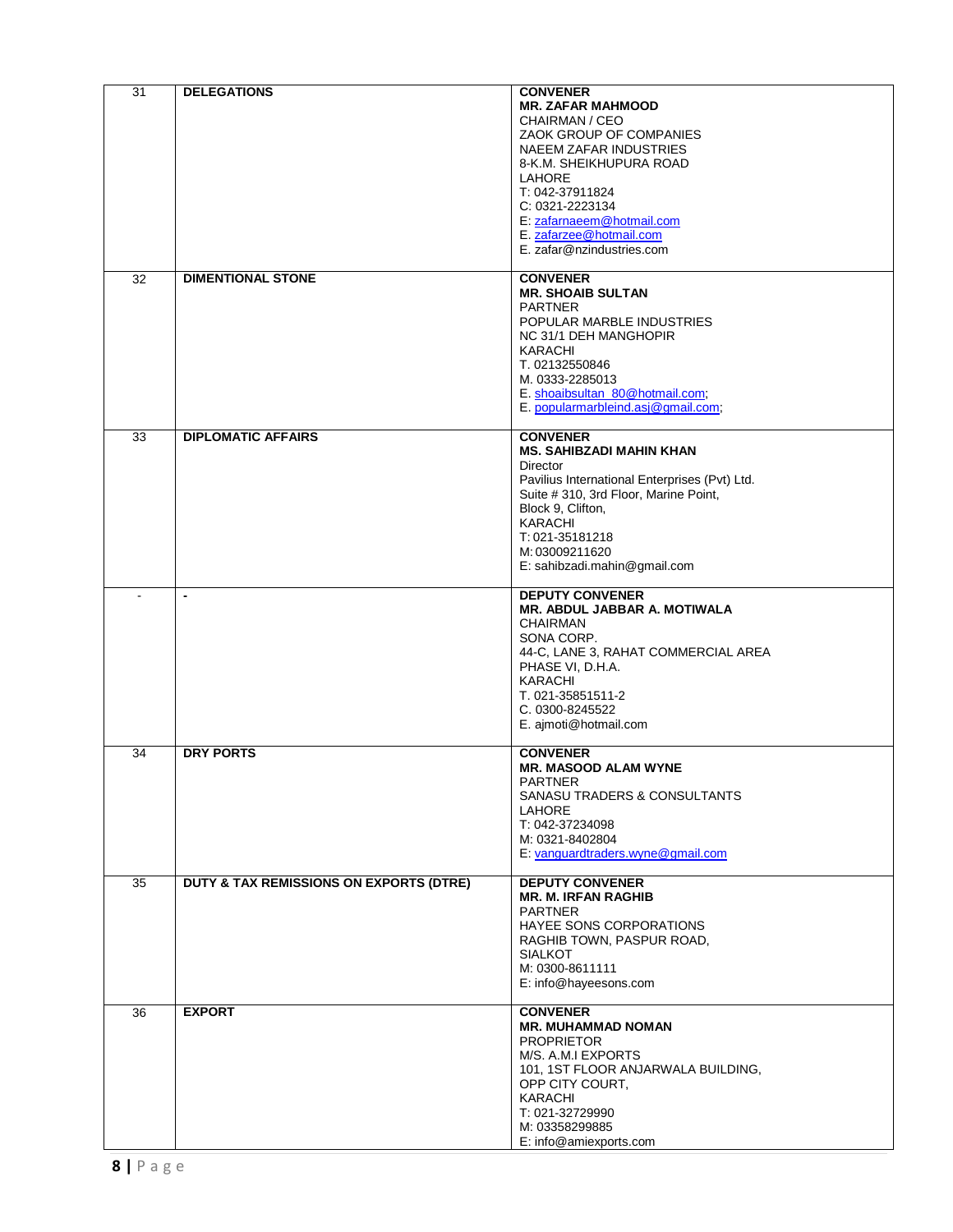| 31 | <b>DELEGATIONS</b>                      | <b>CONVENER</b>                                                                                                                                                                                                                                                             |
|----|-----------------------------------------|-----------------------------------------------------------------------------------------------------------------------------------------------------------------------------------------------------------------------------------------------------------------------------|
|    |                                         | <b>MR. ZAFAR MAHMOOD</b><br>CHAIRMAN / CEO<br>ZAOK GROUP OF COMPANIES<br><b>NAEEM ZAFAR INDUSTRIES</b><br>8-K.M. SHEIKHUPURA ROAD<br>LAHORE<br>T: 042-37911824<br>C: 0321-2223134<br>E: zafarnaeem@hotmail.com<br>E. zafarzee@hotmail.com<br>E. zafar@nzindustries.com      |
| 32 | <b>DIMENTIONAL STONE</b>                | <b>CONVENER</b><br><b>MR. SHOAIB SULTAN</b><br><b>PARTNER</b><br>POPULAR MARBLE INDUSTRIES<br>NC 31/1 DEH MANGHOPIR<br><b>KARACHI</b><br>T. 02132550846<br>M. 0333-2285013<br>E. shoaibsultan_80@hotmail.com;<br>E. popularmarbleind.asj@gmail.com;                         |
| 33 | <b>DIPLOMATIC AFFAIRS</b>               | <b>CONVENER</b><br><b>MS. SAHIBZADI MAHIN KHAN</b><br><b>Director</b><br>Pavilius International Enterprises (Pvt) Ltd.<br>Suite # 310, 3rd Floor, Marine Point,<br>Block 9, Clifton,<br><b>KARACHI</b><br>T: 021-35181218<br>M: 03009211620<br>E: sahibzadi.mahin@gmail.com |
|    | $\blacksquare$                          | <b>DEPUTY CONVENER</b><br><b>MR. ABDUL JABBAR A. MOTIWALA</b><br><b>CHAIRMAN</b><br>SONA CORP.<br>44-C, LANE 3, RAHAT COMMERCIAL AREA<br>PHASE VI, D.H.A.<br>KARACHI<br>T. 021-35851511-2<br>C. 0300-8245522<br>E. ajmoti@hotmail.com                                       |
| 34 | <b>DRY PORTS</b>                        | <b>CONVENER</b><br><b>MR. MASOOD ALAM WYNE</b><br>PARINER<br>SANASU TRADERS & CONSULTANTS<br><b>LAHORE</b><br>T: 042-37234098<br>M: 0321-8402804<br>E: vanquardtraders.wyne@gmail.com                                                                                       |
| 35 | DUTY & TAX REMISSIONS ON EXPORTS (DTRE) | <b>DEPUTY CONVENER</b><br><b>MR. M. IRFAN RAGHIB</b><br><b>PARTNER</b><br>HAYEE SONS CORPORATIONS<br>RAGHIB TOWN, PASPUR ROAD,<br><b>SIALKOT</b><br>M: 0300-8611111<br>E: info@hayeesons.com                                                                                |
| 36 | <b>EXPORT</b>                           | <b>CONVENER</b><br><b>MR. MUHAMMAD NOMAN</b><br><b>PROPRIETOR</b><br>M/S. A.M.I EXPORTS<br>101, 1ST FLOOR ANJARWALA BUILDING,<br>OPP CITY COURT,<br><b>KARACHI</b><br>T: 021-32729990<br>M: 03358299885<br>E: info@amiexports.com                                           |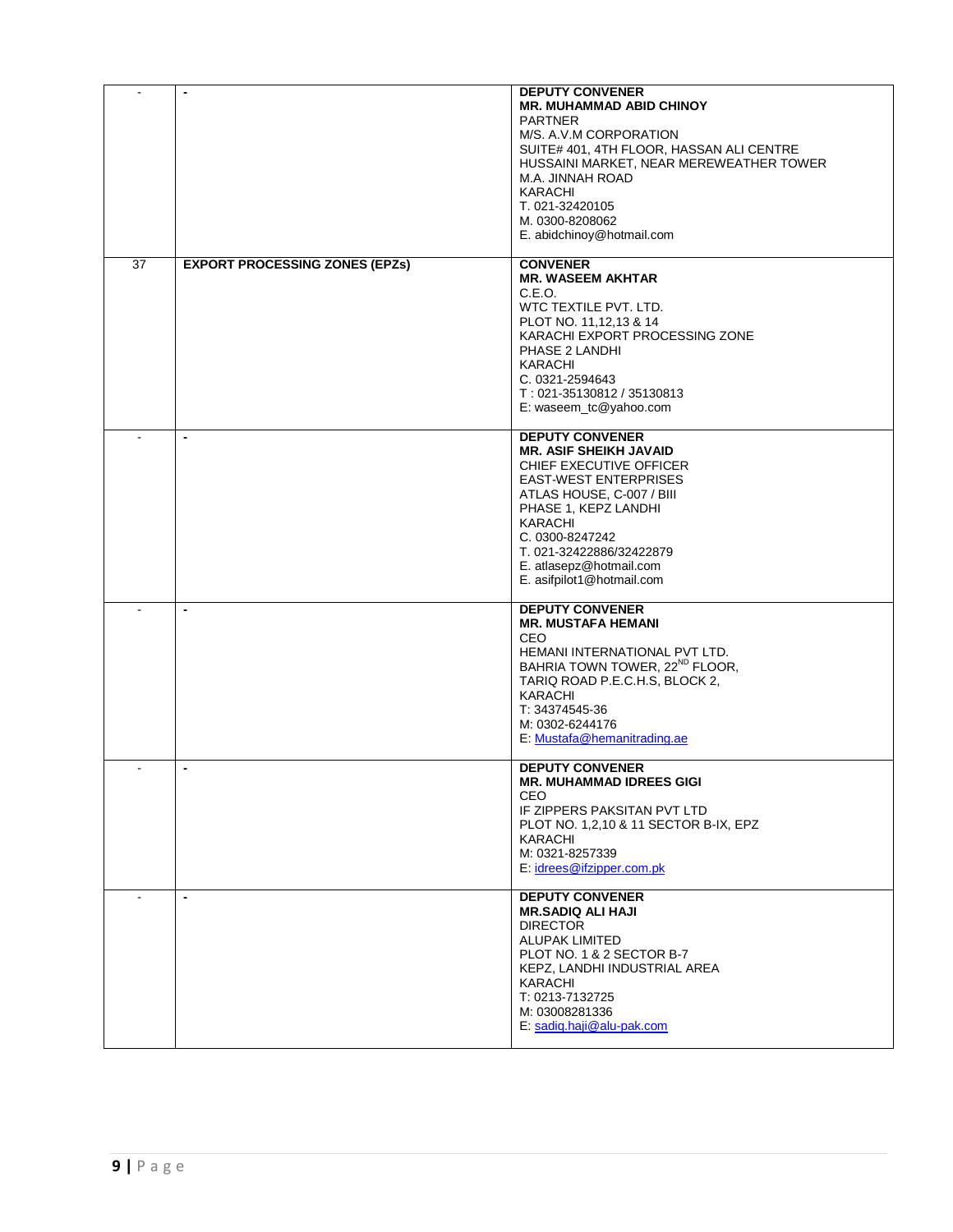|                | $\blacksquare$                        | <b>DEPUTY CONVENER</b><br><b>MR. MUHAMMAD ABID CHINOY</b><br><b>PARTNER</b><br>M/S. A.V.M CORPORATION<br>SUITE# 401, 4TH FLOOR, HASSAN ALI CENTRE<br>HUSSAINI MARKET, NEAR MEREWEATHER TOWER<br>M.A. JINNAH ROAD<br>KARACHI<br>T. 021-32420105<br>M. 0300-8208062<br>E. abidchinoy@hotmail.com   |
|----------------|---------------------------------------|--------------------------------------------------------------------------------------------------------------------------------------------------------------------------------------------------------------------------------------------------------------------------------------------------|
| 37             | <b>EXPORT PROCESSING ZONES (EPZs)</b> | <b>CONVENER</b><br><b>MR. WASEEM AKHTAR</b><br>C.E.O.<br>WTC TEXTILE PVT. LTD.<br>PLOT NO. 11,12,13 & 14<br>KARACHI EXPORT PROCESSING ZONE<br>PHASE 2 LANDHI<br>KARACHI<br>C. 0321-2594643<br>T: 021-35130812 / 35130813<br>E: waseem_tc@yahoo.com                                               |
|                | $\blacksquare$                        | <b>DEPUTY CONVENER</b><br><b>MR. ASIF SHEIKH JAVAID</b><br>CHIEF EXECUTIVE OFFICER<br><b>EAST-WEST ENTERPRISES</b><br>ATLAS HOUSE, C-007 / BIII<br>PHASE 1, KEPZ LANDHI<br><b>KARACHI</b><br>C. 0300-8247242<br>T. 021-32422886/32422879<br>E. atlasepz@hotmail.com<br>E. asifpilot1@hotmail.com |
|                | $\blacksquare$                        | <b>DEPUTY CONVENER</b><br><b>MR. MUSTAFA HEMANI</b><br>CEO<br>HEMANI INTERNATIONAL PVT LTD.<br>BAHRIA TOWN TOWER, 22 <sup>ND</sup> FLOOR,<br>TARIQ ROAD P.E.C.H.S, BLOCK 2,<br>KARACHI<br>T: 34374545-36<br>M: 0302-6244176<br>E: Mustafa@hemanitrading.ae                                       |
| $\blacksquare$ | $\overline{\phantom{a}}$              | <b>DEPUTY CONVENER</b><br><b>MR. MUHAMMAD IDREES GIGI</b><br><b>CEO</b><br>IF ZIPPERS PAKSITAN PVT LTD<br>PLOT NO. 1,2,10 & 11 SECTOR B-IX, EPZ<br>KARACHI<br>M: 0321-8257339<br>E: idrees@ifzipper.com.pk                                                                                       |
| $\mathbf{r}$   | $\blacksquare$                        | <b>DEPUTY CONVENER</b><br><b>MR.SADIQ ALI HAJI</b><br><b>DIRECTOR</b><br><b>ALUPAK LIMITED</b><br>PLOT NO. 1 & 2 SECTOR B-7<br>KEPZ, LANDHI INDUSTRIAL AREA<br>KARACHI<br>T: 0213-7132725<br>M: 03008281336<br>E: sadiq.haji@alu-pak.com                                                         |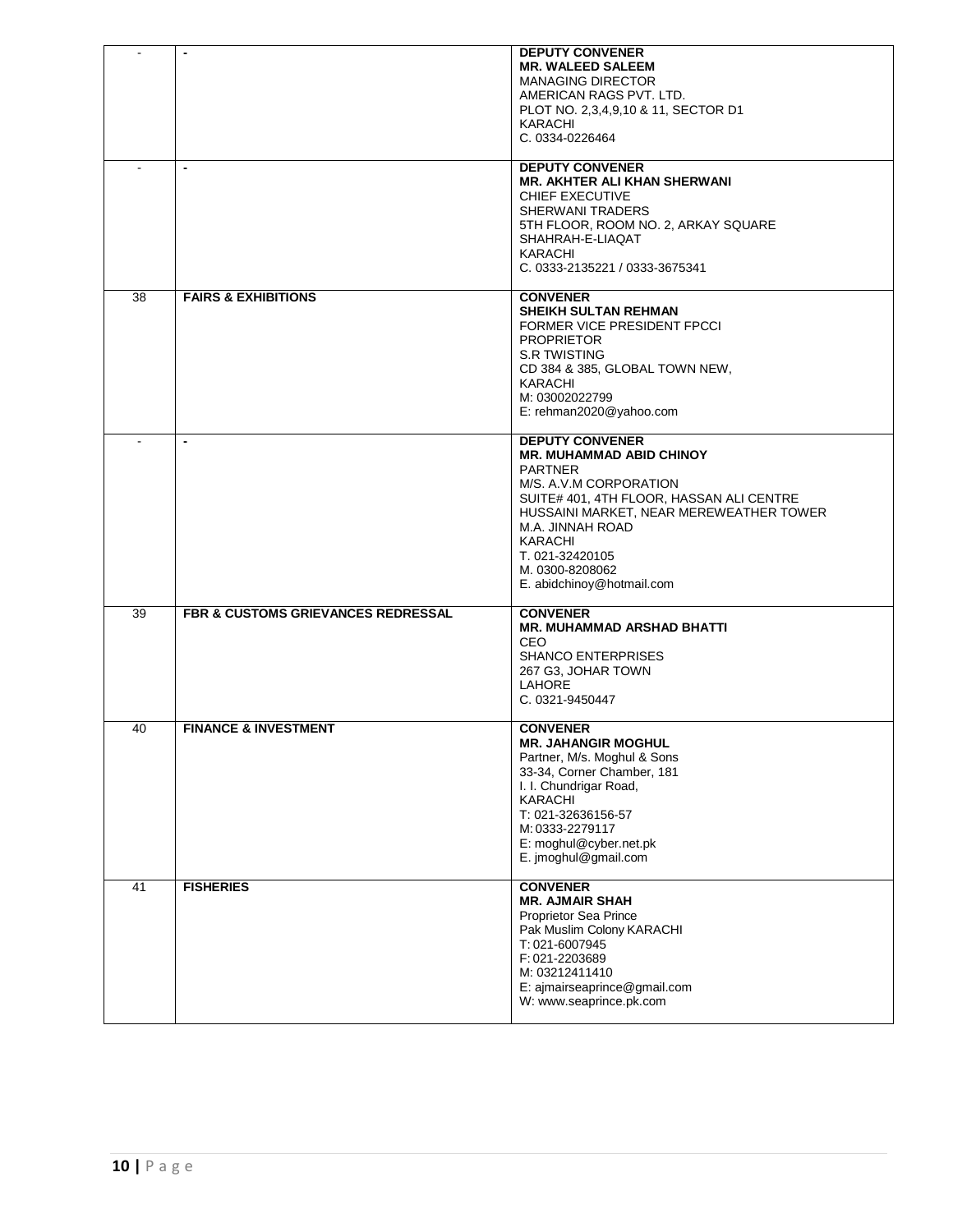| $\overline{\phantom{a}}$ | $\overline{\phantom{a}}$                      | <b>DEPUTY CONVENER</b>                           |
|--------------------------|-----------------------------------------------|--------------------------------------------------|
|                          |                                               | <b>MR. WALEED SALEEM</b>                         |
|                          |                                               | <b>MANAGING DIRECTOR</b>                         |
|                          |                                               | AMERICAN RAGS PVT. LTD.                          |
|                          |                                               | PLOT NO. 2,3,4,9,10 & 11, SECTOR D1              |
|                          |                                               | KARACHI<br>C. 0334-0226464                       |
|                          |                                               |                                                  |
|                          | $\blacksquare$                                | <b>DEPUTY CONVENER</b>                           |
|                          |                                               | <b>MR. AKHTER ALI KHAN SHERWANI</b>              |
|                          |                                               | CHIEF EXECUTIVE<br><b>SHERWANI TRADERS</b>       |
|                          |                                               | 5TH FLOOR, ROOM NO. 2, ARKAY SQUARE              |
|                          |                                               | SHAHRAH-E-LIAQAT                                 |
|                          |                                               | <b>KARACHI</b>                                   |
|                          |                                               | C. 0333-2135221 / 0333-3675341                   |
|                          |                                               |                                                  |
| 38                       | <b>FAIRS &amp; EXHIBITIONS</b>                | <b>CONVENER</b>                                  |
|                          |                                               | <b>SHEIKH SULTAN REHMAN</b>                      |
|                          |                                               | FORMER VICE PRESIDENT FPCCI                      |
|                          |                                               | <b>PROPRIETOR</b>                                |
|                          |                                               | <b>S.R TWISTING</b>                              |
|                          |                                               | CD 384 & 385, GLOBAL TOWN NEW,<br><b>KARACHI</b> |
|                          |                                               | M: 03002022799                                   |
|                          |                                               | E: rehman2020@yahoo.com                          |
|                          |                                               |                                                  |
|                          | $\overline{\phantom{a}}$                      | <b>DEPUTY CONVENER</b>                           |
|                          |                                               | <b>MR. MUHAMMAD ABID CHINOY</b>                  |
|                          |                                               | <b>PARTNER</b><br>M/S. A.V.M CORPORATION         |
|                          |                                               | SUITE# 401, 4TH FLOOR, HASSAN ALI CENTRE         |
|                          |                                               | HUSSAINI MARKET, NEAR MEREWEATHER TOWER          |
|                          |                                               | M.A. JINNAH ROAD                                 |
|                          |                                               | KARACHI                                          |
|                          |                                               | T. 021-32420105                                  |
|                          |                                               | M. 0300-8208062                                  |
|                          |                                               | E. abidchinoy@hotmail.com                        |
| 39                       | <b>FBR &amp; CUSTOMS GRIEVANCES REDRESSAL</b> | <b>CONVENER</b>                                  |
|                          |                                               | <b>MR. MUHAMMAD ARSHAD BHATTI</b>                |
|                          |                                               | CEO                                              |
|                          |                                               | <b>SHANCO ENTERPRISES</b>                        |
|                          |                                               | 267 G3, JOHAR TOWN                               |
|                          |                                               | <b>LAHORE</b>                                    |
|                          |                                               | C. 0321-9450447                                  |
| 40                       | <b>FINANCE &amp; INVESTMENT</b>               | <b>CONVENER</b>                                  |
|                          |                                               | <b>MR. JAHANGIR MOGHUL</b>                       |
|                          |                                               | Partner, M/s. Moghul & Sons                      |
|                          |                                               | 33-34, Corner Chamber, 181                       |
|                          |                                               | I. I. Chundrigar Road,                           |
|                          |                                               | KARACHI                                          |
|                          |                                               | T: 021-32636156-57<br>M: 0333-2279117            |
|                          |                                               | E: moghul@cyber.net.pk                           |
|                          |                                               | E. imoghul@gmail.com                             |
|                          |                                               |                                                  |
| 41                       | <b>FISHERIES</b>                              | <b>CONVENER</b>                                  |
|                          |                                               | <b>MR. AJMAIR SHAH</b>                           |
|                          |                                               | Proprietor Sea Prince                            |
|                          |                                               | Pak Muslim Colony KARACHI<br>T: 021-6007945      |
|                          |                                               | F: 021-2203689                                   |
|                          |                                               | M: 03212411410                                   |
|                          |                                               | E: ajmairseaprince@gmail.com                     |
|                          |                                               | W: www.seaprince.pk.com                          |
|                          |                                               |                                                  |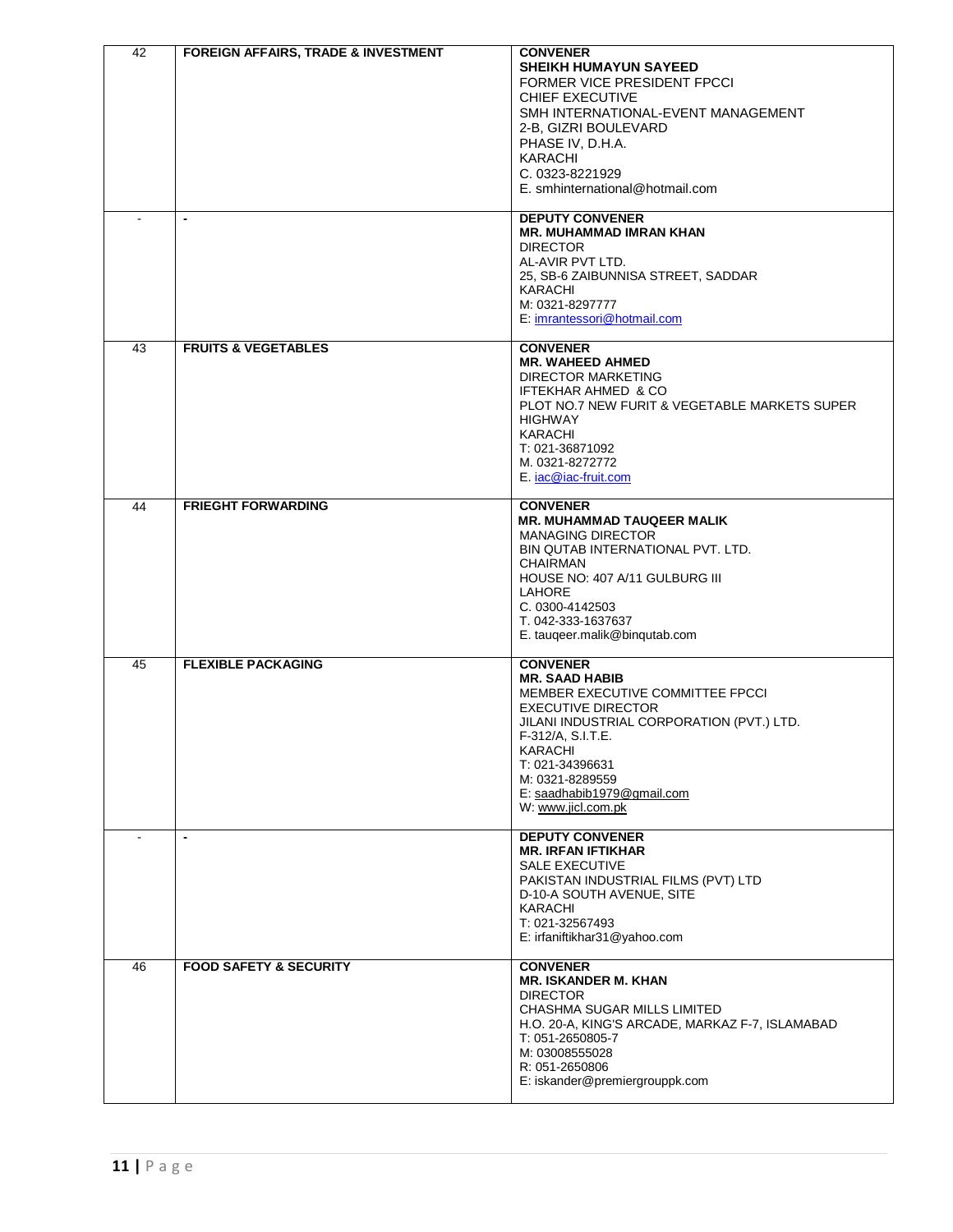| 42 | <b>FOREIGN AFFAIRS, TRADE &amp; INVESTMENT</b><br>$\overline{\phantom{a}}$ | <b>CONVENER</b><br><b>SHEIKH HUMAYUN SAYEED</b><br>FORMER VICE PRESIDENT FPCCI<br>CHIEF EXECUTIVE<br>SMH INTERNATIONAL-EVENT MANAGEMENT<br>2-B, GIZRI BOULEVARD<br>PHASE IV, D.H.A.<br><b>KARACHI</b><br>C. 0323-8221929<br>E. smhinternational@hotmail.com<br><b>DEPUTY CONVENER</b><br><b>MR. MUHAMMAD IMRAN KHAN</b><br><b>DIRECTOR</b><br>AL-AVIR PVT LTD.<br>25, SB-6 ZAIBUNNISA STREET, SADDAR<br>KARACHI<br>M: 0321-8297777<br>E: imrantessori@hotmail.com |
|----|----------------------------------------------------------------------------|-------------------------------------------------------------------------------------------------------------------------------------------------------------------------------------------------------------------------------------------------------------------------------------------------------------------------------------------------------------------------------------------------------------------------------------------------------------------|
| 43 | <b>FRUITS &amp; VEGETABLES</b>                                             | <b>CONVENER</b><br><b>MR. WAHEED AHMED</b><br><b>DIRECTOR MARKETING</b><br>IFTEKHAR AHMED & CO<br>PLOT NO.7 NEW FURIT & VEGETABLE MARKETS SUPER<br><b>HIGHWAY</b><br>KARACHI<br>T: 021-36871092<br>M. 0321-8272772<br>E. iac@iac-fruit.com                                                                                                                                                                                                                        |
| 44 | <b>FRIEGHT FORWARDING</b>                                                  | <b>CONVENER</b><br><b>MR. MUHAMMAD TAUQEER MALIK</b><br><b>MANAGING DIRECTOR</b><br>BIN QUTAB INTERNATIONAL PVT. LTD.<br><b>CHAIRMAN</b><br>HOUSE NO: 407 A/11 GULBURG III<br>LAHORE<br>C. 0300-4142503<br>T. 042-333-1637637<br>E. tauqeer.malik@binqutab.com                                                                                                                                                                                                    |
| 45 | <b>FLEXIBLE PACKAGING</b>                                                  | <b>CONVENER</b><br><b>MR. SAAD HABIB</b><br>MEMBER EXECUTIVE COMMITTEE FPCCI<br><b>EXECUTIVE DIRECTOR</b><br>JILANI INDUSTRIAL CORPORATION (PVT.) LTD.<br>F-312/A, S.I.T.E.<br>KARACHI<br>T: 021-34396631<br>M: 0321-8289559<br>E: saadhabib1979@gmail.com<br>W: www.jicl.com.pk                                                                                                                                                                                  |
|    | $\blacksquare$                                                             | <b>DEPUTY CONVENER</b><br><b>MR. IRFAN IFTIKHAR</b><br><b>SALE EXECUTIVE</b><br>PAKISTAN INDUSTRIAL FILMS (PVT) LTD<br>D-10-A SOUTH AVENUE, SITE<br>KARACHI<br>T: 021-32567493<br>E: irfaniftikhar31@yahoo.com                                                                                                                                                                                                                                                    |
| 46 | <b>FOOD SAFETY &amp; SECURITY</b>                                          | <b>CONVENER</b><br><b>MR. ISKANDER M. KHAN</b><br><b>DIRECTOR</b><br>CHASHMA SUGAR MILLS LIMITED<br>H.O. 20-A, KING'S ARCADE, MARKAZ F-7, ISLAMABAD<br>T: 051-2650805-7<br>M: 03008555028<br>R: 051-2650806<br>E: iskander@premiergrouppk.com                                                                                                                                                                                                                     |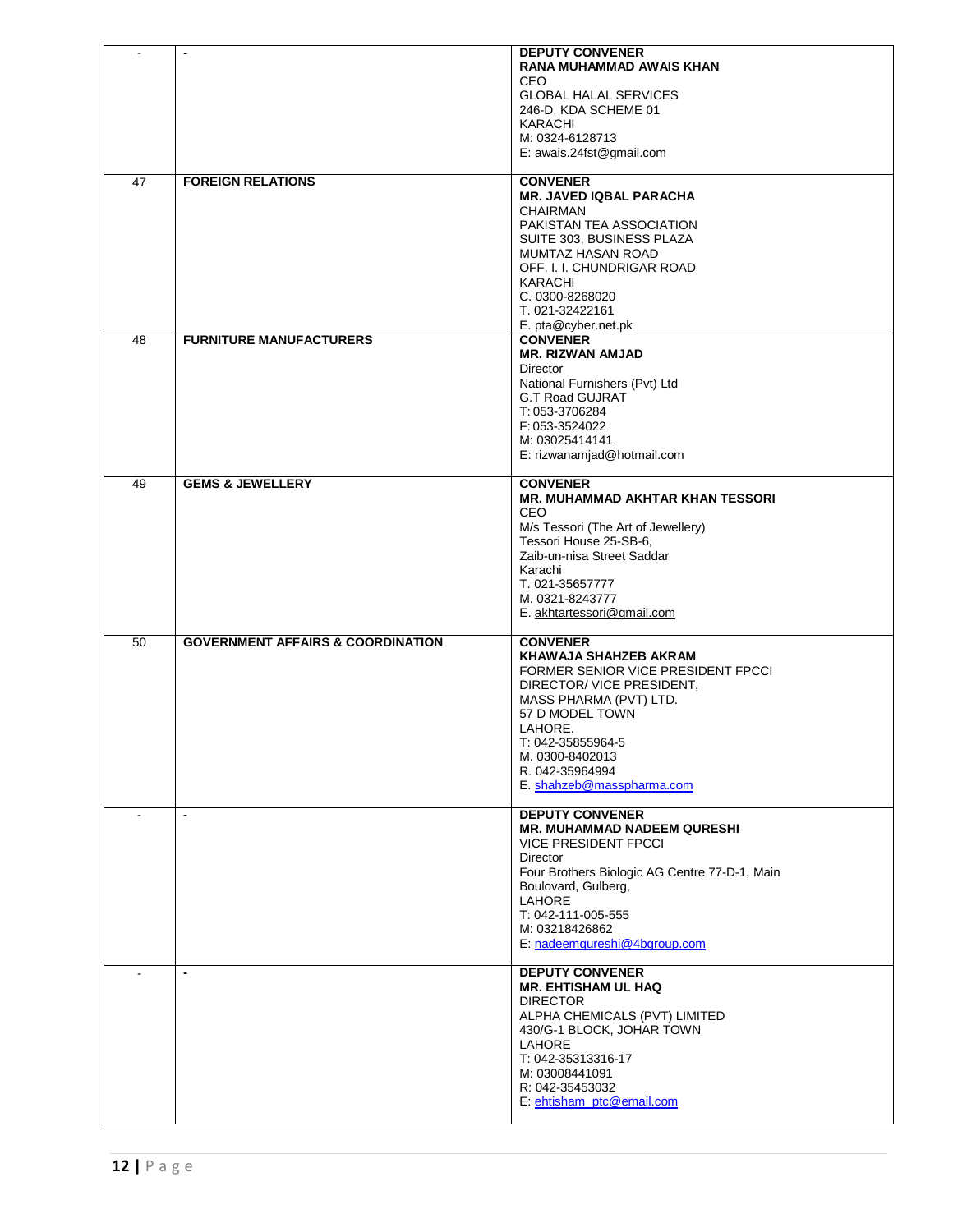| $\blacksquare$ | $\blacksquare$                               | <b>DEPUTY CONVENER</b><br><b>RANA MUHAMMAD AWAIS KHAN</b><br>CEO.<br><b>GLOBAL HALAL SERVICES</b>                                                                                                                                                                 |
|----------------|----------------------------------------------|-------------------------------------------------------------------------------------------------------------------------------------------------------------------------------------------------------------------------------------------------------------------|
|                |                                              | 246-D, KDA SCHEME 01<br>KARACHI<br>M: 0324-6128713<br>E: awais.24fst@gmail.com                                                                                                                                                                                    |
| 47             | <b>FOREIGN RELATIONS</b>                     | <b>CONVENER</b><br><b>MR. JAVED IQBAL PARACHA</b>                                                                                                                                                                                                                 |
|                |                                              | CHAIRMAN<br>PAKISTAN TEA ASSOCIATION<br>SUITE 303, BUSINESS PLAZA<br><b>MUMTAZ HASAN ROAD</b><br>OFF. I. I. CHUNDRIGAR ROAD                                                                                                                                       |
|                |                                              | KARACHI<br>C. 0300-8268020<br>T. 021-32422161<br>E. pta@cyber.net.pk                                                                                                                                                                                              |
| 48             | <b>FURNITURE MANUFACTURERS</b>               | <b>CONVENER</b><br><b>MR. RIZWAN AMJAD</b><br>Director                                                                                                                                                                                                            |
|                |                                              | National Furnishers (Pvt) Ltd<br><b>G.T Road GUJRAT</b><br>T: 053-3706284                                                                                                                                                                                         |
|                |                                              | F: 053-3524022<br>M: 03025414141<br>E: rizwanamjad@hotmail.com                                                                                                                                                                                                    |
| 49             | <b>GEMS &amp; JEWELLERY</b>                  | <b>CONVENER</b><br><b>MR. MUHAMMAD AKHTAR KHAN TESSORI</b><br>CEO                                                                                                                                                                                                 |
|                |                                              | M/s Tessori (The Art of Jewellery)<br>Tessori House 25-SB-6,<br>Zaib-un-nisa Street Saddar                                                                                                                                                                        |
|                |                                              | Karachi<br>T. 021-35657777<br>M. 0321-8243777                                                                                                                                                                                                                     |
|                |                                              | E. akhtartessori@gmail.com                                                                                                                                                                                                                                        |
| 50             | <b>GOVERNMENT AFFAIRS &amp; COORDINATION</b> | <b>CONVENER</b><br>KHAWAJA SHAHZEB AKRAM<br>FORMER SENIOR VICE PRESIDENT FPCCI<br>DIRECTOR/ VICE PRESIDENT,<br>MASS PHARMA (PVT) LTD.<br>57 D MODEL TOWN<br>LAHORE.<br>T: 042-35855964-5<br>M. 0300-8402013<br>R. 042-35964994                                    |
|                |                                              | E. shahzeb@masspharma.com                                                                                                                                                                                                                                         |
| $\sim$         | $\blacksquare$                               | <b>DEPUTY CONVENER</b><br><b>MR. MUHAMMAD NADEEM QURESHI</b><br><b>VICE PRESIDENT FPCCI</b><br>Director<br>Four Brothers Biologic AG Centre 77-D-1, Main<br>Boulovard, Gulberg,<br>LAHORE<br>T: 042-111-005-555<br>M: 03218426862<br>E: nadeemqureshi@4bgroup.com |
| $\blacksquare$ | $\overline{\phantom{a}}$                     | <b>DEPUTY CONVENER</b><br><b>MR. EHTISHAM UL HAQ</b><br><b>DIRECTOR</b><br>ALPHA CHEMICALS (PVT) LIMITED<br>430/G-1 BLOCK, JOHAR TOWN<br>LAHORE<br>T: 042-35313316-17<br>M: 03008441091<br>R: 042-35453032<br>E: ehtisham_ptc@email.com                           |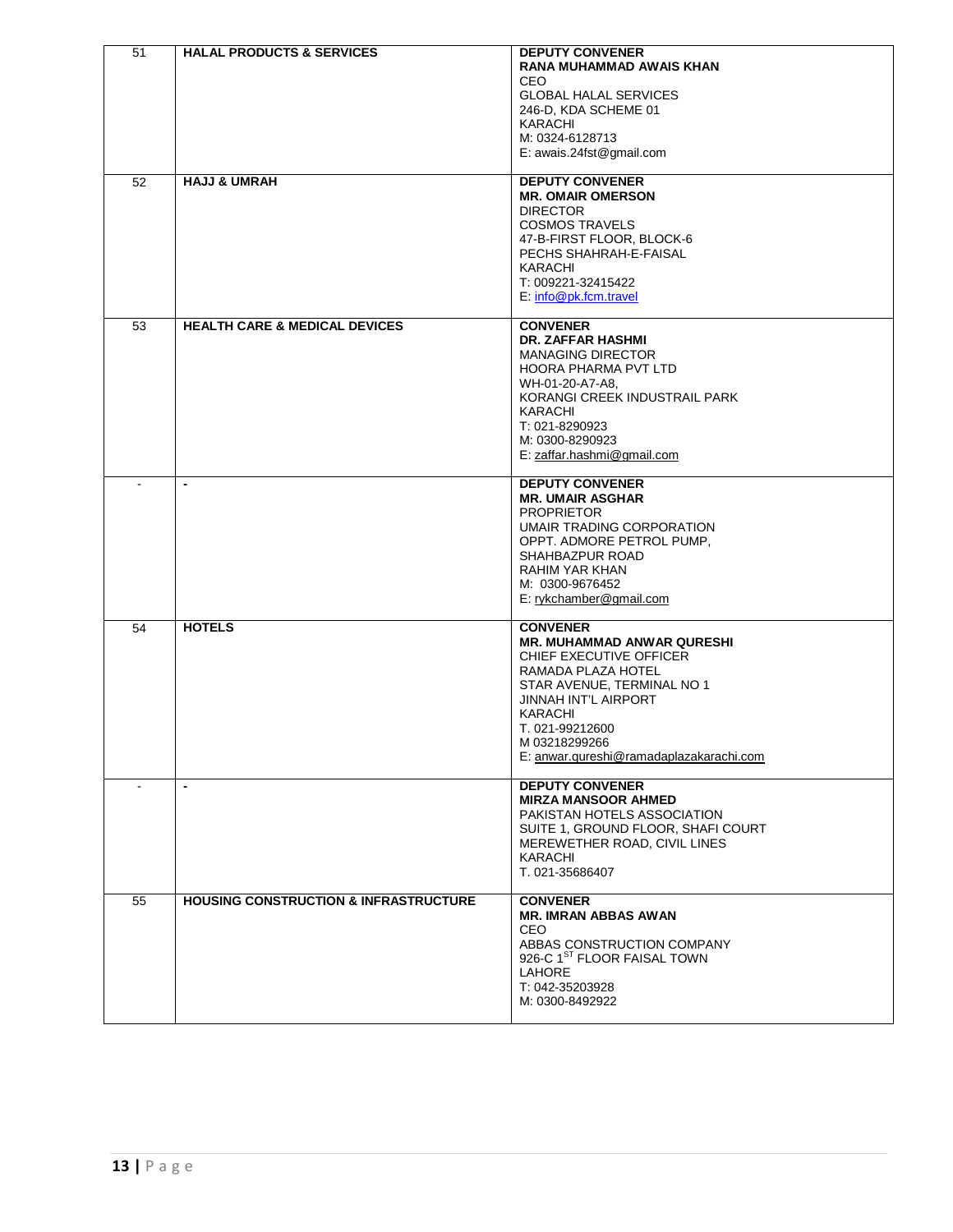| 51<br>$\overline{52}$ | <b>HALAL PRODUCTS &amp; SERVICES</b><br><b>HAJJ &amp; UMRAH</b> | <b>DEPUTY CONVENER</b><br><b>RANA MUHAMMAD AWAIS KHAN</b><br>CEO<br><b>GLOBAL HALAL SERVICES</b><br>246-D, KDA SCHEME 01<br>KARACHI<br>M: 0324-6128713<br>E: awais.24fst@gmail.com<br><b>DEPUTY CONVENER</b>                                                        |
|-----------------------|-----------------------------------------------------------------|---------------------------------------------------------------------------------------------------------------------------------------------------------------------------------------------------------------------------------------------------------------------|
|                       |                                                                 | <b>MR. OMAIR OMERSON</b><br><b>DIRECTOR</b><br><b>COSMOS TRAVELS</b><br>47-B-FIRST FLOOR, BLOCK-6<br>PECHS SHAHRAH-E-FAISAL<br>KARACHI<br>T: 009221-32415422<br>$E: info@pk.format$ ravel                                                                           |
| 53                    | <b>HEALTH CARE &amp; MEDICAL DEVICES</b>                        | <b>CONVENER</b><br>DR. ZAFFAR HASHMI<br><b>MANAGING DIRECTOR</b><br>HOORA PHARMA PVT LTD<br>WH-01-20-A7-A8,<br>KORANGI CREEK INDUSTRAIL PARK<br><b>KARACHI</b><br>T: 021-8290923<br>M: 0300-8290923<br>E: zaffar.hashmi@gmail.com                                   |
|                       | $\blacksquare$                                                  | <b>DEPUTY CONVENER</b><br><b>MR. UMAIR ASGHAR</b><br><b>PROPRIETOR</b><br>UMAIR TRADING CORPORATION<br>OPPT. ADMORE PETROL PUMP.<br>SHAHBAZPUR ROAD<br>RAHIM YAR KHAN<br>M: 0300-9676452<br>E: rykchamber@gmail.com                                                 |
| 54                    | <b>HOTELS</b>                                                   | <b>CONVENER</b><br><b>MR. MUHAMMAD ANWAR QURESHI</b><br>CHIEF EXECUTIVE OFFICER<br>RAMADA PLAZA HOTEL<br>STAR AVENUE, TERMINAL NO 1<br><b>JINNAH INT'L AIRPORT</b><br><b>KARACHI</b><br>T. 021-99212600<br>M 03218299266<br>E: anwar.qureshi@ramadaplazakarachi.com |
|                       | $\overline{\phantom{a}}$                                        | <b>DEPUTY CONVENER</b><br><b>MIRZA MANSOOR AHMED</b><br>PAKISTAN HOTELS ASSOCIATION<br>SUITE 1, GROUND FLOOR, SHAFI COURT<br>MEREWETHER ROAD, CIVIL LINES<br>KARACHI<br>T. 021-35686407                                                                             |
| 55                    | <b>HOUSING CONSTRUCTION &amp; INFRASTRUCTURE</b>                | <b>CONVENER</b><br><b>MR. IMRAN ABBAS AWAN</b><br>CEO.<br>ABBAS CONSTRUCTION COMPANY<br>926-C 1ST FLOOR FAISAL TOWN<br>LAHORE<br>T: 042-35203928<br>M: 0300-8492922                                                                                                 |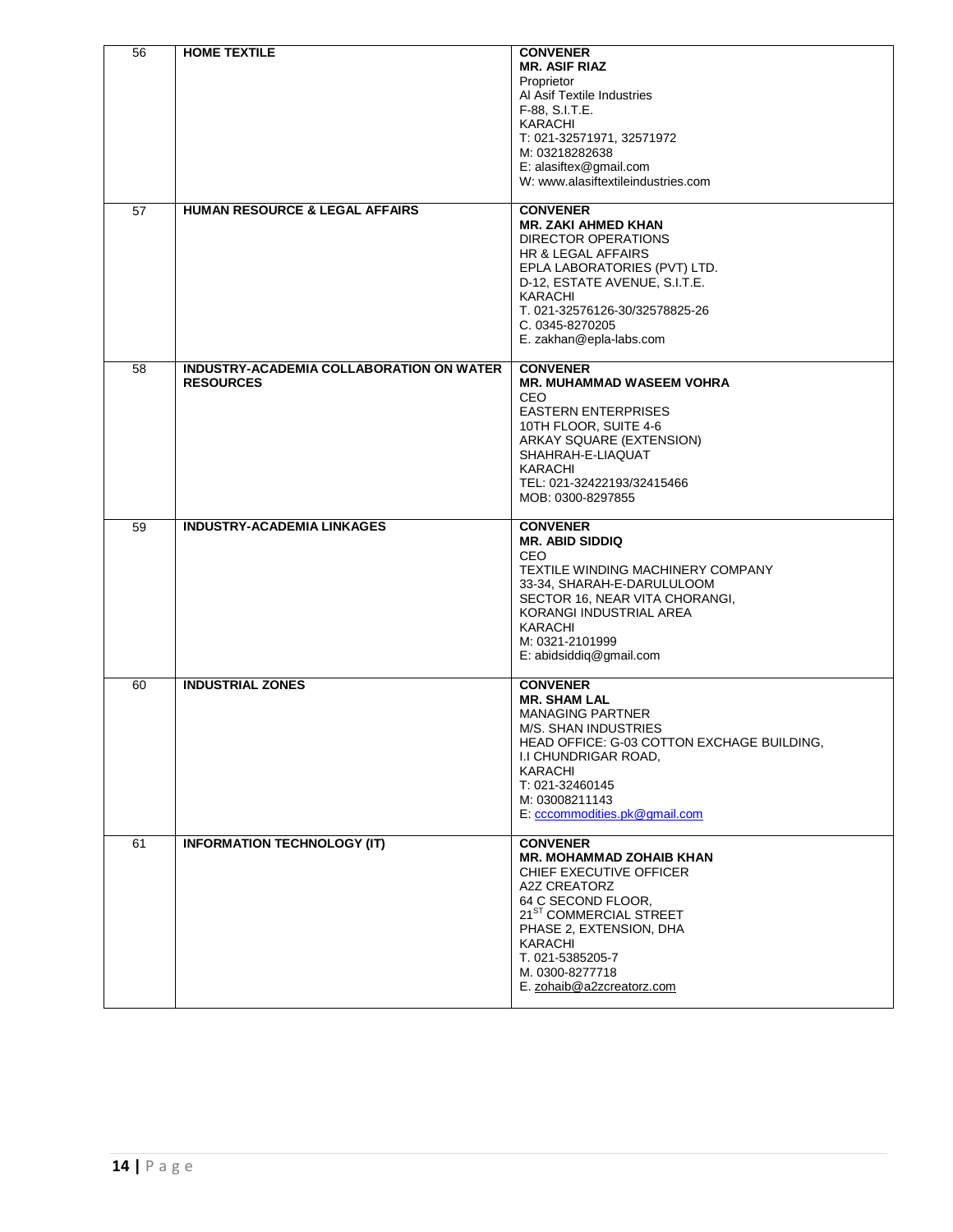| 56 | <b>HOME TEXTILE</b>                                          | <b>CONVENER</b><br><b>MR. ASIF RIAZ</b><br>Proprietor<br>Al Asif Textile Industries<br>F-88, S.I.T.E.<br><b>KARACHI</b><br>T: 021-32571971, 32571972<br>M: 03218282638<br>E: alasiftex@gmail.com<br>W: www.alasiftextileindustries.com                              |
|----|--------------------------------------------------------------|---------------------------------------------------------------------------------------------------------------------------------------------------------------------------------------------------------------------------------------------------------------------|
| 57 | <b>HUMAN RESOURCE &amp; LEGAL AFFAIRS</b>                    | <b>CONVENER</b><br><b>MR. ZAKI AHMED KHAN</b><br><b>DIRECTOR OPERATIONS</b><br>HR & LEGAL AFFAIRS<br>EPLA LABORATORIES (PVT) LTD.<br>D-12, ESTATE AVENUE, S.I.T.E.<br>KARACHI<br>T. 021-32576126-30/32578825-26<br>C. 0345-8270205<br>E. zakhan@epla-labs.com       |
| 58 | INDUSTRY-ACADEMIA COLLABORATION ON WATER<br><b>RESOURCES</b> | <b>CONVENER</b><br><b>MR. MUHAMMAD WASEEM VOHRA</b><br>CEO.<br><b>EASTERN ENTERPRISES</b><br>10TH FLOOR, SUITE 4-6<br>ARKAY SQUARE (EXTENSION)<br>SHAHRAH-E-LIAQUAT<br>KARACHI<br>TEL: 021-32422193/32415466<br>MOB: 0300-8297855                                   |
| 59 | <b>INDUSTRY-ACADEMIA LINKAGES</b>                            | <b>CONVENER</b><br><b>MR. ABID SIDDIQ</b><br>CEO<br>TEXTILE WINDING MACHINERY COMPANY<br>33-34, SHARAH-E-DARULULOOM<br>SECTOR 16, NEAR VITA CHORANGI,<br>KORANGI INDUSTRIAL AREA<br>KARACHI<br>M: 0321-2101999<br>E: abidsiddiq@gmail.com                           |
| 60 | <b>INDUSTRIAL ZONES</b>                                      | <b>CONVENER</b><br><b>MR. SHAM LAL</b><br><b>MANAGING PARTNER</b><br><b>M/S. SHAN INDUSTRIES</b><br>HEAD OFFICE: G-03 COTTON EXCHAGE BUILDING,<br>I.I CHUNDRIGAR ROAD,<br>KARACHI<br>T: 021-32460145<br>M: 03008211143<br>E: cccommodities.pk@gmail.com             |
| 61 | <b>INFORMATION TECHNOLOGY (IT)</b>                           | <b>CONVENER</b><br><b>MR. MOHAMMAD ZOHAIB KHAN</b><br>CHIEF EXECUTIVE OFFICER<br>A2Z CREATORZ<br>64 C SECOND FLOOR,<br>21 <sup>ST</sup> COMMERCIAL STREET<br>PHASE 2, EXTENSION, DHA<br>KARACHI<br>T. 021-5385205-7<br>M. 0300-8277718<br>E. zohaib@a2zcreatorz.com |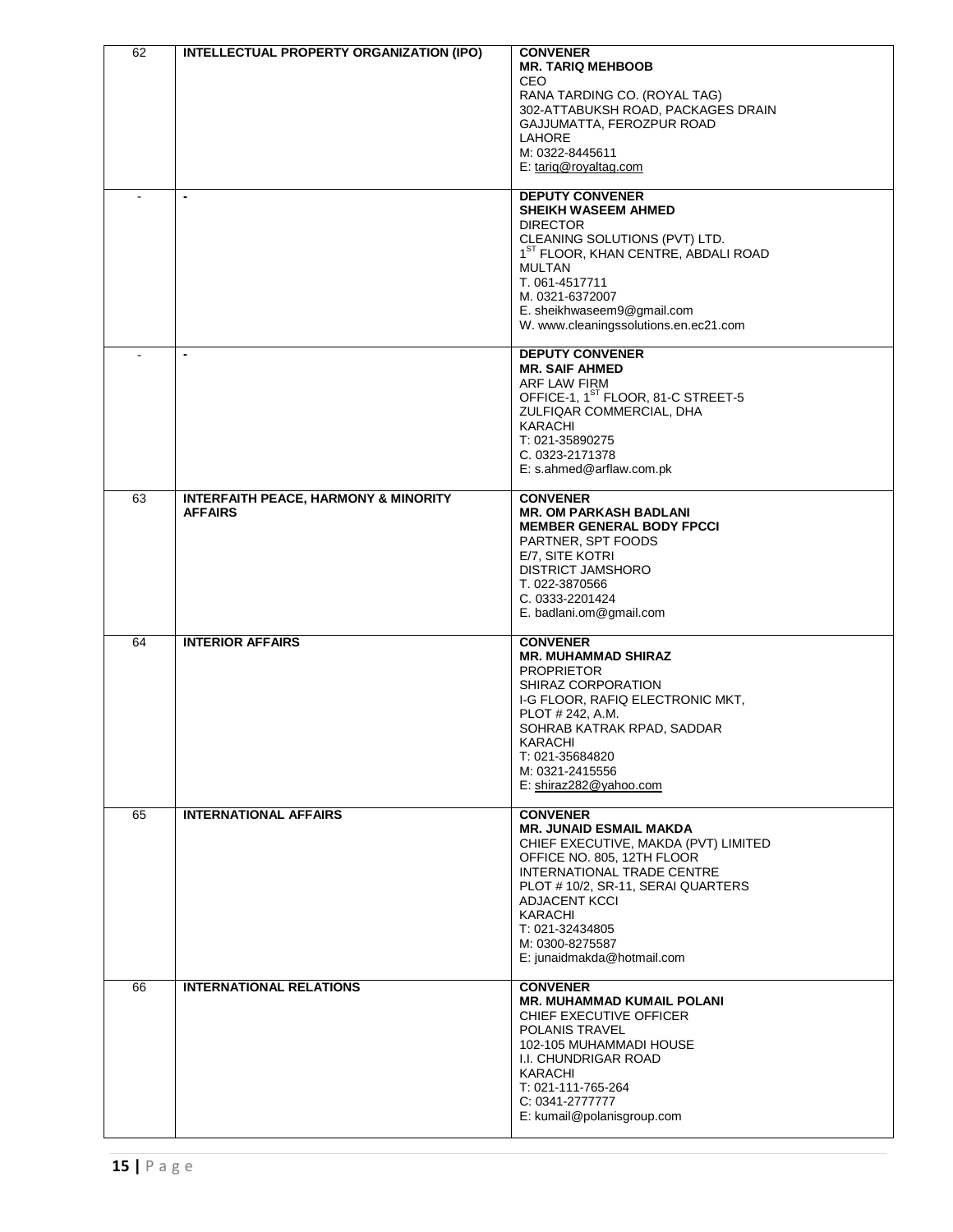| 62 | INTELLECTUAL PROPERTY ORGANIZATION (IPO)                          | <b>CONVENER</b><br><b>MR. TARIQ MEHBOOB</b><br>CEO<br>RANA TARDING CO. (ROYAL TAG)<br>302-ATTABUKSH ROAD, PACKAGES DRAIN<br>GAJJUMATTA, FEROZPUR ROAD<br><b>LAHORE</b><br>M: 0322-8445611<br>E: tariq@royaltag.com                                                                         |
|----|-------------------------------------------------------------------|--------------------------------------------------------------------------------------------------------------------------------------------------------------------------------------------------------------------------------------------------------------------------------------------|
|    | $\overline{\phantom{a}}$                                          | <b>DEPUTY CONVENER</b><br><b>SHEIKH WASEEM AHMED</b><br><b>DIRECTOR</b><br>CLEANING SOLUTIONS (PVT) LTD.<br>1 <sup>ST</sup> FLOOR, KHAN CENTRE, ABDALI ROAD<br><b>MULTAN</b><br>T. 061-4517711<br>M. 0321-6372007<br>E. sheikhwaseem9@gmail.com<br>W. www.cleaningssolutions.en.ec21.com   |
|    | $\blacksquare$                                                    | <b>DEPUTY CONVENER</b><br><b>MR. SAIF AHMED</b><br>ARF LAW FIRM<br>OFFICE-1, 1 <sup>ST</sup> FLOOR, 81-C STREET-5<br>ZULFIQAR COMMERCIAL, DHA<br><b>KARACHI</b><br>T: 021-35890275<br>C. 0323-2171378<br>E: s.ahmed@arflaw.com.pk                                                          |
| 63 | <b>INTERFAITH PEACE, HARMONY &amp; MINORITY</b><br><b>AFFAIRS</b> | <b>CONVENER</b><br><b>MR. OM PARKASH BADLANI</b><br><b>MEMBER GENERAL BODY FPCCI</b><br>PARTNER, SPT FOODS<br>E/7, SITE KOTRI<br>DISTRICT JAMSHORO<br>T. 022-3870566<br>C. 0333-2201424<br>E. badlani.om@gmail.com                                                                         |
| 64 | <b>INTERIOR AFFAIRS</b>                                           | <b>CONVENER</b><br><b>MR. MUHAMMAD SHIRAZ</b><br><b>PROPRIETOR</b><br>SHIRAZ CORPORATION<br>I-G FLOOR, RAFIQ ELECTRONIC MKT,<br>PLOT # 242, A.M.<br>SOHRAB KATRAK RPAD, SADDAR<br><b>KARACHI</b><br>T: 021-35684820<br>M: 0321-2415556<br>E: shiraz282@yahoo.com                           |
| 65 | <b>INTERNATIONAL AFFAIRS</b>                                      | <b>CONVENER</b><br><b>MR. JUNAID ESMAIL MAKDA</b><br>CHIEF EXECUTIVE, MAKDA (PVT) LIMITED<br>OFFICE NO. 805, 12TH FLOOR<br>INTERNATIONAL TRADE CENTRE<br>PLOT #10/2, SR-11, SERAI QUARTERS<br>ADJACENT KCCI<br>KARACHI<br>T: 021-32434805<br>M: 0300-8275587<br>E: junaidmakda@hotmail.com |
| 66 | <b>INTERNATIONAL RELATIONS</b>                                    | <b>CONVENER</b><br><b>MR. MUHAMMAD KUMAIL POLANI</b><br>CHIEF EXECUTIVE OFFICER<br>POLANIS TRAVEL<br>102-105 MUHAMMADI HOUSE<br>I.I. CHUNDRIGAR ROAD<br>KARACHI<br>T: 021-111-765-264<br>C: 0341-2777777<br>E: kumail@polanisgroup.com                                                     |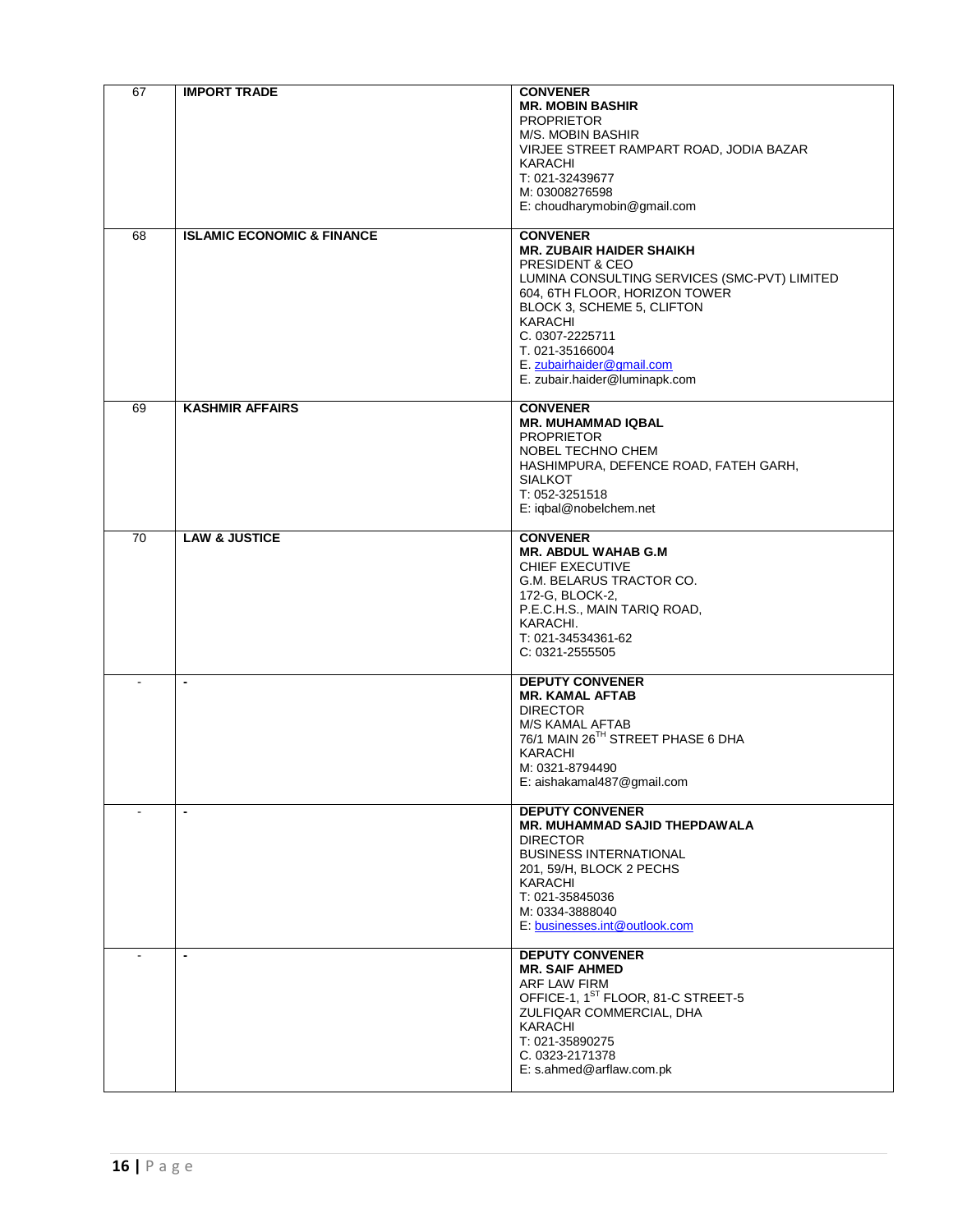| 67              | <b>IMPORT TRADE</b>                   | <b>CONVENER</b><br><b>MR. MOBIN BASHIR</b><br><b>PROPRIETOR</b><br>M/S. MOBIN BASHIR<br>VIRJEE STREET RAMPART ROAD, JODIA BAZAR<br>KARACHI<br>T: 021-32439677<br>M: 03008276598<br>E: choudharymobin@gmail.com                                                                                      |
|-----------------|---------------------------------------|-----------------------------------------------------------------------------------------------------------------------------------------------------------------------------------------------------------------------------------------------------------------------------------------------------|
| 68              | <b>ISLAMIC ECONOMIC &amp; FINANCE</b> | <b>CONVENER</b><br><b>MR. ZUBAIR HAIDER SHAIKH</b><br>PRESIDENT & CEO<br>LUMINA CONSULTING SERVICES (SMC-PVT) LIMITED<br>604, 6TH FLOOR, HORIZON TOWER<br>BLOCK 3, SCHEME 5, CLIFTON<br>KARACHI<br>C. 0307-2225711<br>T. 021-35166004<br>E. zubairhaider@gmail.com<br>E. zubair.haider@luminapk.com |
| 69              | <b>KASHMIR AFFAIRS</b>                | <b>CONVENER</b><br><b>MR. MUHAMMAD IQBAL</b><br><b>PROPRIETOR</b><br>NOBEL TECHNO CHEM<br>HASHIMPURA, DEFENCE ROAD, FATEH GARH,<br><b>SIALKOT</b><br>T: 052-3251518<br>E: iqbal@nobelchem.net                                                                                                       |
| $\overline{70}$ | <b>LAW &amp; JUSTICE</b>              | <b>CONVENER</b><br><b>MR. ABDUL WAHAB G.M</b><br>CHIEF EXECUTIVE<br>G.M. BELARUS TRACTOR CO.<br>172-G, BLOCK-2,<br>P.E.C.H.S., MAIN TARIQ ROAD,<br>KARACHI.<br>T: 021-34534361-62<br>$C: 0321 - 2555505$                                                                                            |
|                 | $\overline{\phantom{a}}$              | <b>DEPUTY CONVENER</b><br><b>MR. KAMAL AFTAB</b><br><b>DIRECTOR</b><br>M/S KAMAL AFTAB<br>76/1 MAIN 26TH STREET PHASE 6 DHA<br><b>KARACHI</b><br>M: 0321-8794490<br>E: aishakamal487@gmail.com                                                                                                      |
|                 | $\blacksquare$                        | <b>DEPUTY CONVENER</b><br>MR. MUHAMMAD SAJID THEPDAWALA<br><b>DIRECTOR</b><br><b>BUSINESS INTERNATIONAL</b><br>201, 59/H, BLOCK 2 PECHS<br>KARACHI<br>T: 021-35845036<br>M: 0334-3888040<br>E: businesses.int@outlook.com                                                                           |
|                 | $\blacksquare$                        | <b>DEPUTY CONVENER</b><br><b>MR. SAIF AHMED</b><br>ARF LAW FIRM<br>OFFICE-1, 1 <sup>ST</sup> FLOOR, 81-C STREET-5<br>ZULFIQAR COMMERCIAL, DHA<br>KARACHI<br>T: 021-35890275<br>C. 0323-2171378<br>E: s.ahmed@arflaw.com.pk                                                                          |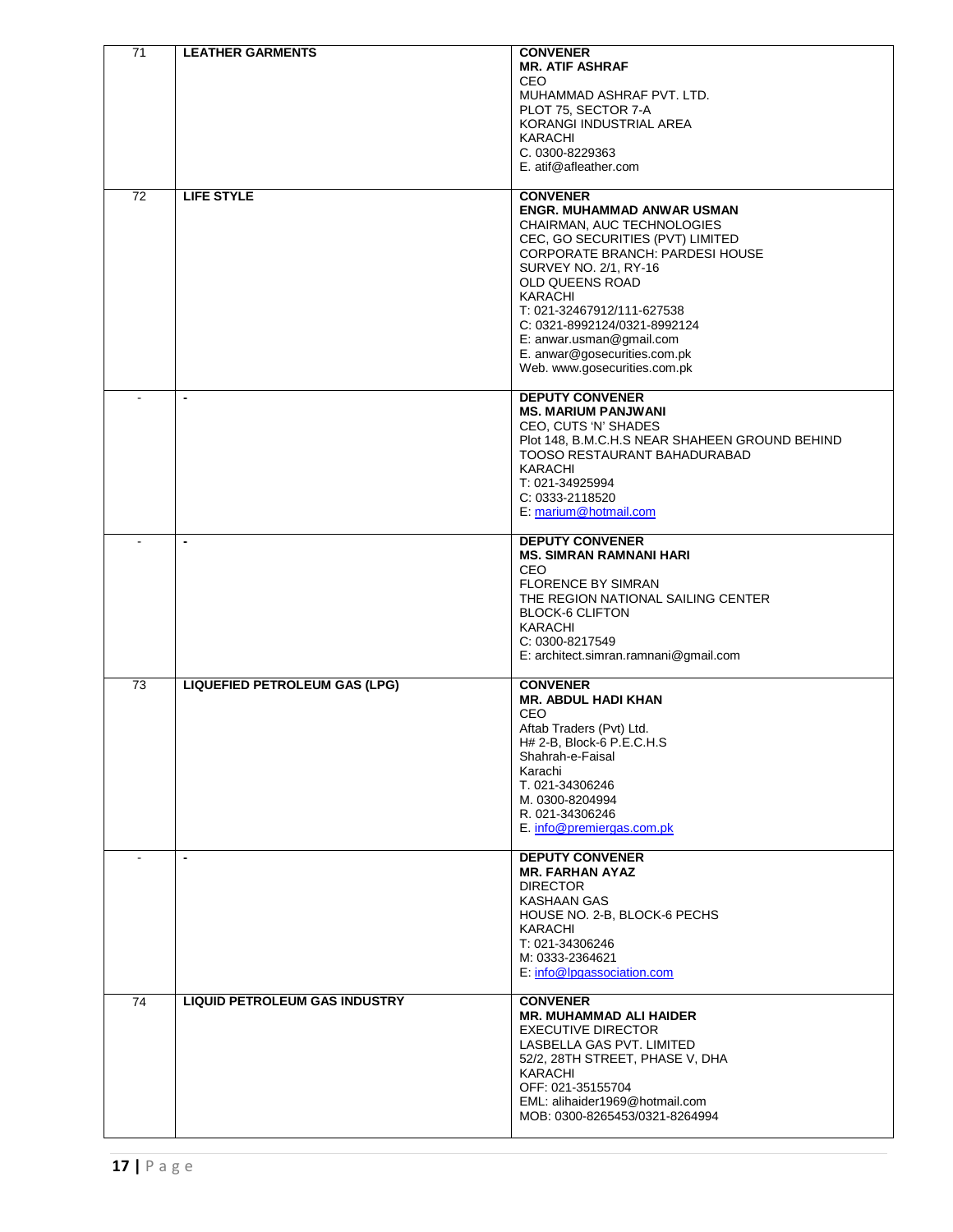| 71 | <b>LEATHER GARMENTS</b>              | <b>CONVENER</b><br><b>MR. ATIF ASHRAF</b><br><b>CEO</b><br>MUHAMMAD ASHRAF PVT. LTD.                                                                                                                                                                                                                                                                                              |
|----|--------------------------------------|-----------------------------------------------------------------------------------------------------------------------------------------------------------------------------------------------------------------------------------------------------------------------------------------------------------------------------------------------------------------------------------|
|    |                                      | PLOT 75, SECTOR 7-A<br>KORANGI INDUSTRIAL AREA<br>KARACHI<br>C. 0300-8229363                                                                                                                                                                                                                                                                                                      |
|    |                                      | E. atif@afleather.com                                                                                                                                                                                                                                                                                                                                                             |
| 72 | <b>LIFE STYLE</b>                    | <b>CONVENER</b><br><b>ENGR. MUHAMMAD ANWAR USMAN</b><br>CHAIRMAN, AUC TECHNOLOGIES<br>CEC, GO SECURITIES (PVT) LIMITED<br>CORPORATE BRANCH: PARDESI HOUSE<br>SURVEY NO. 2/1, RY-16<br>OLD QUEENS ROAD<br><b>KARACHI</b><br>T: 021-32467912/111-627538<br>C: 0321-8992124/0321-8992124<br>E: anwar.usman@gmail.com<br>E. anwar@gosecurities.com.pk<br>Web. www.gosecurities.com.pk |
|    | $\blacksquare$                       | <b>DEPUTY CONVENER</b><br><b>MS. MARIUM PANJWANI</b><br>CEO. CUTS 'N' SHADES<br>Plot 148, B.M.C.H.S NEAR SHAHEEN GROUND BEHIND<br>TOOSO RESTAURANT BAHADURABAD<br><b>KARACHI</b><br>T: 021-34925994<br>C: 0333-2118520<br>E: marium@hotmail.com                                                                                                                                   |
|    | $\overline{\phantom{a}}$             | <b>DEPUTY CONVENER</b><br><b>MS. SIMRAN RAMNANI HARI</b><br>CEO<br><b>FLORENCE BY SIMRAN</b><br>THE REGION NATIONAL SAILING CENTER<br><b>BLOCK-6 CLIFTON</b><br><b>KARACHI</b><br>C: 0300-8217549<br>E: architect.simran.ramnani@gmail.com                                                                                                                                        |
| 73 | <b>LIQUEFIED PETROLEUM GAS (LPG)</b> | <b>CONVENER</b><br><b>MR. ABDUL HADI KHAN</b><br><b>CEO</b><br>Aftab Traders (Pvt) Ltd.<br>H# 2-B, Block-6 P.E.C.H.S<br>Shahrah-e-Faisal<br>Karachi<br>T. 021-34306246<br>M. 0300-8204994<br>R. 021-34306246<br>E. info@premiergas.com.pk                                                                                                                                         |
|    | $\blacksquare$                       | <b>DEPUTY CONVENER</b><br><b>MR. FARHAN AYAZ</b><br><b>DIRECTOR</b><br><b>KASHAAN GAS</b><br>HOUSE NO. 2-B, BLOCK-6 PECHS<br>KARACHI<br>T: 021-34306246<br>M: 0333-2364621<br>E: info@lpgassociation.com                                                                                                                                                                          |
| 74 | <b>LIQUID PETROLEUM GAS INDUSTRY</b> | <b>CONVENER</b><br><b>MR. MUHAMMAD ALI HAIDER</b><br><b>EXECUTIVE DIRECTOR</b><br>LASBELLA GAS PVT. LIMITED<br>52/2, 28TH STREET, PHASE V, DHA<br>KARACHI<br>OFF: 021-35155704<br>EML: alihaider1969@hotmail.com<br>MOB: 0300-8265453/0321-8264994                                                                                                                                |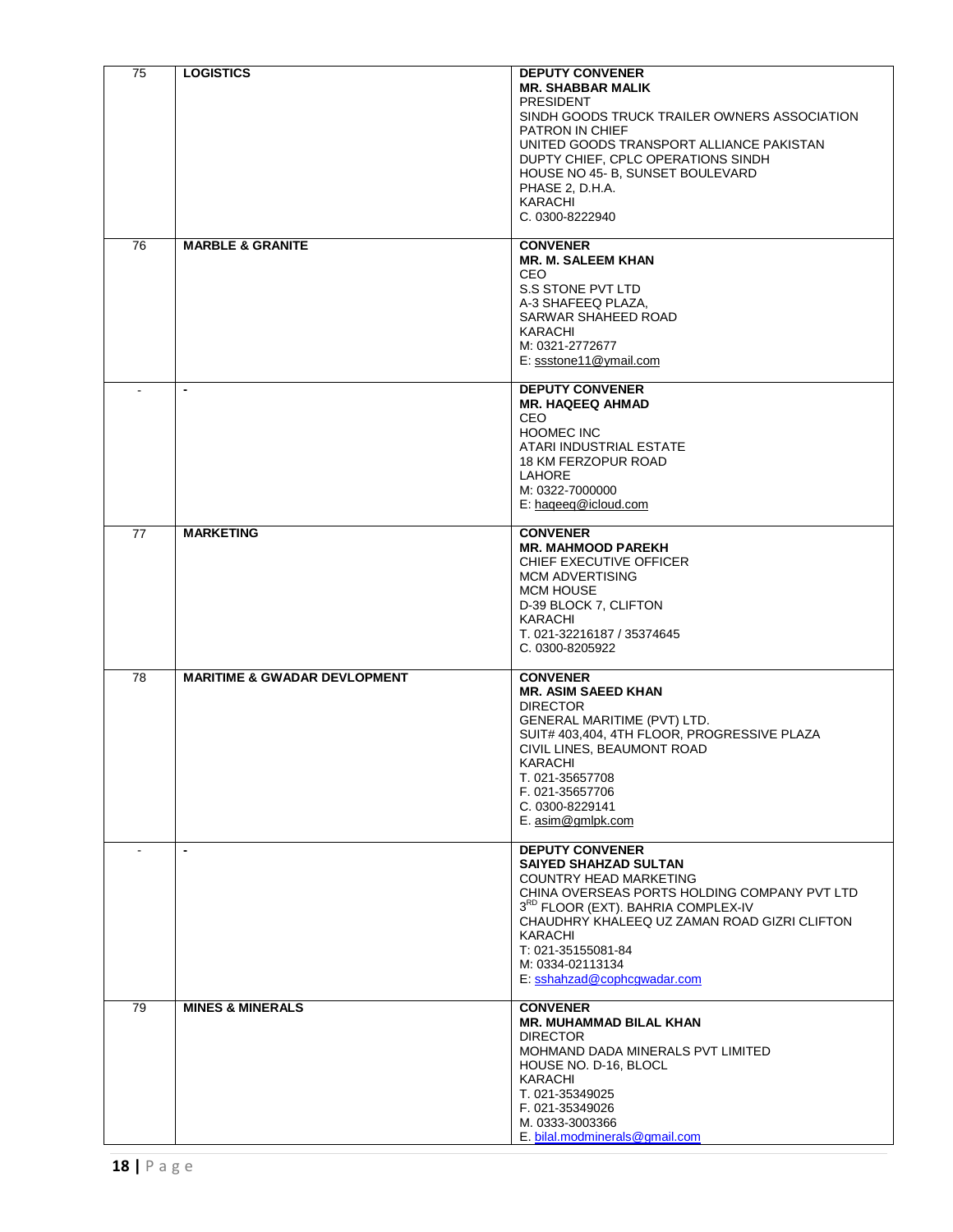| 75 | <b>LOGISTICS</b>                        | <b>DEPUTY CONVENER</b><br><b>MR. SHABBAR MALIK</b><br><b>PRESIDENT</b><br>SINDH GOODS TRUCK TRAILER OWNERS ASSOCIATION<br>PATRON IN CHIEF<br>UNITED GOODS TRANSPORT ALLIANCE PAKISTAN<br>DUPTY CHIEF, CPLC OPERATIONS SINDH<br>HOUSE NO 45- B, SUNSET BOULEVARD<br>PHASE 2, D.H.A.<br>KARACHI<br>C. 0300-8222940  |
|----|-----------------------------------------|-------------------------------------------------------------------------------------------------------------------------------------------------------------------------------------------------------------------------------------------------------------------------------------------------------------------|
| 76 | <b>MARBLE &amp; GRANITE</b>             | <b>CONVENER</b><br><b>MR. M. SALEEM KHAN</b><br>CEO<br>S.S STONE PVT LTD<br>A-3 SHAFEEQ PLAZA,<br>SARWAR SHAHEED ROAD<br>KARACHI<br>M: 0321-2772677<br>E: ssstone11@ymail.com                                                                                                                                     |
|    |                                         | <b>DEPUTY CONVENER</b><br><b>MR. HAQEEQ AHMAD</b><br>CEO.<br><b>HOOMEC INC</b><br>ATARI INDUSTRIAL ESTATE<br>18 KM FERZOPUR ROAD<br><b>LAHORE</b><br>M: 0322-7000000<br>E: hageeg@icloud.com                                                                                                                      |
| 77 | <b>MARKETING</b>                        | <b>CONVENER</b><br><b>MR. MAHMOOD PAREKH</b><br>CHIEF EXECUTIVE OFFICER<br><b>MCM ADVERTISING</b><br><b>MCM HOUSE</b><br>D-39 BLOCK 7, CLIFTON<br>KARACHI<br>T. 021-32216187 / 35374645<br>C. 0300-8205922                                                                                                        |
| 78 | <b>MARITIME &amp; GWADAR DEVLOPMENT</b> | <b>CONVENER</b><br><b>MR. ASIM SAEED KHAN</b><br><b>DIRECTOR</b><br>GENERAL MARITIME (PVT) LTD.<br>SUIT# 403,404, 4TH FLOOR, PROGRESSIVE PLAZA<br>CIVIL LINES, BEAUMONT ROAD<br>KARACHI<br>T. 021-35657708<br>F. 021-35657706<br>C. 0300-8229141<br>E. asim@gmlpk.com                                             |
|    | $\blacksquare$                          | <b>DEPUTY CONVENER</b><br><b>SAIYED SHAHZAD SULTAN</b><br><b>COUNTRY HEAD MARKETING</b><br>CHINA OVERSEAS PORTS HOLDING COMPANY PVT LTD<br>3RD FLOOR (EXT). BAHRIA COMPLEX-IV<br>CHAUDHRY KHALEEQ UZ ZAMAN ROAD GIZRI CLIFTON<br>KARACHI<br>T: 021-35155081-84<br>M: 0334-02113134<br>E: sshahzad@cophcgwadar.com |
| 79 | <b>MINES &amp; MINERALS</b>             | <b>CONVENER</b><br><b>MR. MUHAMMAD BILAL KHAN</b><br><b>DIRECTOR</b><br>MOHMAND DADA MINERALS PVT LIMITED<br>HOUSE NO. D-16, BLOCL<br>KARACHI<br>T. 021-35349025<br>F. 021-35349026<br>M. 0333-3003366<br>E. bilal.modminerals@gmail.com                                                                          |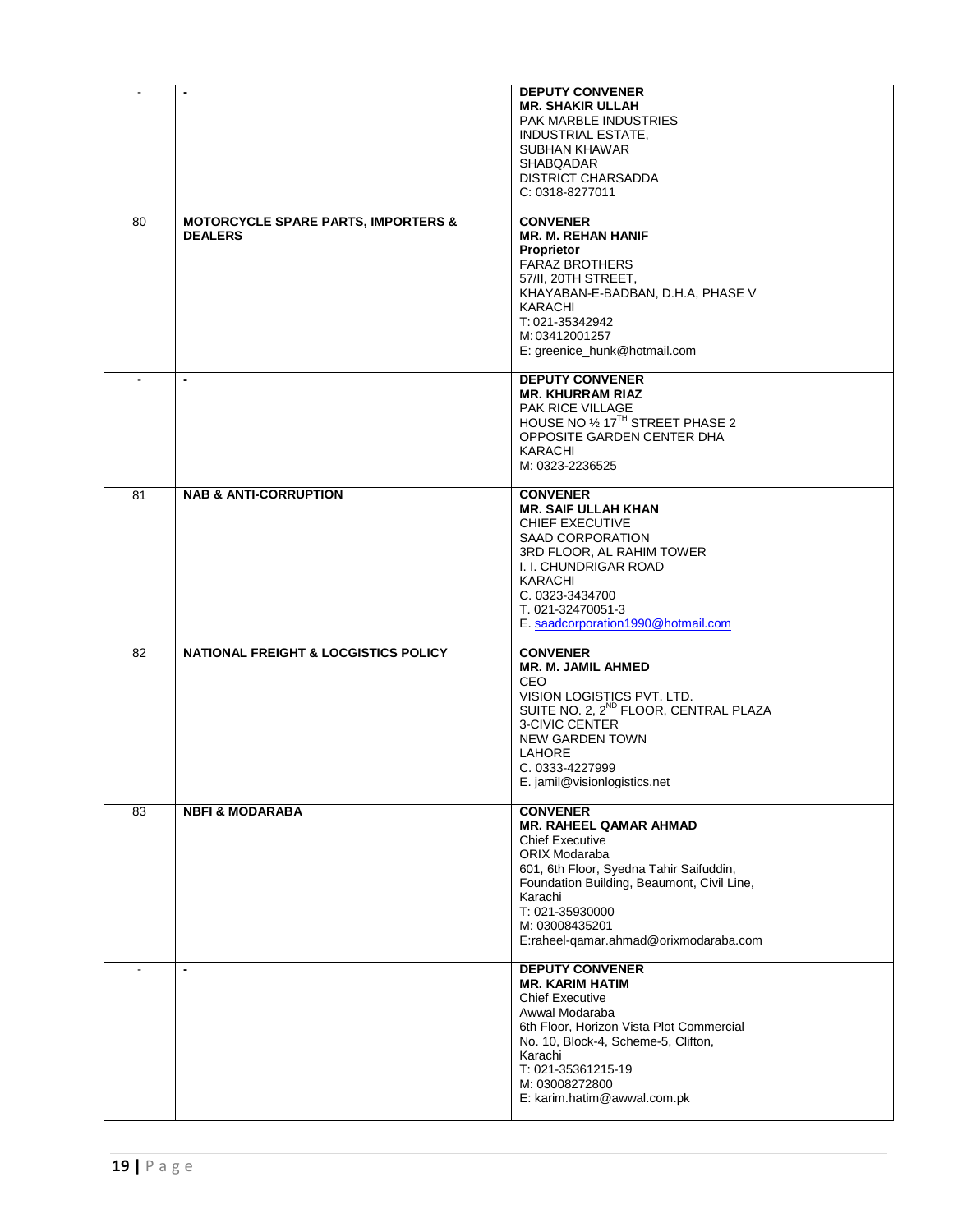| $\sim$         | $\blacksquare$                                                   | <b>DEPUTY CONVENER</b><br><b>MR. SHAKIR ULLAH</b><br>PAK MARBLE INDUSTRIES<br><b>INDUSTRIAL ESTATE,</b><br><b>SUBHAN KHAWAR</b><br><b>SHABQADAR</b><br><b>DISTRICT CHARSADDA</b><br>C: 0318-8277011                                                                           |
|----------------|------------------------------------------------------------------|-------------------------------------------------------------------------------------------------------------------------------------------------------------------------------------------------------------------------------------------------------------------------------|
| 80             | <b>MOTORCYCLE SPARE PARTS, IMPORTERS &amp;</b><br><b>DEALERS</b> | <b>CONVENER</b><br><b>MR. M. REHAN HANIF</b><br>Proprietor<br><b>FARAZ BROTHERS</b><br>57/II, 20TH STREET,<br>KHAYABAN-E-BADBAN, D.H.A, PHASE V<br>KARACHI<br>T: 021-35342942<br>M: 03412001257<br>E: greenice_hunk@hotmail.com                                               |
|                | $\overline{\phantom{a}}$                                         | <b>DEPUTY CONVENER</b><br><b>MR. KHURRAM RIAZ</b><br>PAK RICE VILLAGE<br>HOUSE NO 1/2 17TH STREET PHASE 2<br>OPPOSITE GARDEN CENTER DHA<br>KARACHI<br>M: 0323-2236525                                                                                                         |
| 81             | <b>NAB &amp; ANTI-CORRUPTION</b>                                 | <b>CONVENER</b><br><b>MR. SAIF ULLAH KHAN</b><br><b>CHIEF EXECUTIVE</b><br>SAAD CORPORATION<br>3RD FLOOR, AL RAHIM TOWER<br>I. I. CHUNDRIGAR ROAD<br>KARACHI<br>C. 0323-3434700<br>T. 021-32470051-3<br>E. saadcorporation1990@hotmail.com                                    |
| 82             | <b>NATIONAL FREIGHT &amp; LOCGISTICS POLICY</b>                  | <b>CONVENER</b><br><b>MR. M. JAMIL AHMED</b><br><b>CEO</b><br>VISION LOGISTICS PVT. LTD.<br>SUITE NO. 2, 2 <sup>ND</sup> FLOOR, CENTRAL PLAZA<br><b>3-CIVIC CENTER</b><br><b>NEW GARDEN TOWN</b><br>LAHORE<br>C. 0333-4227999<br>E. jamil@visionlogistics.net                 |
| 83             | <b>NBFI &amp; MODARABA</b>                                       | <b>CONVENER</b><br><b>MR. RAHEEL QAMAR AHMAD</b><br><b>Chief Executive</b><br>ORIX Modaraba<br>601, 6th Floor, Syedna Tahir Saifuddin,<br>Foundation Building, Beaumont, Civil Line,<br>Karachi<br>T: 021-35930000<br>M: 03008435201<br>E:raheel-qamar.ahmad@orixmodaraba.com |
| $\blacksquare$ | $\overline{\phantom{a}}$                                         | <b>DEPUTY CONVENER</b><br><b>MR. KARIM HATIM</b><br><b>Chief Executive</b><br>Awwal Modaraba<br>6th Floor, Horizon Vista Plot Commercial<br>No. 10, Block-4, Scheme-5, Clifton,<br>Karachi<br>T: 021-35361215-19<br>M: 03008272800<br>E: karim.hatim@awwal.com.pk             |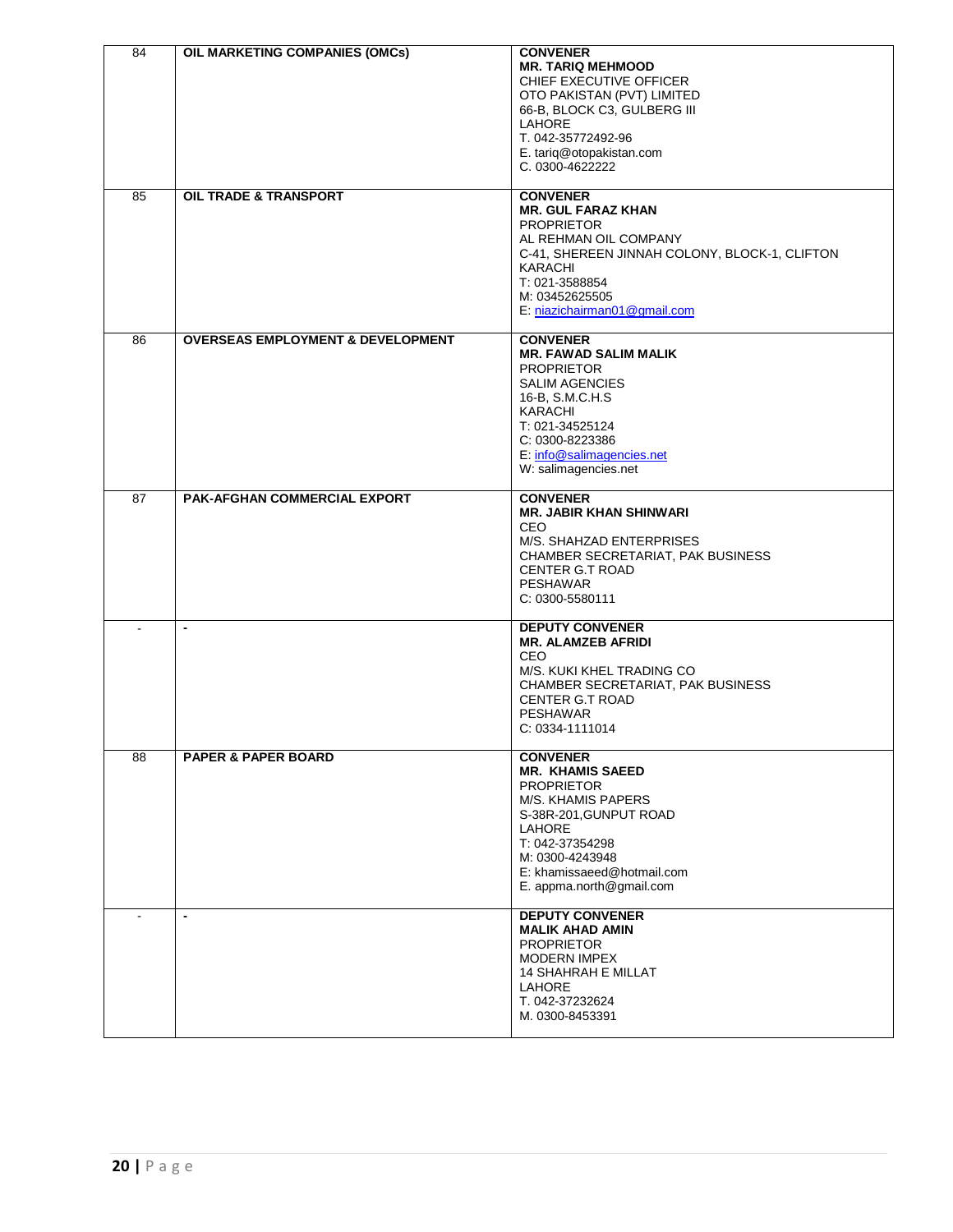| 84             | OIL MARKETING COMPANIES (OMCs)               | <b>CONVENER</b>                                          |
|----------------|----------------------------------------------|----------------------------------------------------------|
|                |                                              | <b>MR. TARIQ MEHMOOD</b>                                 |
|                |                                              | CHIEF EXECUTIVE OFFICER                                  |
|                |                                              | OTO PAKISTAN (PVT) LIMITED                               |
|                |                                              | 66-B, BLOCK C3, GULBERG III                              |
|                |                                              | LAHORE                                                   |
|                |                                              | T. 042-35772492-96                                       |
|                |                                              | E. tariq@otopakistan.com                                 |
|                |                                              | C. 0300-4622222                                          |
|                |                                              |                                                          |
| 85             | OIL TRADE & TRANSPORT                        | <b>CONVENER</b>                                          |
|                |                                              | <b>MR. GUL FARAZ KHAN</b>                                |
|                |                                              | <b>PROPRIETOR</b>                                        |
|                |                                              | AL REHMAN OIL COMPANY                                    |
|                |                                              |                                                          |
|                |                                              | C-41, SHEREEN JINNAH COLONY, BLOCK-1, CLIFTON<br>KARACHI |
|                |                                              | T: 021-3588854                                           |
|                |                                              |                                                          |
|                |                                              | M: 03452625505                                           |
|                |                                              | E: niazichairman01@gmail.com                             |
| 86             | <b>OVERSEAS EMPLOYMENT &amp; DEVELOPMENT</b> | <b>CONVENER</b>                                          |
|                |                                              | <b>MR. FAWAD SALIM MALIK</b>                             |
|                |                                              | <b>PROPRIETOR</b>                                        |
|                |                                              | <b>SALIM AGENCIES</b>                                    |
|                |                                              | 16-B, S.M.C.H.S                                          |
|                |                                              | KARACHI                                                  |
|                |                                              | T: 021-34525124                                          |
|                |                                              | C: 0300-8223386                                          |
|                |                                              | E: info@salimagencies.net                                |
|                |                                              | W: salimagencies.net                                     |
|                |                                              |                                                          |
| 87             | PAK-AFGHAN COMMERCIAL EXPORT                 | <b>CONVENER</b>                                          |
|                |                                              | <b>MR. JABIR KHAN SHINWARI</b>                           |
|                |                                              | CEO.                                                     |
|                |                                              | M/S. SHAHZAD ENTERPRISES                                 |
|                |                                              | CHAMBER SECRETARIAT, PAK BUSINESS                        |
|                |                                              | <b>CENTER G.T ROAD</b>                                   |
|                |                                              | <b>PESHAWAR</b>                                          |
|                |                                              | C: 0300-5580111                                          |
|                |                                              |                                                          |
| $\overline{a}$ | $\blacksquare$                               | <b>DEPUTY CONVENER</b>                                   |
|                |                                              | <b>MR. ALAMZEB AFRIDI</b>                                |
|                |                                              | CEO                                                      |
|                |                                              | M/S. KUKI KHEL TRADING CO                                |
|                |                                              | CHAMBER SECRETARIAT, PAK BUSINESS                        |
|                |                                              | CENTER G.T ROAD                                          |
|                |                                              | <b>PESHAWAR</b>                                          |
|                |                                              | C: 0334-1111014                                          |
|                |                                              |                                                          |
| 88             | <b>PAPER &amp; PAPER BOARD</b>               | <b>CONVENER</b>                                          |
|                |                                              | <b>MR. KHAMIS SAEED</b>                                  |
|                |                                              | <b>PROPRIETOR</b>                                        |
|                |                                              | M/S. KHAMIS PAPERS                                       |
|                |                                              | S-38R-201, GUNPUT ROAD                                   |
|                |                                              | LAHORE                                                   |
|                |                                              | T: 042-37354298                                          |
|                |                                              | M: 0300-4243948                                          |
|                |                                              | E: khamissaeed@hotmail.com                               |
|                |                                              | E. appma.north@gmail.com                                 |
|                |                                              |                                                          |
|                | $\blacksquare$                               | <b>DEPUTY CONVENER</b>                                   |
|                |                                              | <b>MALIK AHAD AMIN</b>                                   |
|                |                                              | <b>PROPRIETOR</b>                                        |
|                |                                              | <b>MODERN IMPEX</b>                                      |
|                |                                              | <b>14 SHAHRAH E MILLAT</b>                               |
|                |                                              | LAHORE                                                   |
|                |                                              | T. 042-37232624                                          |
|                |                                              | M. 0300-8453391                                          |
|                |                                              |                                                          |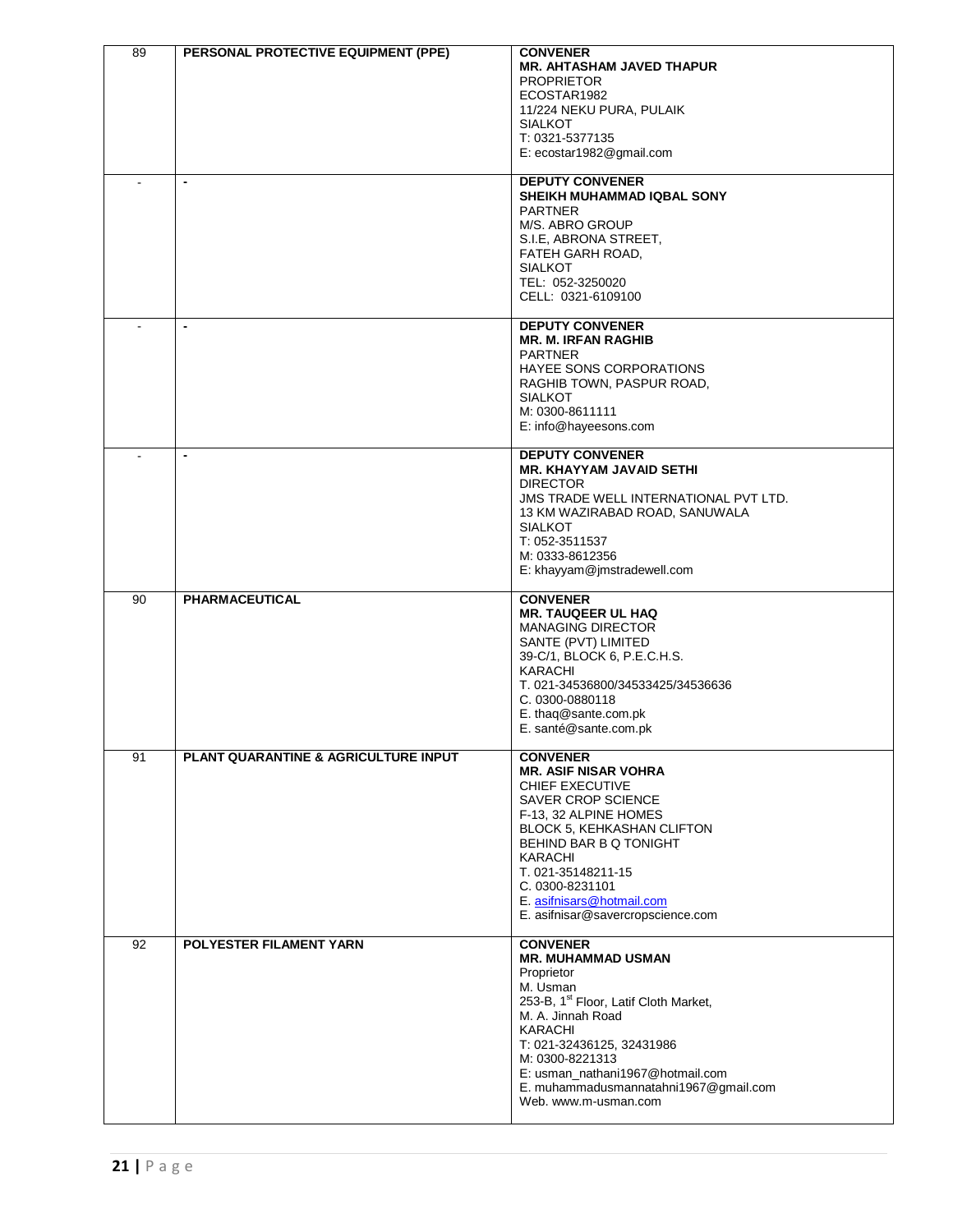| 89 | PERSONAL PROTECTIVE EQUIPMENT (PPE)  | <b>CONVENER</b><br><b>MR. AHTASHAM JAVED THAPUR</b><br><b>PROPRIETOR</b><br>ECOSTAR1982<br>11/224 NEKU PURA, PULAIK<br><b>SIALKOT</b><br>T: 0321-5377135<br>E: ecostar1982@gmail.com<br><b>DEPUTY CONVENER</b><br>SHEIKH MUHAMMAD IQBAL SONY                                                                     |
|----|--------------------------------------|------------------------------------------------------------------------------------------------------------------------------------------------------------------------------------------------------------------------------------------------------------------------------------------------------------------|
|    |                                      | <b>PARTNER</b><br>M/S. ABRO GROUP<br>S.I.E, ABRONA STREET,<br>FATEH GARH ROAD,<br><b>SIALKOT</b><br>TEL: 052-3250020<br>CELL: 0321-6109100                                                                                                                                                                       |
|    | $\overline{\phantom{a}}$             | <b>DEPUTY CONVENER</b><br><b>MR. M. IRFAN RAGHIB</b><br><b>PARTNER</b><br>HAYEE SONS CORPORATIONS<br>RAGHIB TOWN, PASPUR ROAD,<br><b>SIALKOT</b><br>M: 0300-8611111<br>E: info@hayeesons.com                                                                                                                     |
|    | $\blacksquare$                       | <b>DEPUTY CONVENER</b><br><b>MR. KHAYYAM JAVAID SETHI</b><br><b>DIRECTOR</b><br>JMS TRADE WELL INTERNATIONAL PVT LTD.<br>13 KM WAZIRABAD ROAD, SANUWALA<br><b>SIALKOT</b><br>T: 052-3511537<br>M: 0333-8612356<br>E: khayyam@jmstradewell.com                                                                    |
| 90 | PHARMACEUTICAL                       | <b>CONVENER</b><br><b>MR. TAUQEER UL HAQ</b><br><b>MANAGING DIRECTOR</b><br>SANTE (PVT) LIMITED<br>39-C/1, BLOCK 6, P.E.C.H.S.<br>KARACHI<br>T. 021-34536800/34533425/34536636<br>C. 0300-0880118<br>E. thaq@sante.com.pk<br>E. santé@sante.com.pk                                                               |
| 91 | PLANT QUARANTINE & AGRICULTURE INPUT | <b>CONVENER</b><br><b>MR. ASIF NISAR VOHRA</b><br>CHIEF EXECUTIVE<br><b>SAVER CROP SCIENCE</b><br>F-13, 32 ALPINE HOMES<br><b>BLOCK 5, KEHKASHAN CLIFTON</b><br>BEHIND BAR B Q TONIGHT<br>KARACHI<br>T. 021-35148211-15<br>C. 0300-8231101<br>E. asifnisars@hotmail.com<br>E. asifnisar@savercropscience.com     |
| 92 | POLYESTER FILAMENT YARN              | <b>CONVENER</b><br><b>MR. MUHAMMAD USMAN</b><br>Proprietor<br>M. Usman<br>253-B, 1 <sup>st</sup> Floor, Latif Cloth Market,<br>M. A. Jinnah Road<br>KARACHI<br>T: 021-32436125, 32431986<br>M: 0300-8221313<br>E: usman_nathani1967@hotmail.com<br>E. muhammadusmannatahni1967@gmail.com<br>Web. www.m-usman.com |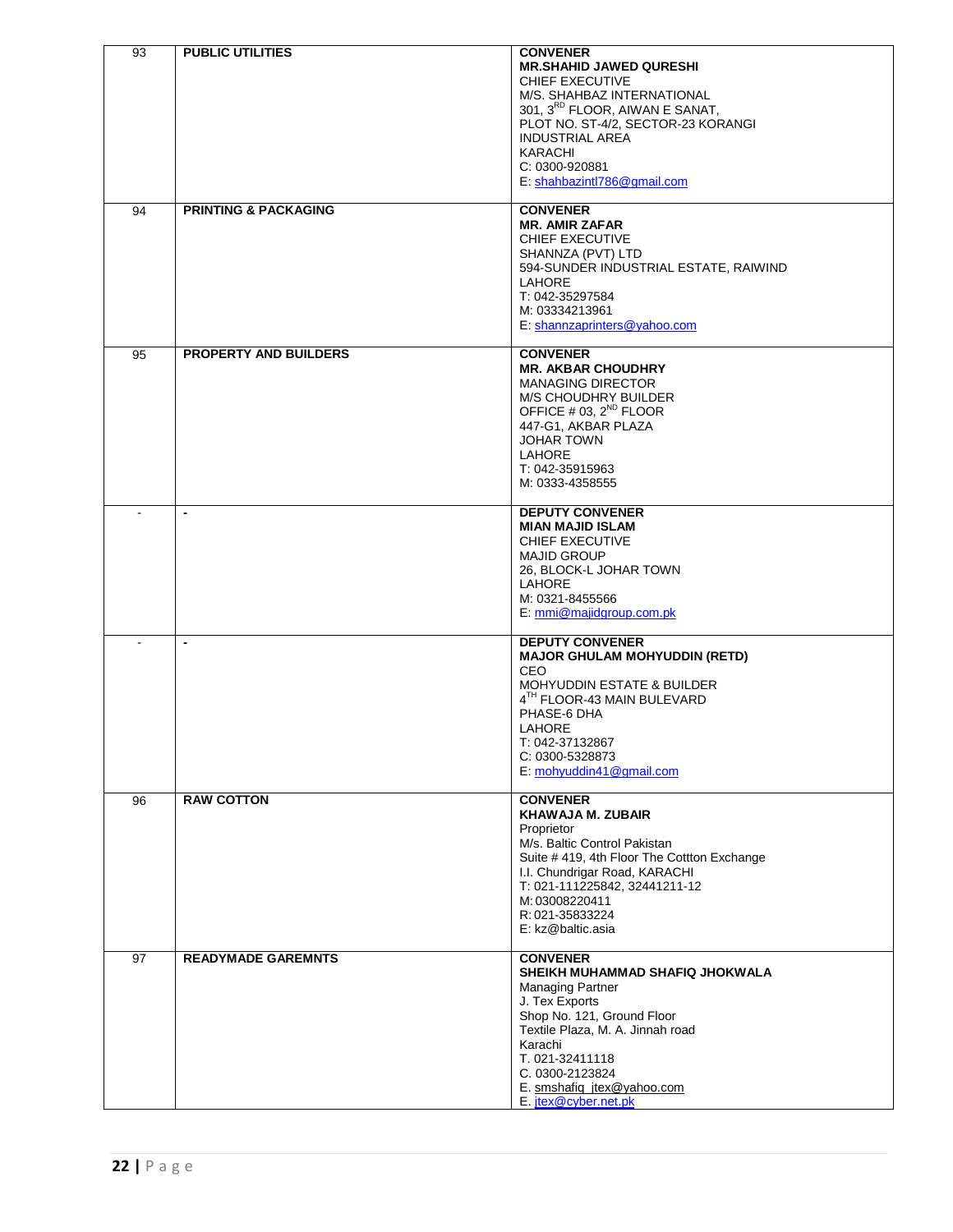| 93 | <b>PUBLIC UTILITIES</b>         | <b>CONVENER</b><br><b>MR.SHAHID JAWED QURESHI</b><br>CHIEF EXECUTIVE<br>M/S. SHAHBAZ INTERNATIONAL<br>301, 3 <sup>RD</sup> FLOOR, AIWAN E SANAT,<br>PLOT NO. ST-4/2, SECTOR-23 KORANGI<br><b>INDUSTRIAL AREA</b><br><b>KARACHI</b><br>C: 0300-920881<br>E: shahbazintl786@gmail.com |
|----|---------------------------------|-------------------------------------------------------------------------------------------------------------------------------------------------------------------------------------------------------------------------------------------------------------------------------------|
| 94 | <b>PRINTING &amp; PACKAGING</b> | <b>CONVENER</b><br><b>MR. AMIR ZAFAR</b><br><b>CHIEF EXECUTIVE</b><br>SHANNZA (PVT) LTD<br>594-SUNDER INDUSTRIAL ESTATE, RAIWIND<br><b>LAHORE</b><br>T: 042-35297584<br>M: 03334213961<br>E: shannzaprinters@yahoo.com                                                              |
| 95 | <b>PROPERTY AND BUILDERS</b>    | <b>CONVENER</b><br><b>MR. AKBAR CHOUDHRY</b><br><b>MANAGING DIRECTOR</b><br>M/S CHOUDHRY BUILDER<br>OFFICE # 03, $2^{ND}$ FLOOR<br>447-G1, AKBAR PLAZA<br><b>JOHAR TOWN</b><br>LAHORE<br>T: 042-35915963<br>M: 0333-4358555                                                         |
|    | $\blacksquare$                  | <b>DEPUTY CONVENER</b><br><b>MIAN MAJID ISLAM</b><br>CHIEF EXECUTIVE<br><b>MAJID GROUP</b><br>26, BLOCK-L JOHAR TOWN<br><b>LAHORE</b><br>M: 0321-8455566<br>E: mmi@majidgroup.com.pk                                                                                                |
|    | $\blacksquare$                  | <b>DEPUTY CONVENER</b><br><b>MAJOR GHULAM MOHYUDDIN (RETD)</b><br>CEO.<br><b>MOHYUDDIN ESTATE &amp; BUILDER</b><br>4TH FLOOR-43 MAIN BULEVARD<br>PHASE-6 DHA<br>LAHORE<br>T: 042-37132867<br>C: 0300-5328873<br>E: mohyuddin41@gmail.com                                            |
| 96 | <b>RAW COTTON</b>               | <b>CONVENER</b><br><b>KHAWAJA M. ZUBAIR</b><br>Proprietor<br>M/s. Baltic Control Pakistan<br>Suite # 419, 4th Floor The Cottton Exchange<br>I.I. Chundrigar Road, KARACHI<br>T: 021-111225842, 32441211-12<br>M: 03008220411<br>R: 021-35833224<br>E: kz@baltic.asia                |
| 97 | <b>READYMADE GAREMNTS</b>       | <b>CONVENER</b><br>SHEIKH MUHAMMAD SHAFIQ JHOKWALA<br><b>Managing Partner</b><br>J. Tex Exports<br>Shop No. 121, Ground Floor<br>Textile Plaza, M. A. Jinnah road<br>Karachi<br>T. 021-32411118<br>C. 0300-2123824<br>E. smshafiq_jtex@yahoo.com<br>E. jtex@cyber.net.pk            |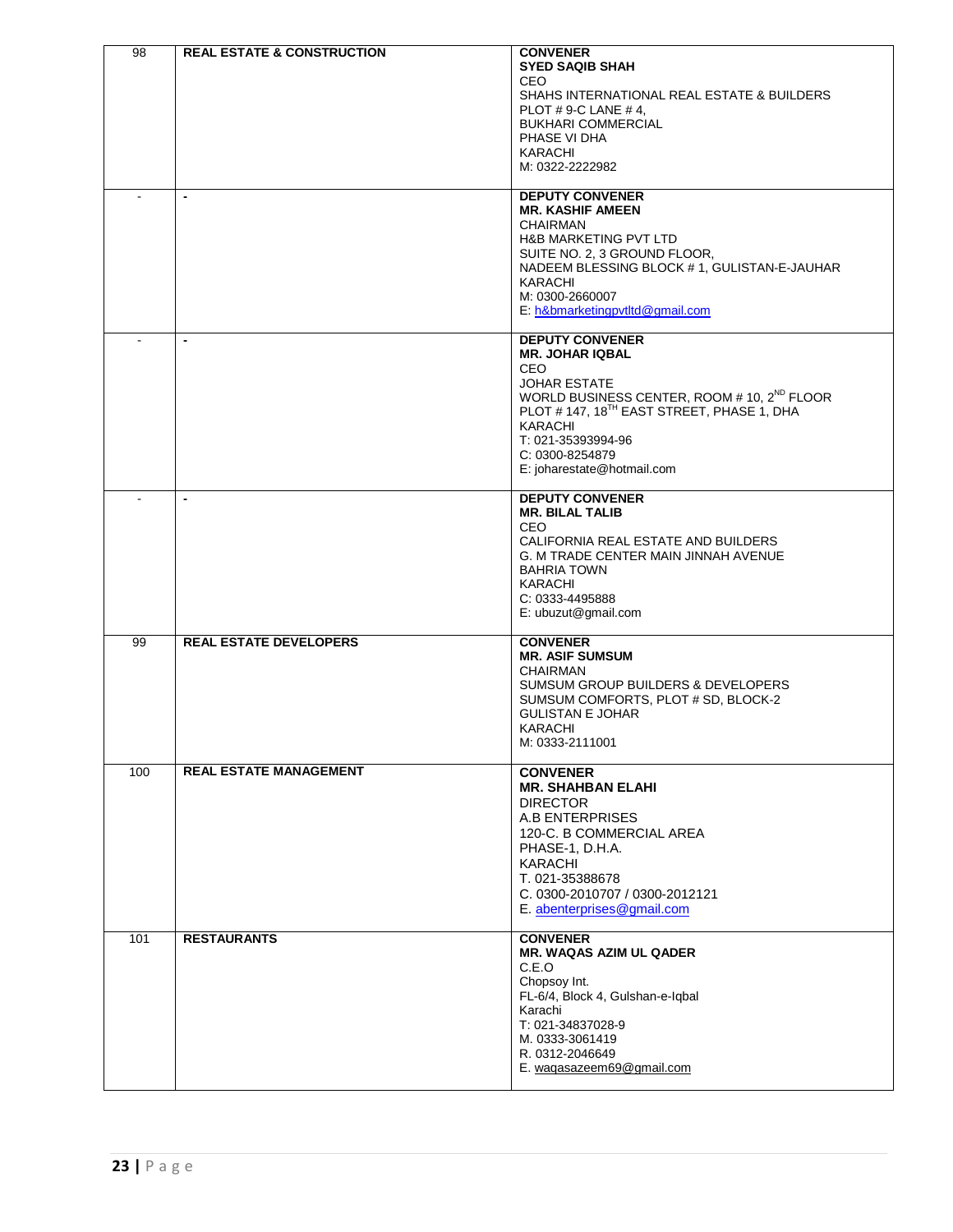| 98  | <b>REAL ESTATE &amp; CONSTRUCTION</b> | <b>CONVENER</b>                                                             |
|-----|---------------------------------------|-----------------------------------------------------------------------------|
|     |                                       | <b>SYED SAQIB SHAH</b>                                                      |
|     |                                       | CEO.                                                                        |
|     |                                       | SHAHS INTERNATIONAL REAL ESTATE & BUILDERS<br>PLOT #9-C LANE #4,            |
|     |                                       | <b>BUKHARI COMMERCIAL</b>                                                   |
|     |                                       | PHASE VI DHA                                                                |
|     |                                       | KARACHI                                                                     |
|     |                                       | M: 0322-2222982                                                             |
|     |                                       |                                                                             |
|     | $\blacksquare$                        | <b>DEPUTY CONVENER</b>                                                      |
|     |                                       | <b>MR. KASHIF AMEEN</b>                                                     |
|     |                                       | <b>CHAIRMAN</b>                                                             |
|     |                                       | <b>H&amp;B MARKETING PVT LTD</b>                                            |
|     |                                       | SUITE NO. 2, 3 GROUND FLOOR,<br>NADEEM BLESSING BLOCK #1, GULISTAN-E-JAUHAR |
|     |                                       | KARACHI                                                                     |
|     |                                       | M: 0300-2660007                                                             |
|     |                                       | E: h&bmarketingpvtltd@gmail.com                                             |
|     |                                       |                                                                             |
|     |                                       | <b>DEPUTY CONVENER</b>                                                      |
|     |                                       | <b>MR. JOHAR IQBAL</b>                                                      |
|     |                                       | CEO.<br><b>JOHAR ESTATE</b>                                                 |
|     |                                       | WORLD BUSINESS CENTER, ROOM # 10, 2 <sup>ND</sup> FLOOR                     |
|     |                                       | PLOT #147, 18 <sup>TH</sup> EAST STREET, PHASE 1, DHA                       |
|     |                                       | <b>KARACHI</b>                                                              |
|     |                                       | T: 021-35393994-96                                                          |
|     |                                       | C: 0300-8254879                                                             |
|     |                                       | E: joharestate@hotmail.com                                                  |
|     | $\blacksquare$                        | <b>DEPUTY CONVENER</b>                                                      |
|     |                                       | <b>MR. BILAL TALIB</b>                                                      |
|     |                                       | CEO.                                                                        |
|     |                                       | CALIFORNIA REAL ESTATE AND BUILDERS                                         |
|     |                                       | G. M TRADE CENTER MAIN JINNAH AVENUE                                        |
|     |                                       | <b>BAHRIA TOWN</b>                                                          |
|     |                                       | KARACHI                                                                     |
|     |                                       | C: 0333-4495888                                                             |
|     |                                       | E: ubuzut@gmail.com                                                         |
| 99  | <b>REAL ESTATE DEVELOPERS</b>         | <b>CONVENER</b>                                                             |
|     |                                       | <b>MR. ASIF SUMSUM</b>                                                      |
|     |                                       | CHAIRMAN                                                                    |
|     |                                       | <b>SUMSUM GROUP BUILDERS &amp; DEVELOPERS</b>                               |
|     |                                       | SUMSUM COMFORTS, PLOT # SD, BLOCK-2                                         |
|     |                                       | <b>GULISTAN E JOHAR</b>                                                     |
|     |                                       | <b>KARACHI</b>                                                              |
|     |                                       | M: 0333-2111001                                                             |
| 100 | <b>REAL ESTATE MANAGEMENT</b>         | <b>CONVENER</b>                                                             |
|     |                                       | <b>MR. SHAHBAN ELAHI</b>                                                    |
|     |                                       | <b>DIRECTOR</b>                                                             |
|     |                                       | A.B ENTERPRISES                                                             |
|     |                                       | 120-C. B COMMERCIAL AREA                                                    |
|     |                                       | PHASE-1, D.H.A.                                                             |
|     |                                       | <b>KARACHI</b>                                                              |
|     |                                       | T. 021-35388678                                                             |
|     |                                       | C. 0300-2010707 / 0300-2012121                                              |
|     |                                       | E. abenterprises@gmail.com                                                  |
| 101 | <b>RESTAURANTS</b>                    | <b>CONVENER</b>                                                             |
|     |                                       | <b>MR. WAQAS AZIM UL QADER</b>                                              |
|     |                                       | C.E.O                                                                       |
|     |                                       | Chopsoy Int.                                                                |
|     |                                       | FL-6/4, Block 4, Gulshan-e-Iqbal                                            |
|     |                                       | Karachi                                                                     |
|     |                                       | T: 021-34837028-9<br>M. 0333-3061419                                        |
|     |                                       | R. 0312-2046649                                                             |
|     |                                       | E. waqasazeem69@gmail.com                                                   |
|     |                                       |                                                                             |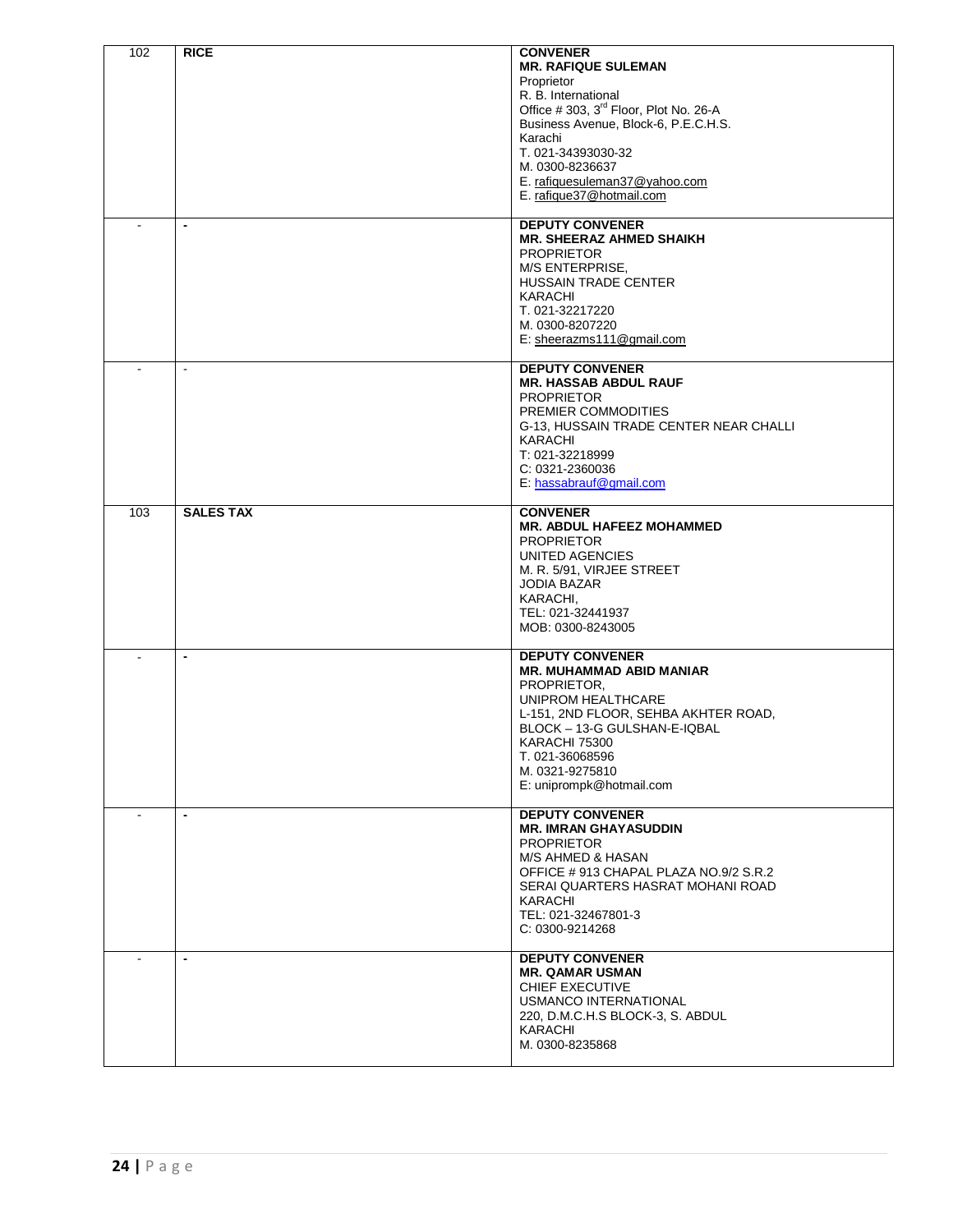| 102            | <b>RICE</b>      | <b>CONVENER</b><br><b>MR. RAFIQUE SULEMAN</b><br>Proprietor<br>R. B. International<br>Office #303, 3 <sup>rd</sup> Floor, Plot No. 26-A<br>Business Avenue, Block-6, P.E.C.H.S.<br>Karachi<br>T. 021-34393030-32<br>M. 0300-8236637<br>E. rafiquesuleman37@yahoo.com<br>E. rafique37@hotmail.com |
|----------------|------------------|--------------------------------------------------------------------------------------------------------------------------------------------------------------------------------------------------------------------------------------------------------------------------------------------------|
| $\overline{a}$ | $\blacksquare$   | <b>DEPUTY CONVENER</b><br><b>MR. SHEERAZ AHMED SHAIKH</b><br><b>PROPRIETOR</b><br>M/S ENTERPRISE,<br>HUSSAIN TRADE CENTER<br>KARACHI<br>T. 021-32217220<br>M. 0300-8207220<br>E: sheerazms111@gmail.com                                                                                          |
|                | $\sim$           | <b>DEPUTY CONVENER</b><br><b>MR. HASSAB ABDUL RAUF</b><br><b>PROPRIETOR</b><br>PREMIER COMMODITIES<br>G-13, HUSSAIN TRADE CENTER NEAR CHALLI<br>KARACHI<br>T: 021-32218999<br>C: 0321-2360036<br>E: hassabrauf@gmail.com                                                                         |
| 103            | <b>SALES TAX</b> | <b>CONVENER</b><br><b>MR. ABDUL HAFEEZ MOHAMMED</b><br><b>PROPRIETOR</b><br>UNITED AGENCIES<br>M. R. 5/91, VIRJEE STREET<br>JODIA BAZAR<br>KARACHI,<br>TEL: 021-32441937<br>MOB: 0300-8243005                                                                                                    |
|                | $\blacksquare$   | <b>DEPUTY CONVENER</b><br><b>MR. MUHAMMAD ABID MANIAR</b><br>PROPRIETOR.<br>UNIPROM HEALTHCARE<br>L-151, 2ND FLOOR, SEHBA AKHTER ROAD,<br>BLOCK - 13-G GULSHAN-E-IQBAL<br>KARACHI 75300<br>T. 021-36068596<br>M. 0321-9275810<br>E: uniprompk@hotmail.com                                        |
|                | $\blacksquare$   | <b>DEPUTY CONVENER</b><br><b>MR. IMRAN GHAYASUDDIN</b><br><b>PROPRIETOR</b><br>M/S AHMED & HASAN<br>OFFICE #913 CHAPAL PLAZA NO.9/2 S.R.2<br>SERAI QUARTERS HASRAT MOHANI ROAD<br>KARACHI<br>TEL: 021-32467801-3<br>C: 0300-9214268                                                              |
|                | $\blacksquare$   | <b>DEPUTY CONVENER</b><br><b>MR. QAMAR USMAN</b><br>CHIEF EXECUTIVE<br>USMANCO INTERNATIONAL<br>220, D.M.C.H.S BLOCK-3, S. ABDUL<br>KARACHI<br>M. 0300-8235868                                                                                                                                   |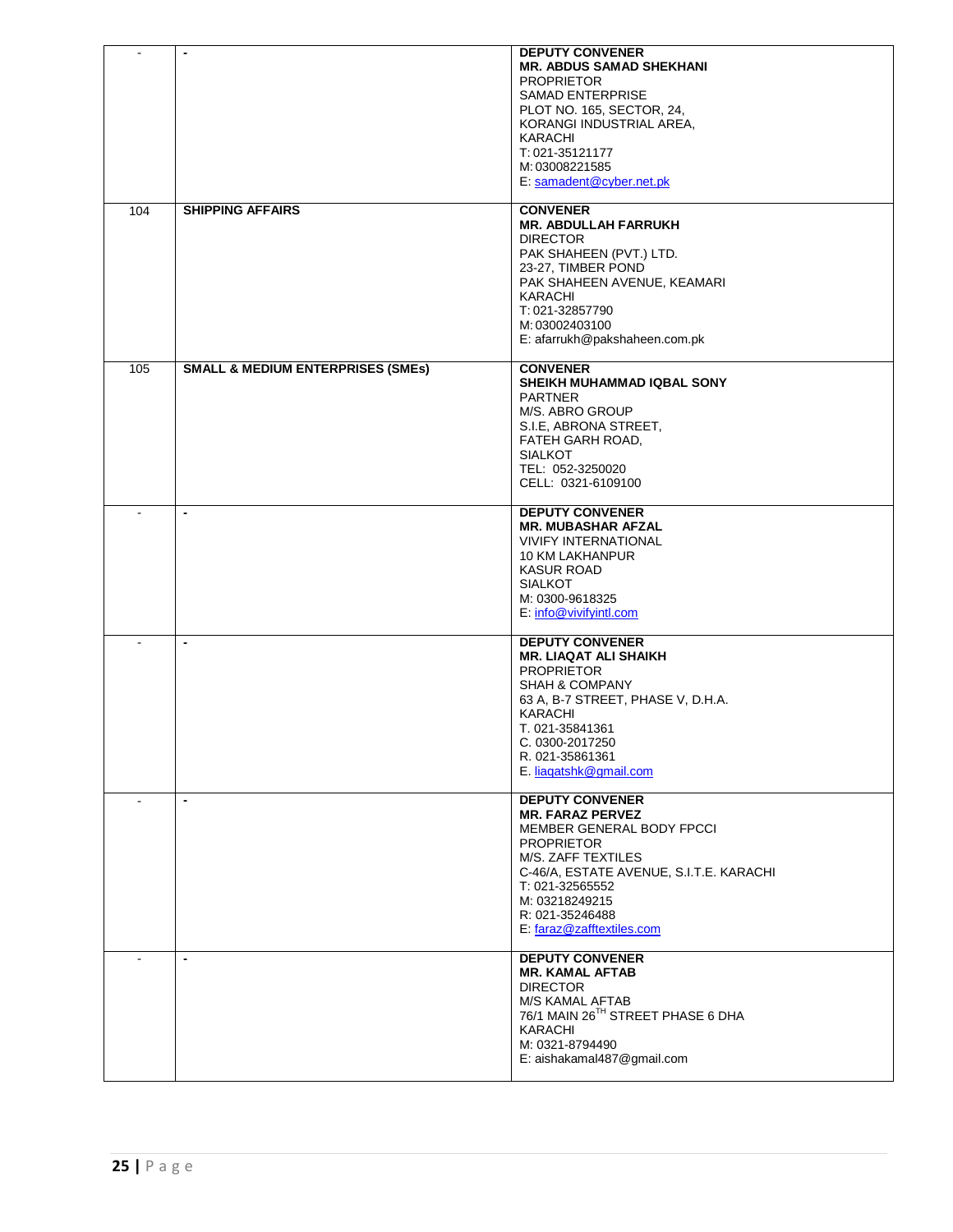| $\blacksquare$ | $\blacksquare$                               | <b>DEPUTY CONVENER</b><br><b>MR. ABDUS SAMAD SHEKHANI</b><br><b>PROPRIETOR</b><br><b>SAMAD ENTERPRISE</b><br>PLOT NO. 165, SECTOR, 24,<br>KORANGI INDUSTRIAL AREA,<br>KARACHI<br>T: 021-35121177<br>M: 03008221585<br>E: samadent@cyber.net.pk            |
|----------------|----------------------------------------------|-----------------------------------------------------------------------------------------------------------------------------------------------------------------------------------------------------------------------------------------------------------|
| 104            | <b>SHIPPING AFFAIRS</b>                      | <b>CONVENER</b><br><b>MR. ABDULLAH FARRUKH</b><br><b>DIRECTOR</b><br>PAK SHAHEEN (PVT.) LTD.<br>23-27, TIMBER POND<br>PAK SHAHEEN AVENUE, KEAMARI<br>KARACHI<br>T: 021-32857790<br>M: 03002403100<br>E: afarrukh@pakshaheen.com.pk                        |
| 105            | <b>SMALL &amp; MEDIUM ENTERPRISES (SMEs)</b> | <b>CONVENER</b><br><b>SHEIKH MUHAMMAD IQBAL SONY</b><br><b>PARTNER</b><br>M/S. ABRO GROUP<br>S.I.E, ABRONA STREET,<br>FATEH GARH ROAD,<br><b>SIALKOT</b><br>TEL: 052-3250020<br>CELL: 0321-6109100                                                        |
| $\blacksquare$ | $\overline{\phantom{a}}$                     | <b>DEPUTY CONVENER</b><br><b>MR. MUBASHAR AFZAL</b><br><b>VIVIFY INTERNATIONAL</b><br>10 KM LAKHANPUR<br><b>KASUR ROAD</b><br><b>SIALKOT</b><br>M: 0300-9618325<br>E: info@vivifyintl.com                                                                 |
|                | $\blacksquare$                               | <b>DEPUTY CONVENER</b><br><b>MR. LIAQAT ALI SHAIKH</b><br><b>PROPRIETOR</b><br>SHAH & COMPANY<br>63 A, B-7 STREET, PHASE V, D.H.A.<br>KARACHI<br>T. 021-35841361<br>C. 0300-2017250<br>R. 021-35861361<br>E. liagatshk@gmail.com                          |
|                | $\overline{\phantom{a}}$                     | <b>DEPUTY CONVENER</b><br><b>MR. FARAZ PERVEZ</b><br>MEMBER GENERAL BODY FPCCI<br><b>PROPRIETOR</b><br>M/S. ZAFF TEXTILES<br>C-46/A, ESTATE AVENUE, S.I.T.E. KARACHI<br>T: 021-32565552<br>M: 03218249215<br>R: 021-35246488<br>E: faraz@zafftextiles.com |
|                | $\overline{\phantom{a}}$                     | <b>DEPUTY CONVENER</b><br><b>MR. KAMAL AFTAB</b><br><b>DIRECTOR</b><br>M/S KAMAL AFTAB<br>76/1 MAIN 26TH STREET PHASE 6 DHA<br>KARACHI<br>M: 0321-8794490<br>E: aishakamal487@gmail.com                                                                   |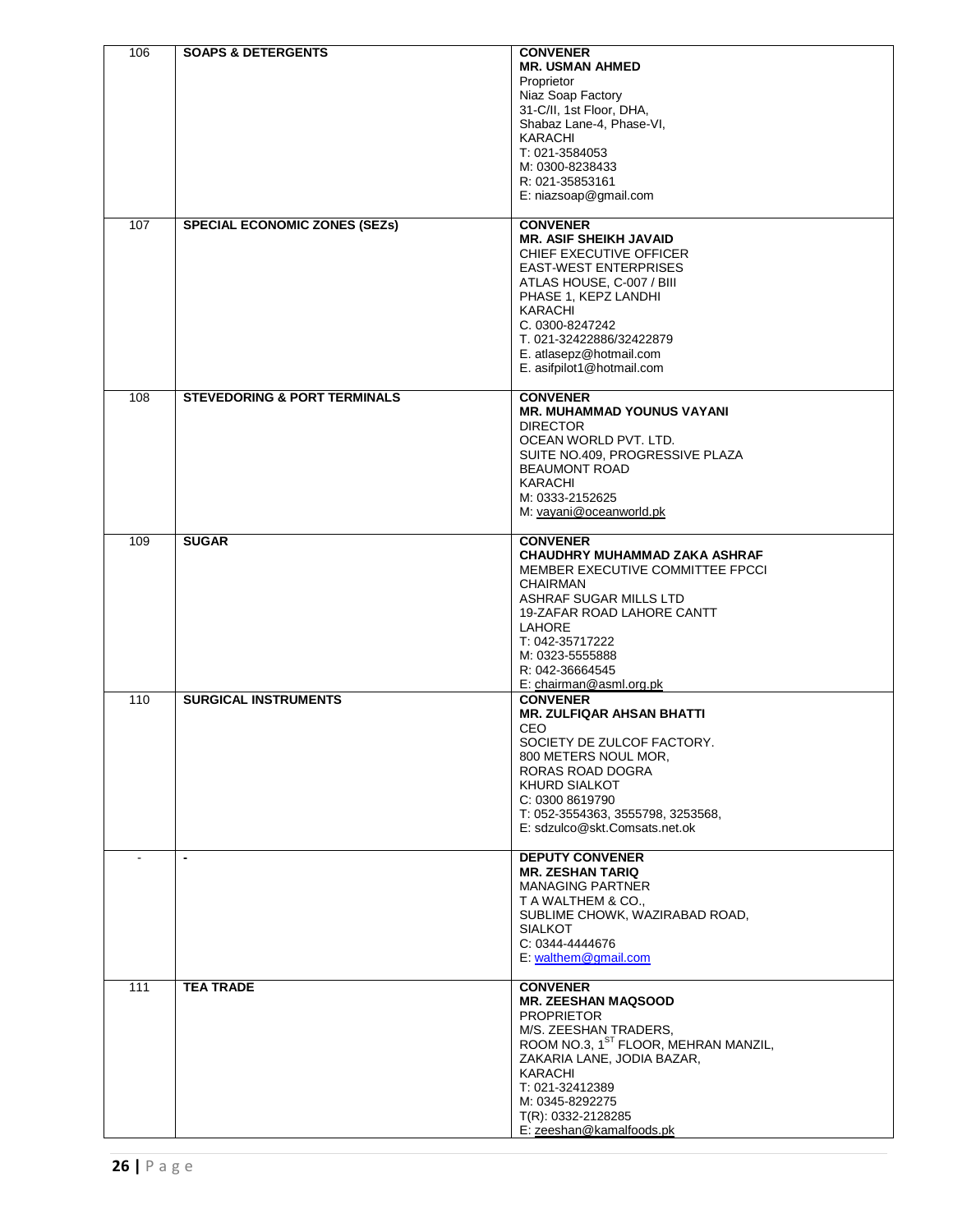| 106<br>107 | <b>SOAPS &amp; DETERGENTS</b><br><b>SPECIAL ECONOMIC ZONES (SEZS)</b> | <b>CONVENER</b><br><b>MR. USMAN AHMED</b><br>Proprietor<br>Niaz Soap Factory<br>31-C/II, 1st Floor, DHA,<br>Shabaz Lane-4, Phase-VI,<br>KARACHI<br>T: 021-3584053<br>M: 0300-8238433<br>R: 021-35853161<br>E: niazsoap@gmail.com<br><b>CONVENER</b>                              |
|------------|-----------------------------------------------------------------------|----------------------------------------------------------------------------------------------------------------------------------------------------------------------------------------------------------------------------------------------------------------------------------|
|            |                                                                       | <b>MR. ASIF SHEIKH JAVAID</b><br>CHIEF EXECUTIVE OFFICER<br><b>EAST-WEST ENTERPRISES</b><br>ATLAS HOUSE, C-007 / BIII<br>PHASE 1, KEPZ LANDHI<br><b>KARACHI</b><br>C. 0300-8247242<br>T. 021-32422886/32422879<br>E. atlasepz@hotmail.com<br>E. asifpilot1@hotmail.com           |
| 108        | <b>STEVEDORING &amp; PORT TERMINALS</b>                               | <b>CONVENER</b><br><b>MR. MUHAMMAD YOUNUS VAYANI</b><br><b>DIRECTOR</b><br>OCEAN WORLD PVT. LTD.<br>SUITE NO.409, PROGRESSIVE PLAZA<br><b>BEAUMONT ROAD</b><br><b>KARACHI</b><br>M: 0333-2152625<br>M: vayani@oceanworld.pk                                                      |
| 109        | <b>SUGAR</b>                                                          | <b>CONVENER</b><br>CHAUDHRY MUHAMMAD ZAKA ASHRAF<br>MEMBER EXECUTIVE COMMITTEE FPCCI<br>CHAIRMAN<br>ASHRAF SUGAR MILLS LTD<br>19-ZAFAR ROAD LAHORE CANTT<br><b>LAHORE</b><br>T: 042-35717222<br>M: 0323-5555888<br>R: 042-36664545<br>E: chairman@asml.org.pk                    |
| 110        | <b>SURGICAL INSTRUMENTS</b>                                           | <b>CONVENER</b><br><b>MR. ZULFIQAR AHSAN BHATTI</b><br>CEO<br>SOCIETY DE ZULCOF FACTORY.<br>800 METERS NOUL MOR,<br>RORAS ROAD DOGRA<br>KHURD SIALKOT<br>C: 0300 8619790<br>T: 052-3554363, 3555798, 3253568,<br>E: sdzulco@skt.Comsats.net.ok                                   |
|            | $\overline{\phantom{a}}$                                              | <b>DEPUTY CONVENER</b><br><b>MR. ZESHAN TARIQ</b><br><b>MANAGING PARTNER</b><br>T A WALTHEM & CO.,<br>SUBLIME CHOWK, WAZIRABAD ROAD,<br><b>SIALKOT</b><br>C: 0344-4444676<br>E: walthem@gmail.com                                                                                |
| 111        | <b>TEA TRADE</b>                                                      | <b>CONVENER</b><br><b>MR. ZEESHAN MAQSOOD</b><br><b>PROPRIETOR</b><br>M/S. ZEESHAN TRADERS,<br>ROOM NO.3, 1 <sup>ST</sup> FLOOR, MEHRAN MANZIL,<br>ZAKARIA LANE, JODIA BAZAR,<br>KARACHI<br>T: 021-32412389<br>M: 0345-8292275<br>T(R): 0332-2128285<br>E: zeeshan@kamalfoods.pk |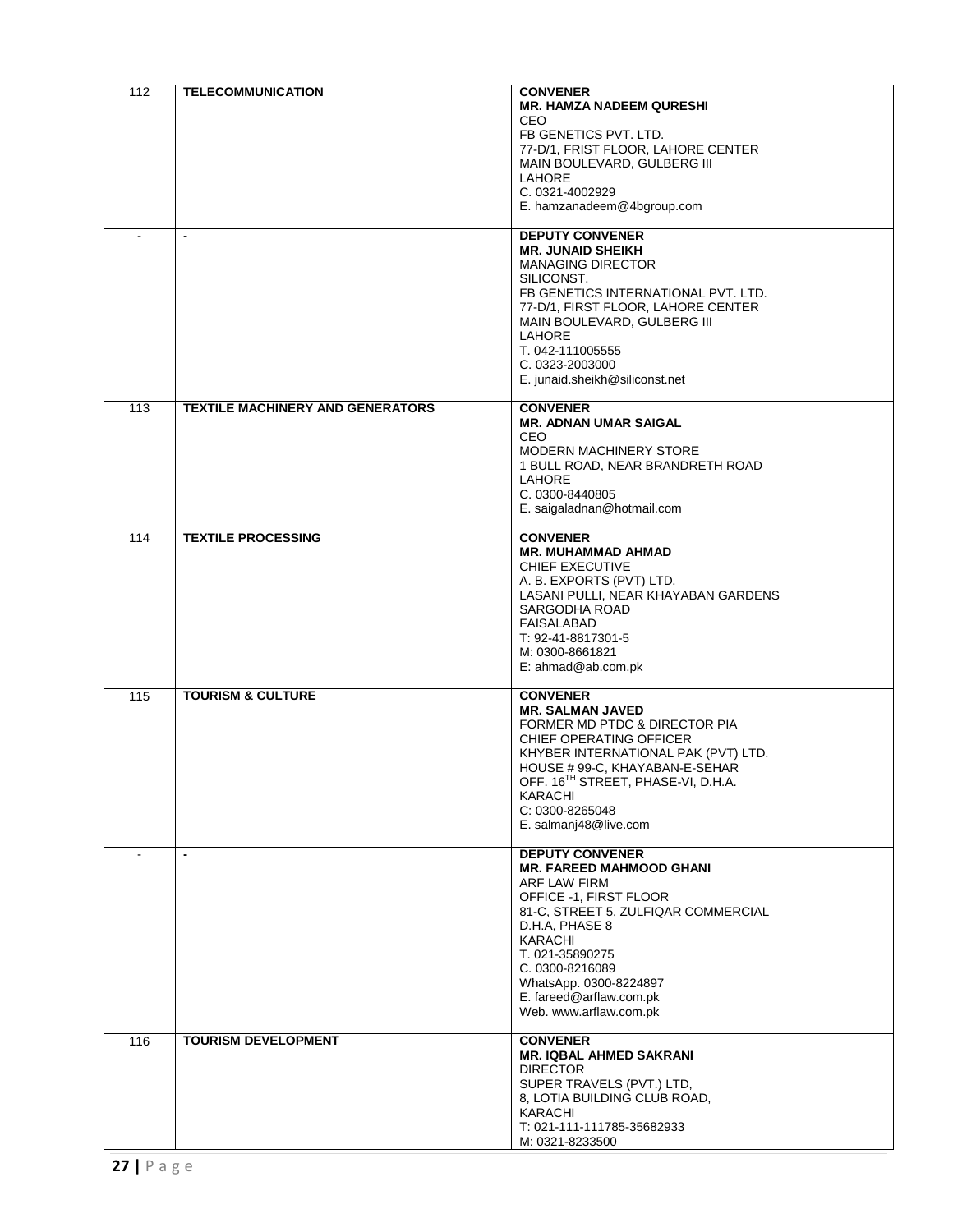| 112              | <b>TELECOMMUNICATION</b><br>$\overline{\phantom{a}}$ | <b>CONVENER</b><br><b>MR. HAMZA NADEEM QURESHI</b><br>CEO.<br>FB GENETICS PVT. LTD.<br>77-D/1, FRIST FLOOR, LAHORE CENTER<br>MAIN BOULEVARD, GULBERG III<br>LAHORE<br>C. 0321-4002929<br>E. hamzanadeem@4bgroup.com<br><b>DEPUTY CONVENER</b><br><b>MR. JUNAID SHEIKH</b><br><b>MANAGING DIRECTOR</b><br>SILICONST.<br>FB GENETICS INTERNATIONAL PVT. LTD.<br>77-D/1, FIRST FLOOR, LAHORE CENTER<br>MAIN BOULEVARD, GULBERG III<br><b>LAHORE</b><br>T. 042-111005555<br>C. 0323-2003000<br>E. junaid.sheikh@siliconst.net |
|------------------|------------------------------------------------------|---------------------------------------------------------------------------------------------------------------------------------------------------------------------------------------------------------------------------------------------------------------------------------------------------------------------------------------------------------------------------------------------------------------------------------------------------------------------------------------------------------------------------|
| $\overline{113}$ | <b>TEXTILE MACHINERY AND GENERATORS</b>              | <b>CONVENER</b><br><b>MR. ADNAN UMAR SAIGAL</b><br><b>CEO</b><br><b>MODERN MACHINERY STORE</b><br>1 BULL ROAD, NEAR BRANDRETH ROAD<br><b>LAHORE</b><br>C. 0300-8440805<br>E. saigaladnan@hotmail.com                                                                                                                                                                                                                                                                                                                      |
| 114              | <b>TEXTILE PROCESSING</b>                            | <b>CONVENER</b><br><b>MR. MUHAMMAD AHMAD</b><br><b>CHIEF EXECUTIVE</b><br>A. B. EXPORTS (PVT) LTD.<br>LASANI PULLI, NEAR KHAYABAN GARDENS<br>SARGODHA ROAD<br>FAISALABAD<br>T: 92-41-8817301-5<br>M: 0300-8661821<br>E: ahmad@ab.com.pk                                                                                                                                                                                                                                                                                   |
| 115              | <b>TOURISM &amp; CULTURE</b>                         | <b>CONVENER</b><br><b>MR. SALMAN JAVED</b><br>FORMER MD PTDC & DIRECTOR PIA<br>CHIEF OPERATING OFFICER<br>KHYBER INTERNATIONAL PAK (PVT) LTD.<br>HOUSE # 99-C, KHAYABAN-E-SEHAR<br>OFF. 16 <sup>TH</sup> STREET, PHASE-VI, D.H.A.<br>KARACHI<br>C: 0300-8265048<br>E. salmanj48@live.com                                                                                                                                                                                                                                  |
|                  | $\blacksquare$                                       | <b>DEPUTY CONVENER</b><br><b>MR. FAREED MAHMOOD GHANI</b><br>ARF LAW FIRM<br>OFFICE -1, FIRST FLOOR<br>81-C, STREET 5, ZULFIQAR COMMERCIAL<br>D.H.A, PHASE 8<br>KARACHI<br>T. 021-35890275<br>C. 0300-8216089<br>WhatsApp. 0300-8224897<br>E. fareed@arflaw.com.pk<br>Web. www.arflaw.com.pk                                                                                                                                                                                                                              |
| 116              | <b>TOURISM DEVELOPMENT</b>                           | <b>CONVENER</b><br><b>MR. IQBAL AHMED SAKRANI</b><br><b>DIRECTOR</b><br>SUPER TRAVELS (PVT.) LTD,<br>8, LOTIA BUILDING CLUB ROAD,<br>KARACHI<br>T: 021-111-111785-35682933<br>M: 0321-8233500                                                                                                                                                                                                                                                                                                                             |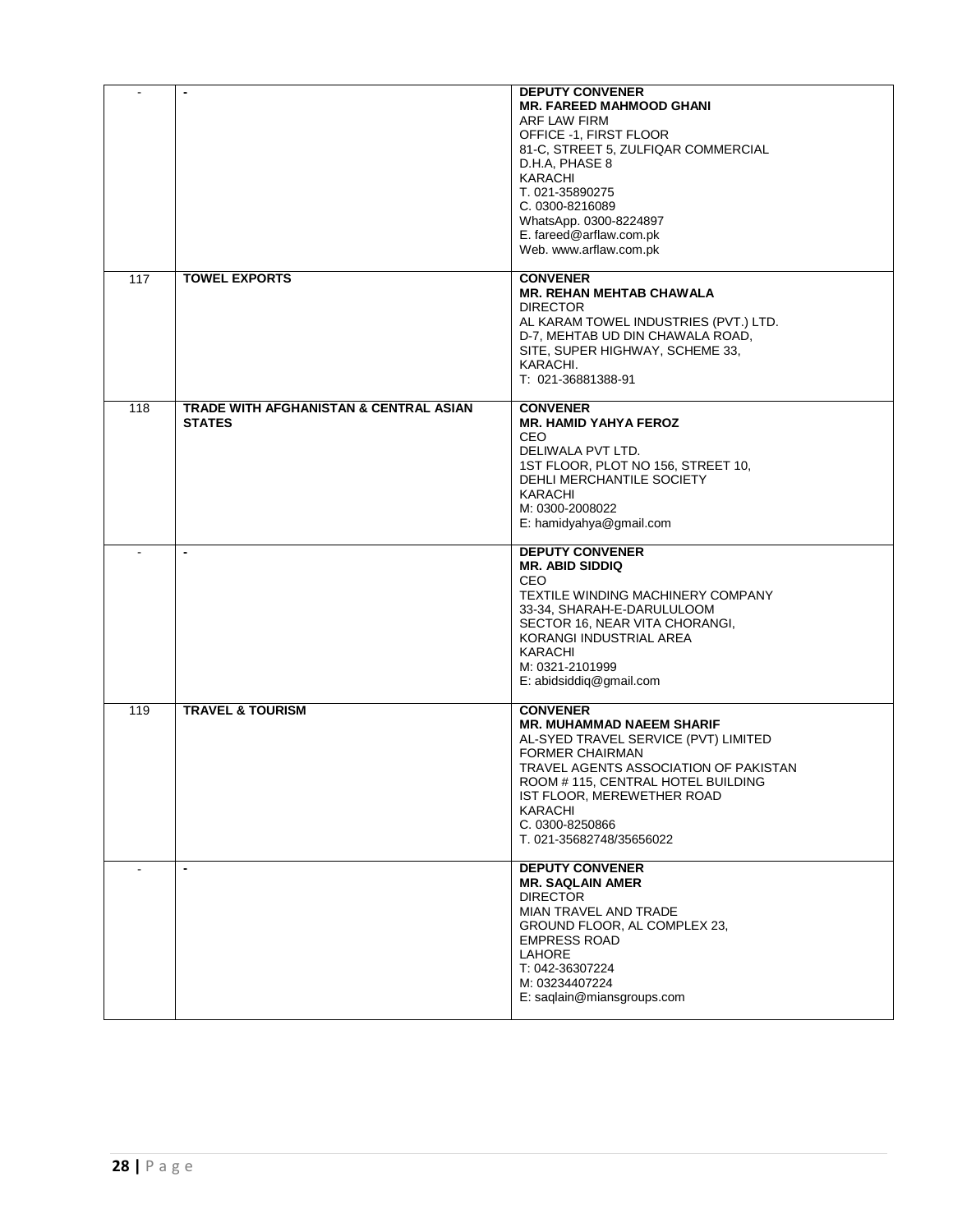| $\sim$           | $\overline{\phantom{a}}$                                           | <b>DEPUTY CONVENER</b><br><b>MR. FAREED MAHMOOD GHANI</b><br>ARF LAW FIRM<br>OFFICE -1, FIRST FLOOR<br>81-C, STREET 5, ZULFIQAR COMMERCIAL<br>D.H.A, PHASE 8<br>KARACHI<br>T. 021-35890275<br>C. 0300-8216089<br>WhatsApp. 0300-8224897<br>E. fareed@arflaw.com.pk<br>Web. www.arflaw.com.pk |
|------------------|--------------------------------------------------------------------|----------------------------------------------------------------------------------------------------------------------------------------------------------------------------------------------------------------------------------------------------------------------------------------------|
| $\overline{117}$ | <b>TOWEL EXPORTS</b>                                               | <b>CONVENER</b><br><b>MR. REHAN MEHTAB CHAWALA</b><br><b>DIRECTOR</b><br>AL KARAM TOWEL INDUSTRIES (PVT.) LTD.<br>D-7, MEHTAB UD DIN CHAWALA ROAD,<br>SITE, SUPER HIGHWAY, SCHEME 33,<br>KARACHI.<br>T: 021-36881388-91                                                                      |
| 118              | <b>TRADE WITH AFGHANISTAN &amp; CENTRAL ASIAN</b><br><b>STATES</b> | <b>CONVENER</b><br><b>MR. HAMID YAHYA FEROZ</b><br><b>CEO</b><br>DELIWALA PVT LTD.<br>1ST FLOOR, PLOT NO 156, STREET 10,<br>DEHLI MERCHANTILE SOCIETY<br><b>KARACHI</b><br>M: 0300-2008022<br>E: hamidyahya@gmail.com                                                                        |
|                  | $\blacksquare$                                                     | <b>DEPUTY CONVENER</b><br><b>MR. ABID SIDDIQ</b><br><b>CEO</b><br>TEXTILE WINDING MACHINERY COMPANY<br>33-34, SHARAH-E-DARULULOOM<br>SECTOR 16, NEAR VITA CHORANGI,<br>KORANGI INDUSTRIAL AREA<br>KARACHI<br>M: 0321-2101999<br>E: abidsiddig@gmail.com                                      |
| 119              | <b>TRAVEL &amp; TOURISM</b>                                        | <b>CONVENER</b><br><b>MR. MUHAMMAD NAEEM SHARIF</b><br>AL-SYED TRAVEL SERVICE (PVT) LIMITED<br><b>FORMER CHAIRMAN</b><br>TRAVEL AGENTS ASSOCIATION OF PAKISTAN<br>ROOM # 115, CENTRAL HOTEL BUILDING<br>IST FLOOR, MEREWETHER ROAD<br>KARACHI<br>C. 0300-8250866<br>T. 021-35682748/35656022 |
| $\sim$           | $\blacksquare$                                                     | <b>DEPUTY CONVENER</b><br><b>MR. SAQLAIN AMER</b><br><b>DIRECTOR</b><br>MIAN TRAVEL AND TRADE<br>GROUND FLOOR, AL COMPLEX 23,<br><b>EMPRESS ROAD</b><br><b>LAHORE</b><br>T: 042-36307224<br>M: 03234407224<br>E: saqlain@miansgroups.com                                                     |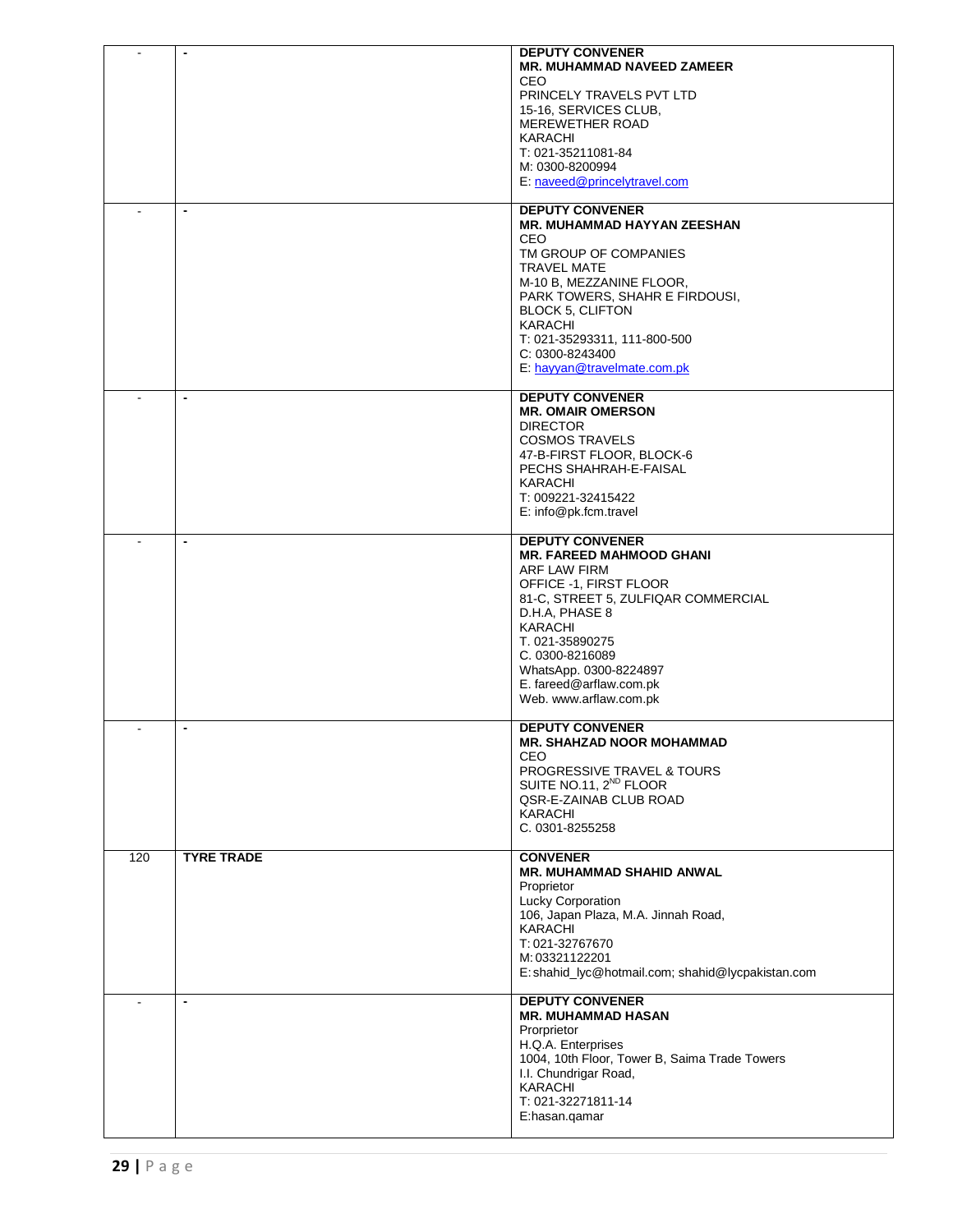|                |                          | <b>DEPUTY CONVENER</b><br><b>MR. MUHAMMAD NAVEED ZAMEER</b><br>CEO.<br>PRINCELY TRAVELS PVT LTD<br>15-16, SERVICES CLUB,<br>MEREWETHER ROAD<br><b>KARACHI</b><br>T: 021-35211081-84<br>M: 0300-8200994<br>E: naveed@princelytravel.com                                                                          |
|----------------|--------------------------|-----------------------------------------------------------------------------------------------------------------------------------------------------------------------------------------------------------------------------------------------------------------------------------------------------------------|
|                |                          | <b>DEPUTY CONVENER</b><br><b>MR. MUHAMMAD HAYYAN ZEESHAN</b><br><b>CEO</b><br>TM GROUP OF COMPANIES<br><b>TRAVEL MATE</b><br>M-10 B, MEZZANINE FLOOR,<br>PARK TOWERS, SHAHR E FIRDOUSI,<br><b>BLOCK 5, CLIFTON</b><br>KARACHI<br>T: 021-35293311, 111-800-500<br>C: 0300-8243400<br>E: hayyan@travelmate.com.pk |
|                |                          | <b>DEPUTY CONVENER</b><br><b>MR. OMAIR OMERSON</b><br><b>DIRECTOR</b><br><b>COSMOS TRAVELS</b><br>47-B-FIRST FLOOR, BLOCK-6<br>PECHS SHAHRAH-E-FAISAL<br><b>KARACHI</b><br>T: 009221-32415422<br>E: info@pk.fcm.travel                                                                                          |
|                |                          | <b>DEPUTY CONVENER</b><br><b>MR. FAREED MAHMOOD GHANI</b><br>ARF LAW FIRM<br>OFFICE -1, FIRST FLOOR<br>81-C, STREET 5, ZULFIQAR COMMERCIAL<br>D.H.A, PHASE 8<br>KARACHI<br>T. 021-35890275<br>C. 0300-8216089<br>WhatsApp. 0300-8224897<br>E. fareed@arflaw.com.pk<br>Web. www.arflaw.com.pk                    |
| $\blacksquare$ | $\overline{\phantom{0}}$ | <b>DEPUTY CONVENER</b><br><b>MR. SHAHZAD NOOR MOHAMMAD</b><br>CEO<br>PROGRESSIVE TRAVEL & TOURS<br>SUITE NO.11, 2 <sup>ND</sup> FLOOR<br>QSR-E-ZAINAB CLUB ROAD<br>KARACHI<br>C. 0301-8255258                                                                                                                   |
| 120            | <b>TYRE TRADE</b>        | <b>CONVENER</b><br><b>MR. MUHAMMAD SHAHID ANWAL</b><br>Proprietor<br><b>Lucky Corporation</b><br>106, Japan Plaza, M.A. Jinnah Road,<br>KARACHI<br>T: 021-32767670<br>M: 03321122201<br>E: shahid_lyc@hotmail.com; shahid@lycpakistan.com                                                                       |
|                | $\overline{\phantom{a}}$ | <b>DEPUTY CONVENER</b><br><b>MR. MUHAMMAD HASAN</b><br>Prorprietor<br>H.Q.A. Enterprises<br>1004, 10th Floor, Tower B, Saima Trade Towers<br>I.I. Chundrigar Road,<br>KARACHI<br>T: 021-32271811-14<br>E:hasan.qamar                                                                                            |
| 29   $P$ a g e |                          |                                                                                                                                                                                                                                                                                                                 |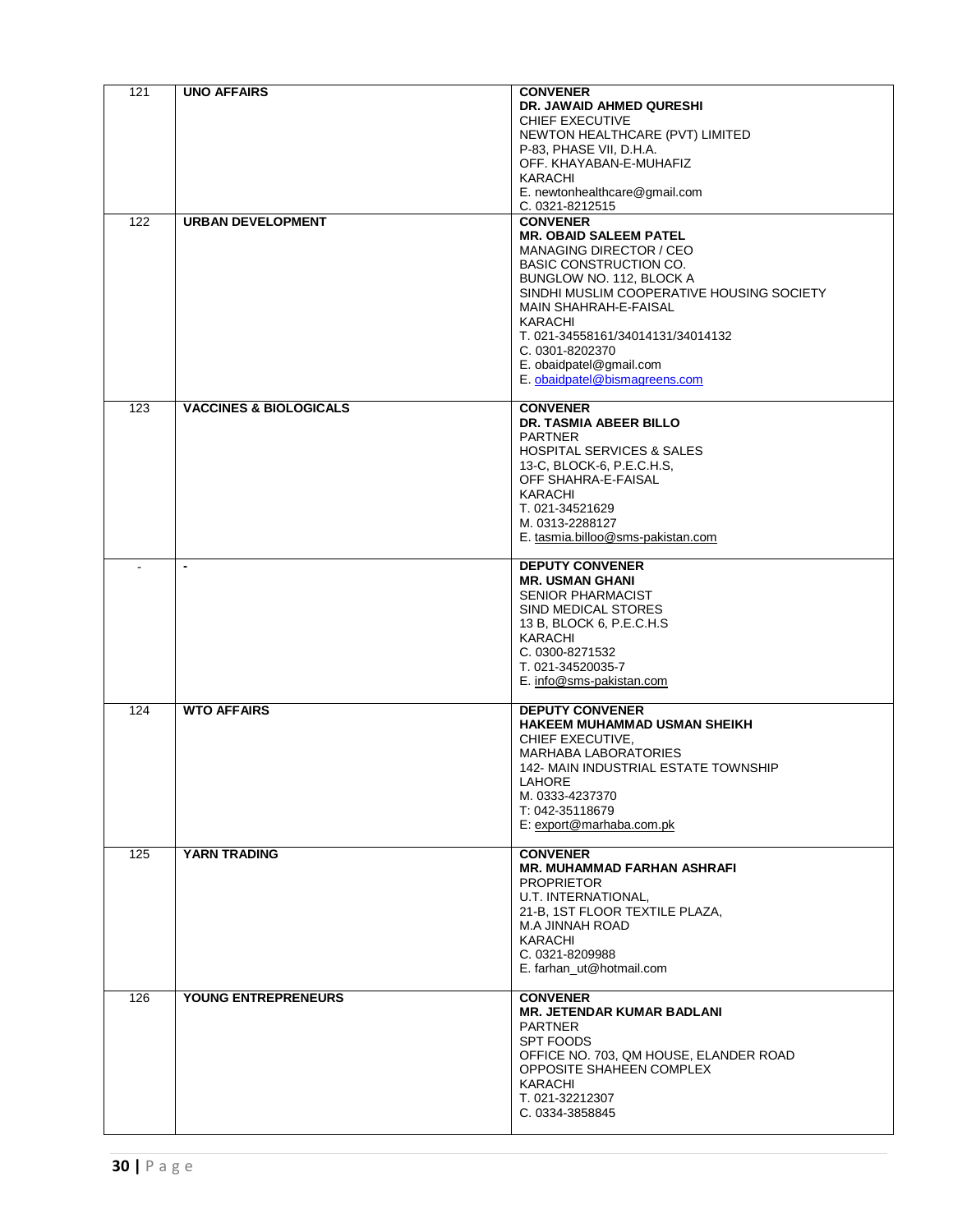| 121 | <b>UNO AFFAIRS</b>                | <b>CONVENER</b><br>DR. JAWAID AHMED QURESHI<br><b>CHIEF EXECUTIVE</b><br>NEWTON HEALTHCARE (PVT) LIMITED<br>P-83, PHASE VII, D.H.A.<br>OFF. KHAYABAN-E-MUHAFIZ<br>KARACHI<br>E. newtonhealthcare@gmail.com<br>C. 0321-8212515                                                                                                                               |
|-----|-----------------------------------|-------------------------------------------------------------------------------------------------------------------------------------------------------------------------------------------------------------------------------------------------------------------------------------------------------------------------------------------------------------|
| 122 | <b>URBAN DEVELOPMENT</b>          | <b>CONVENER</b><br><b>MR. OBAID SALEEM PATEL</b><br><b>MANAGING DIRECTOR / CEO</b><br><b>BASIC CONSTRUCTION CO.</b><br>BUNGLOW NO. 112, BLOCK A<br>SINDHI MUSLIM COOPERATIVE HOUSING SOCIETY<br><b>MAIN SHAHRAH-E-FAISAL</b><br>KARACHI<br>T. 021-34558161/34014131/34014132<br>C. 0301-8202370<br>E. obaidpatel@gmail.com<br>E. obaidpatel@bismagreens.com |
| 123 | <b>VACCINES &amp; BIOLOGICALS</b> | <b>CONVENER</b><br><b>DR. TASMIA ABEER BILLO</b><br><b>PARTNER</b><br><b>HOSPITAL SERVICES &amp; SALES</b><br>13-C, BLOCK-6, P.E.C.H.S,<br>OFF SHAHRA-E-FAISAL<br>KARACHI<br>T. 021-34521629<br>M. 0313-2288127<br>E. tasmia.billoo@sms-pakistan.com                                                                                                        |
|     | $\blacksquare$                    | <b>DEPUTY CONVENER</b><br><b>MR. USMAN GHANI</b><br><b>SENIOR PHARMACIST</b><br>SIND MEDICAL STORES<br>13 B, BLOCK 6, P.E.C.H.S<br>KARACHI<br>C. 0300-8271532<br>T. 021-34520035-7<br>E. info@sms-pakistan.com                                                                                                                                              |
| 124 | <b>WTO AFFAIRS</b>                | <b>DEPUTY CONVENER</b><br><b>HAKEEM MUHAMMAD USMAN SHEIKH</b><br>CHIEF EXECUTIVE,<br><b>MARHABA LABORATORIES</b><br>142- MAIN INDUSTRIAL ESTATE TOWNSHIP<br>LAHORE<br>M. 0333-4237370<br>T: 042-35118679<br>E: export@marhaba.com.pk                                                                                                                        |
| 125 | <b>YARN TRADING</b>               | <b>CONVENER</b><br><b>MR. MUHAMMAD FARHAN ASHRAFI</b><br><b>PROPRIETOR</b><br>U.T. INTERNATIONAL,<br>21-B, 1ST FLOOR TEXTILE PLAZA,<br>M.A JINNAH ROAD<br>KARACHI<br>C. 0321-8209988<br>E. farhan_ut@hotmail.com                                                                                                                                            |
| 126 | <b>YOUNG ENTREPRENEURS</b>        | <b>CONVENER</b><br><b>MR. JETENDAR KUMAR BADLANI</b><br><b>PARTNER</b><br>SPT FOODS<br>OFFICE NO. 703, QM HOUSE, ELANDER ROAD<br>OPPOSITE SHAHEEN COMPLEX<br>KARACHI<br>T. 021-32212307<br>C. 0334-3858845                                                                                                                                                  |